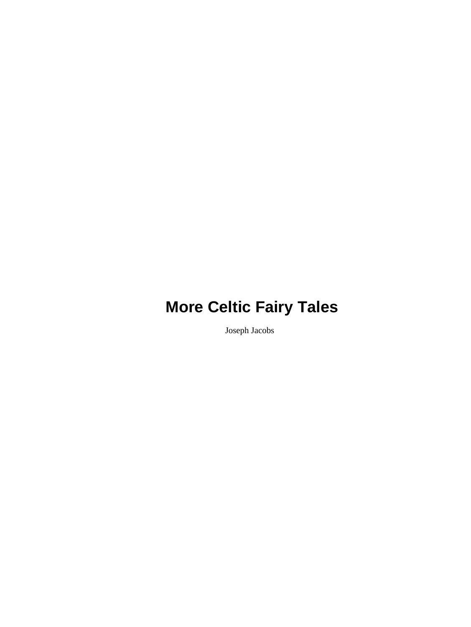Joseph Jacobs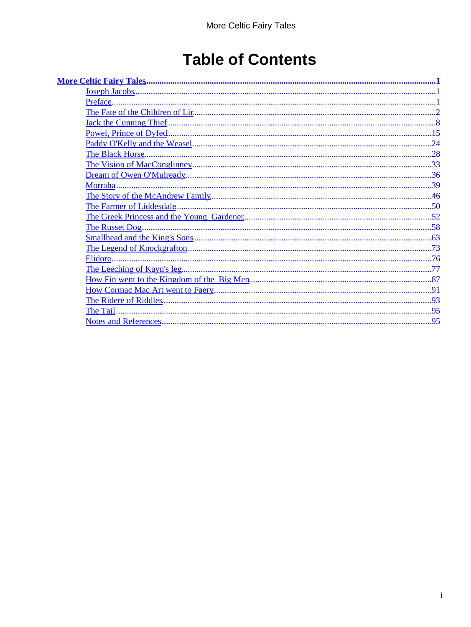# **Table of Contents**

| Elidore |  |
|---------|--|
|         |  |
|         |  |
|         |  |
|         |  |
|         |  |
|         |  |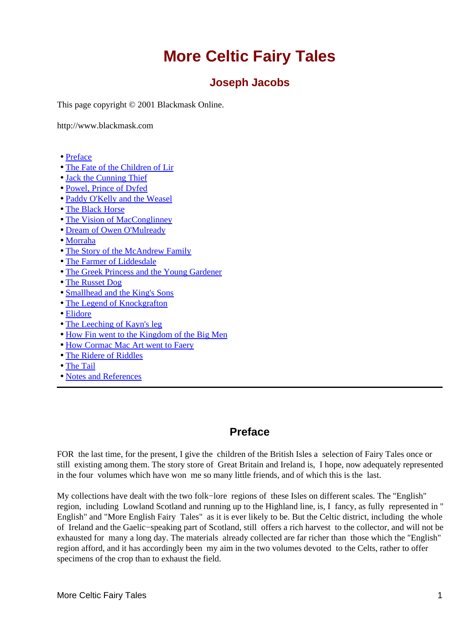### **Joseph Jacobs**

<span id="page-2-0"></span>This page copyright © 2001 Blackmask Online.

http://www.blackmask.com

- Preface
- [The Fate of the Children of Lir](#page-3-0)
- [Jack the Cunning Thief](#page-9-0)
- [Powel, Prince of Dyfed](#page-16-0)
- [Paddy O'Kelly and the Weasel](#page-25-0)
- [The Black Horse](#page-29-0)
- [The Vision of MacConglinney](#page-34-0)
- [Dream of Owen O'Mulready](#page-37-0)
- [Morraha](#page-40-0)
- [The Story of the McAndrew Family](#page-47-0)
- [The Farmer of Liddesdale](#page-51-0)
- [The Greek Princess and the Young Gardener](#page-53-0)
- [The Russet Dog](#page-59-0)
- [Smallhead and the King's Sons](#page-64-0)
- [The Legend of Knockgrafton](#page-74-0)
- [Elidore](#page-77-0)
- [The Leeching of Kayn's leg](#page-78-0)
- [How Fin went to the Kingdom of the Big Men](#page-88-0)
- [How Cormac Mac Art went to Faery](#page-92-0)
- [The Ridere of Riddles](#page-94-0)
- [The Tail](#page-96-0)
- [Notes and References](#page-96-0)

### **Preface**

FOR the last time, for the present, I give the children of the British Isles a selection of Fairy Tales once or still existing among them. The story store of Great Britain and Ireland is, I hope, now adequately represented in the four volumes which have won me so many little friends, and of which this is the last.

My collections have dealt with the two folk−lore regions of these Isles on different scales. The "English" region, including Lowland Scotland and running up to the Highland line, is, I fancy, as fully represented in " English" and "More English Fairy Tales" as it is ever likely to be. But the Celtic district, including the whole of Ireland and the Gaelic−speaking part of Scotland, still offers a rich harvest to the collector, and will not be exhausted for many a long day. The materials already collected are far richer than those which the "English" region afford, and it has accordingly been my aim in the two volumes devoted to the Celts, rather to offer specimens of the crop than to exhaust the field.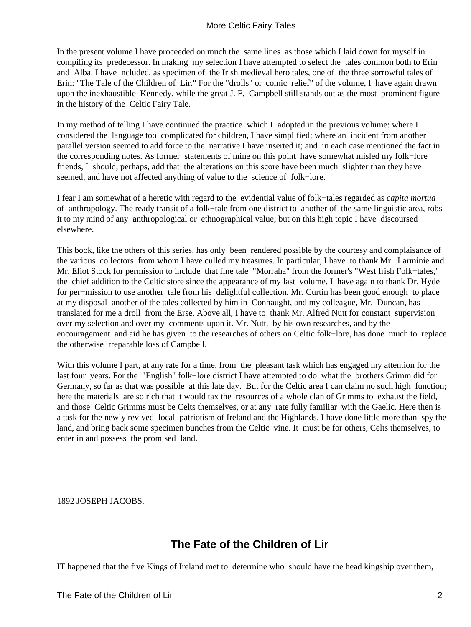<span id="page-3-0"></span>In the present volume I have proceeded on much the same lines as those which I laid down for myself in compiling its predecessor. In making my selection I have attempted to select the tales common both to Erin and Alba. I have included, as specimen of the Irish medieval hero tales, one of the three sorrowful tales of Erin: "The Tale of the Children of Lir." For the "drolls" or 'comic relief" of the volume, I have again drawn upon the inexhaustible Kennedy, while the great J. F. Campbell still stands out as the most prominent figure in the history of the Celtic Fairy Tale.

In my method of telling I have continued the practice which I adopted in the previous volume: where I considered the language too complicated for children, I have simplified; where an incident from another parallel version seemed to add force to the narrative I have inserted it; and in each case mentioned the fact in the corresponding notes. As former statements of mine on this point have somewhat misled my folk−lore friends, I should, perhaps, add that the alterations on this score have been much slighter than they have seemed, and have not affected anything of value to the science of folk−lore.

I fear I am somewhat of a heretic with regard to the evidential value of folk−tales regarded as *capita mortua* of anthropology. The ready transit of a folk−tale from one district to another of the same linguistic area, robs it to my mind of any anthropological or ethnographical value; but on this high topic I have discoursed elsewhere.

This book, like the others of this series, has only been rendered possible by the courtesy and complaisance of the various collectors from whom I have culled my treasures. In particular, I have to thank Mr. Larminie and Mr. Eliot Stock for permission to include that fine tale "Morraha" from the former's "West Irish Folk−tales," the chief addition to the Celtic store since the appearance of my last volume. I have again to thank Dr. Hyde for per−mission to use another tale from his delightful collection. Mr. Curtin has been good enough to place at my disposal another of the tales collected by him in Connaught, and my colleague, Mr. Duncan, has translated for me a droll from the Erse. Above all, I have to thank Mr. Alfred Nutt for constant supervision over my selection and over my comments upon it. Mr. Nutt, by his own researches, and by the encouragement and aid he has given to the researches of others on Celtic folk−lore, has done much to replace the otherwise irreparable loss of Campbell.

With this volume I part, at any rate for a time, from the pleasant task which has engaged my attention for the last four years. For the "English" folk−lore district I have attempted to do what the brothers Grimm did for Germany, so far as that was possible at this late day. But for the Celtic area I can claim no such high function; here the materials are so rich that it would tax the resources of a whole clan of Grimms to exhaust the field, and those Celtic Grimms must be Celts themselves, or at any rate fully familiar with the Gaelic. Here then is a task for the newly revived local patriotism of Ireland and the Highlands. I have done little more than spy the land, and bring back some specimen bunches from the Celtic vine. It must be for others, Celts themselves, to enter in and possess the promised land.

1892 JOSEPH JACOBS.

## **The Fate of the Children of Lir**

IT happened that the five Kings of Ireland met to determine who should have the head kingship over them,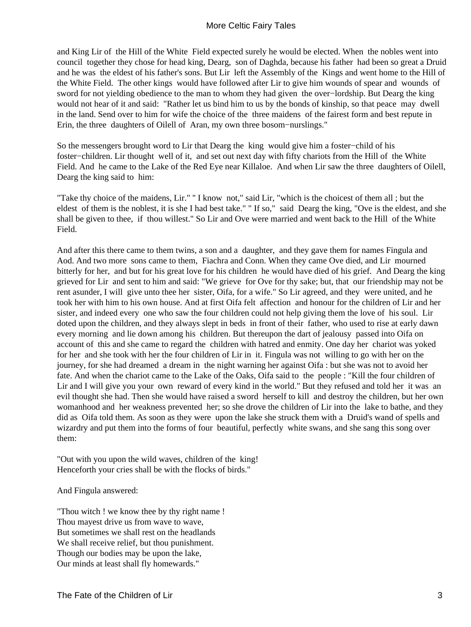and King Lir of the Hill of the White Field expected surely he would be elected. When the nobles went into council together they chose for head king, Dearg, son of Daghda, because his father had been so great a Druid and he was the eldest of his father's sons. But Lir left the Assembly of the Kings and went home to the Hill of the White Field. The other kings would have followed after Lir to give him wounds of spear and wounds of sword for not yielding obedience to the man to whom they had given the over−lordship. But Dearg the king would not hear of it and said: "Rather let us bind him to us by the bonds of kinship, so that peace may dwell in the land. Send over to him for wife the choice of the three maidens of the fairest form and best repute in Erin, the three daughters of Oilell of Aran, my own three bosom−nurslings."

So the messengers brought word to Lir that Dearg the king would give him a foster−child of his foster−children. Lir thought well of it, and set out next day with fifty chariots from the Hill of the White Field. And he came to the Lake of the Red Eye near Killaloe. And when Lir saw the three daughters of Oilell, Dearg the king said to him:

"Take thy choice of the maidens, Lir." '' I know not," said Lir, "which is the choicest of them all ; but the eldest of them is the noblest, it is she I had best take." " If so," said Dearg the king, "Ove is the eldest, and she shall be given to thee, if thou willest." So Lir and Ove were married and went back to the Hill of the White Field.

And after this there came to them twins, a son and a daughter, and they gave them for names Fingula and Aod. And two more sons came to them, Fiachra and Conn. When they came Ove died, and Lir mourned bitterly for her, and but for his great love for his children he would have died of his grief. And Dearg the king grieved for Lir and sent to him and said: "We grieve for Ove for thy sake; but, that our friendship may not be rent asunder, I will give unto thee her sister, Oifa, for a wife." So Lir agreed, and they were united, and he took her with him to his own house. And at first Oifa felt affection and honour for the children of Lir and her sister, and indeed every one who saw the four children could not help giving them the love of his soul. Lir doted upon the children, and they always slept in beds in front of their father, who used to rise at early dawn every morning and lie down among his children. But thereupon the dart of jealousy passed into Oifa on account of this and she came to regard the children with hatred and enmity. One day her chariot was yoked for her and she took with her the four children of Lir in it. Fingula was not willing to go with her on the journey, for she had dreamed a dream in the night warning her against Oifa : but she was not to avoid her fate. And when the chariot came to the Lake of the Oaks, Oifa said to the people : "Kill the four children of Lir and I will give you your own reward of every kind in the world." But they refused and told her it was an evil thought she had. Then she would have raised a sword herself to kill and destroy the children, but her own womanhood and her weakness prevented her; so she drove the children of Lir into the lake to bathe, and they did as Oifa told them. As soon as they were upon the lake she struck them with a Druid's wand of spells and wizardry and put them into the forms of four beautiful, perfectly white swans, and she sang this song over them:

"Out with you upon the wild waves, children of the king! Henceforth your cries shall be with the flocks of birds."

And Fingula answered:

"Thou witch ! we know thee by thy right name ! Thou mayest drive us from wave to wave, But sometimes we shall rest on the headlands We shall receive relief, but thou punishment. Though our bodies may be upon the lake, Our minds at least shall fly homewards."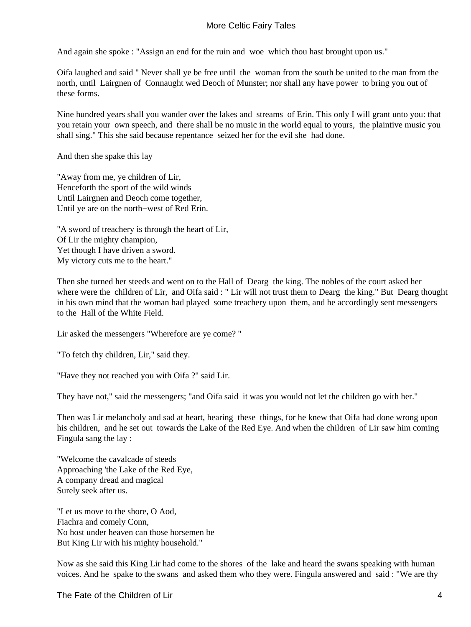And again she spoke : "Assign an end for the ruin and woe which thou hast brought upon us."

Oifa laughed and said " Never shall ye be free until the woman from the south be united to the man from the north, until Lairgnen of Connaught wed Deoch of Munster; nor shall any have power to bring you out of these forms.

Nine hundred years shall you wander over the lakes and streams of Erin. This only I will grant unto you: that you retain your own speech, and there shall be no music in the world equal to yours, the plaintive music you shall sing." This she said because repentance seized her for the evil she had done.

And then she spake this lay

"Away from me, ye children of Lir, Henceforth the sport of the wild winds Until Lairgnen and Deoch come together, Until ye are on the north−west of Red Erin.

"A sword of treachery is through the heart of Lir, Of Lir the mighty champion, Yet though I have driven a sword. My victory cuts me to the heart."

Then she turned her steeds and went on to the Hall of Dearg the king. The nobles of the court asked her where were the children of Lir, and Oifa said : " Lir will not trust them to Dearg the king." But Dearg thought in his own mind that the woman had played some treachery upon them, and he accordingly sent messengers to the Hall of the White Field.

Lir asked the messengers "Wherefore are ye come? "

"To fetch thy children, Lir," said they.

"Have they not reached you with Oifa ?" said Lir.

They have not," said the messengers; "and Oifa said it was you would not let the children go with her."

Then was Lir melancholy and sad at heart, hearing these things, for he knew that Oifa had done wrong upon his children, and he set out towards the Lake of the Red Eye. And when the children of Lir saw him coming Fingula sang the lay :

"Welcome the cavalcade of steeds Approaching 'the Lake of the Red Eye, A company dread and magical Surely seek after us.

"Let us move to the shore, O Aod, Fiachra and comely Conn, No host under heaven can those horsemen be But King Lir with his mighty household."

Now as she said this King Lir had come to the shores of the lake and heard the swans speaking with human voices. And he spake to the swans and asked them who they were. Fingula answered and said : "We are thy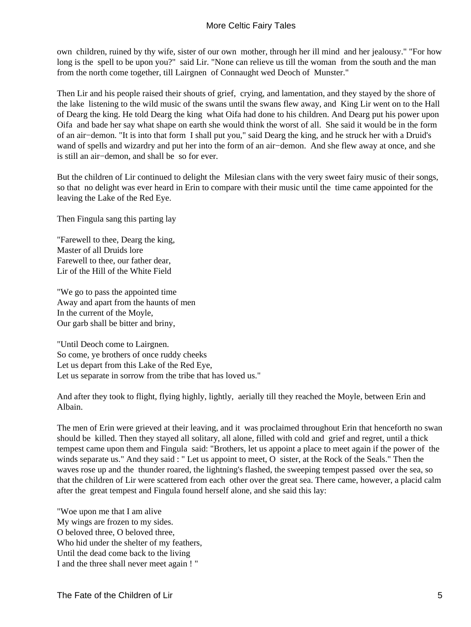own children, ruined by thy wife, sister of our own mother, through her ill mind and her jealousy." "For how long is the spell to be upon you?" said Lir. "None can relieve us till the woman from the south and the man from the north come together, till Lairgnen of Connaught wed Deoch of Munster."

Then Lir and his people raised their shouts of grief, crying, and lamentation, and they stayed by the shore of the lake listening to the wild music of the swans until the swans flew away, and King Lir went on to the Hall of Dearg the king. He told Dearg the king what Oifa had done to his children. And Dearg put his power upon Oifa and bade her say what shape on earth she would think the worst of all. She said it would be in the form of an air−demon. "It is into that form I shall put you," said Dearg the king, and he struck her with a Druid's wand of spells and wizardry and put her into the form of an air−demon. And she flew away at once, and she is still an air−demon, and shall be so for ever.

But the children of Lir continued to delight the Milesian clans with the very sweet fairy music of their songs, so that no delight was ever heard in Erin to compare with their music until the time came appointed for the leaving the Lake of the Red Eye.

Then Fingula sang this parting lay

"Farewell to thee, Dearg the king, Master of all Druids lore Farewell to thee, our father dear, Lir of the Hill of the White Field

"We go to pass the appointed time Away and apart from the haunts of men In the current of the Moyle, Our garb shall be bitter and briny,

"Until Deoch come to Lairgnen. So come, ye brothers of once ruddy cheeks Let us depart from this Lake of the Red Eye, Let us separate in sorrow from the tribe that has loved us."

And after they took to flight, flying highly, lightly, aerially till they reached the Moyle, between Erin and Albain.

The men of Erin were grieved at their leaving, and it was proclaimed throughout Erin that henceforth no swan should be killed. Then they stayed all solitary, all alone, filled with cold and grief and regret, until a thick tempest came upon them and Fingula said: "Brothers, let us appoint a place to meet again if the power of the winds separate us." And they said : " Let us appoint to meet, O sister, at the Rock of the Seals." Then the waves rose up and the thunder roared, the lightning's flashed, the sweeping tempest passed over the sea, so that the children of Lir were scattered from each other over the great sea. There came, however, a placid calm after the great tempest and Fingula found herself alone, and she said this lay:

"Woe upon me that I am alive My wings are frozen to my sides. O beloved three, O beloved three, Who hid under the shelter of my feathers, Until the dead come back to the living I and the three shall never meet again ! "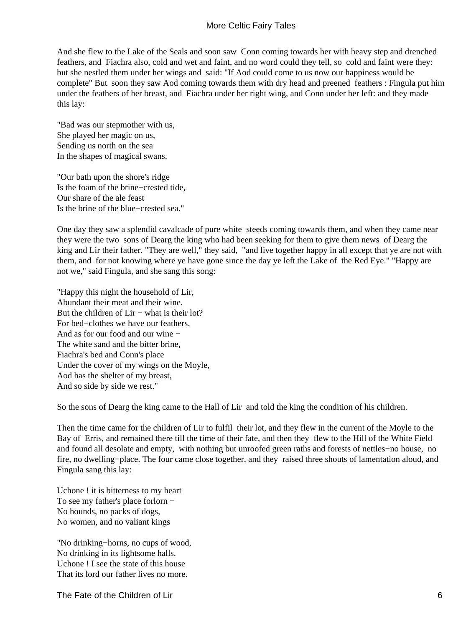And she flew to the Lake of the Seals and soon saw Conn coming towards her with heavy step and drenched feathers, and Fiachra also, cold and wet and faint, and no word could they tell, so cold and faint were they: but she nestled them under her wings and said: "If Aod could come to us now our happiness would be complete" But soon they saw Aod coming towards them with dry head and preened feathers : Fingula put him under the feathers of her breast, and Fiachra under her right wing, and Conn under her left: and they made this lay:

"Bad was our stepmother with us, She played her magic on us, Sending us north on the sea In the shapes of magical swans.

"Our bath upon the shore's ridge Is the foam of the brine−crested tide, Our share of the ale feast Is the brine of the blue−crested sea."

One day they saw a splendid cavalcade of pure white steeds coming towards them, and when they came near they were the two sons of Dearg the king who had been seeking for them to give them news of Dearg the king and Lir their father. "They are well," they said, "and live together happy in all except that ye are not with them, and for not knowing where ye have gone since the day ye left the Lake of the Red Eye." "Happy are not we," said Fingula, and she sang this song:

"Happy this night the household of Lir, Abundant their meat and their wine. But the children of Lir − what is their lot? For bed−clothes we have our feathers, And as for our food and our wine − The white sand and the bitter brine, Fiachra's bed and Conn's place Under the cover of my wings on the Moyle, Aod has the shelter of my breast, And so side by side we rest."

So the sons of Dearg the king came to the Hall of Lir and told the king the condition of his children.

Then the time came for the children of Lir to fulfil their lot, and they flew in the current of the Moyle to the Bay of Erris, and remained there till the time of their fate, and then they flew to the Hill of the White Field and found all desolate and empty, with nothing but unroofed green raths and forests of nettles−no house, no fire, no dwelling−place. The four came close together, and they raised three shouts of lamentation aloud, and Fingula sang this lay:

Uchone ! it is bitterness to my heart To see my father's place forlorn − No hounds, no packs of dogs, No women, and no valiant kings

"No drinking−horns, no cups of wood, No drinking in its lightsome halls. Uchone ! I see the state of this house That its lord our father lives no more.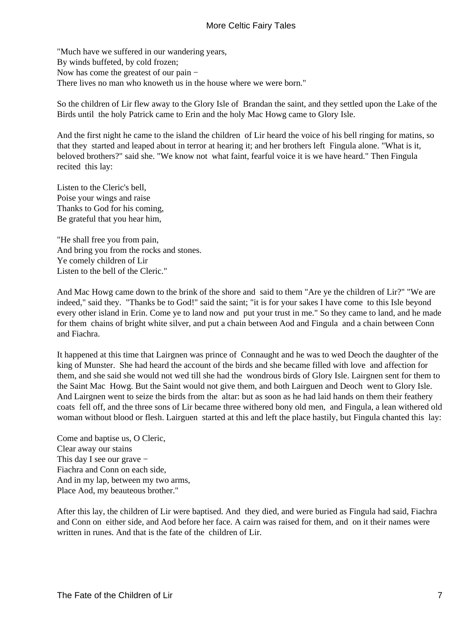"Much have we suffered in our wandering years, By winds buffeted, by cold frozen; Now has come the greatest of our pain − There lives no man who knoweth us in the house where we were born."

So the children of Lir flew away to the Glory Isle of Brandan the saint, and they settled upon the Lake of the Birds until the holy Patrick came to Erin and the holy Mac Howg came to Glory Isle.

And the first night he came to the island the children of Lir heard the voice of his bell ringing for matins, so that they started and leaped about in terror at hearing it; and her brothers left Fingula alone. "What is it, beloved brothers?" said she. "We know not what faint, fearful voice it is we have heard." Then Fingula recited this lay:

Listen to the Cleric's bell, Poise your wings and raise Thanks to God for his coming, Be grateful that you hear him,

"He shall free you from pain, And bring you from the rocks and stones. Ye comely children of Lir Listen to the bell of the Cleric."

And Mac Howg came down to the brink of the shore and said to them "Are ye the children of Lir?" "We are indeed," said they. "Thanks be to God!" said the saint; "it is for your sakes I have come to this Isle beyond every other island in Erin. Come ye to land now and put your trust in me." So they came to land, and he made for them chains of bright white silver, and put a chain between Aod and Fingula and a chain between Conn and Fiachra.

It happened at this time that Lairgnen was prince of Connaught and he was to wed Deoch the daughter of the king of Munster. She had heard the account of the birds and she became filled with love and affection for them, and she said she would not wed till she had the wondrous birds of Glory Isle. Lairgnen sent for them to the Saint Mac Howg. But the Saint would not give them, and both Lairguen and Deoch went to Glory Isle. And Lairgnen went to seize the birds from the altar: but as soon as he had laid hands on them their feathery coats fell off, and the three sons of Lir became three withered bony old men, and Fingula, a lean withered old woman without blood or flesh. Lairguen started at this and left the place hastily, but Fingula chanted this lay:

Come and baptise us, O Cleric, Clear away our stains This day I see our grave − Fiachra and Conn on each side, And in my lap, between my two arms, Place Aod, my beauteous brother."

After this lay, the children of Lir were baptised. And they died, and were buried as Fingula had said, Fiachra and Conn on either side, and Aod before her face. A cairn was raised for them, and on it their names were written in runes. And that is the fate of the children of Lir.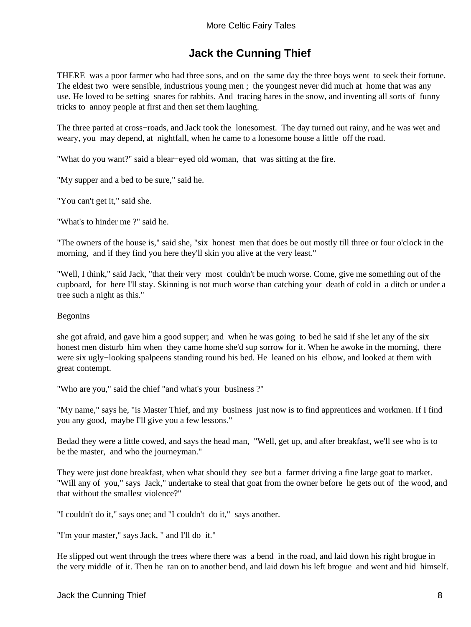# **Jack the Cunning Thief**

<span id="page-9-0"></span>THERE was a poor farmer who had three sons, and on the same day the three boys went to seek their fortune. The eldest two were sensible, industrious young men ; the youngest never did much at home that was any use. He loved to be setting snares for rabbits. And tracing hares in the snow, and inventing all sorts of funny tricks to annoy people at first and then set them laughing.

The three parted at cross−roads, and Jack took the lonesomest. The day turned out rainy, and he was wet and weary, you may depend, at nightfall, when he came to a lonesome house a little off the road.

"What do you want?" said a blear−eyed old woman, that was sitting at the fire.

"My supper and a bed to be sure," said he.

"You can't get it," said she.

"What's to hinder me ?" said he.

"The owners of the house is," said she, "six honest men that does be out mostly till three or four o'clock in the morning, and if they find you here they'll skin you alive at the very least."

"Well, I think," said Jack, "that their very most couldn't be much worse. Come, give me something out of the cupboard, for here I'll stay. Skinning is not much worse than catching your death of cold in a ditch or under a tree such a night as this."

#### Begonins

she got afraid, and gave him a good supper; and when he was going to bed he said if she let any of the six honest men disturb him when they came home she'd sup sorrow for it. When he awoke in the morning, there were six ugly−looking spalpeens standing round his bed. He leaned on his elbow, and looked at them with great contempt.

"Who are you," said the chief "and what's your business ?"

"My name," says he, "is Master Thief, and my business just now is to find apprentices and workmen. If I find you any good, maybe I'll give you a few lessons."

Bedad they were a little cowed, and says the head man, "Well, get up, and after breakfast, we'll see who is to be the master, and who the journeyman."

They were just done breakfast, when what should they see but a farmer driving a fine large goat to market. "Will any of you," says Jack," undertake to steal that goat from the owner before he gets out of the wood, and that without the smallest violence?"

"I couldn't do it," says one; and "I couldn't do it," says another.

"I'm your master," says Jack, " and I'll do it."

He slipped out went through the trees where there was a bend in the road, and laid down his right brogue in the very middle of it. Then he ran on to another bend, and laid down his left brogue and went and hid himself.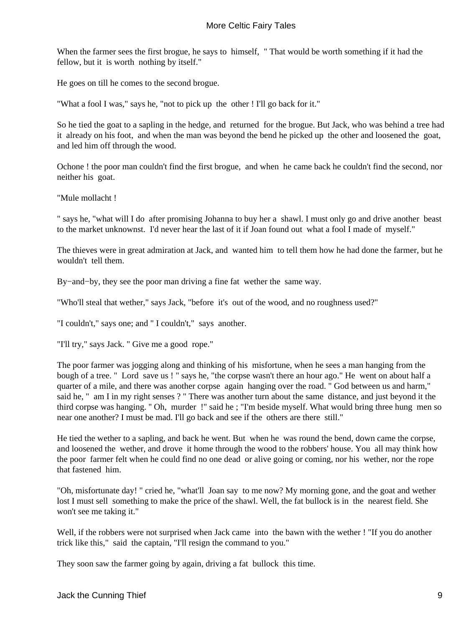When the farmer sees the first brogue, he says to himself, " That would be worth something if it had the fellow, but it is worth nothing by itself."

He goes on till he comes to the second brogue.

"What a fool I was," says he, "not to pick up the other ! I'll go back for it."

So he tied the goat to a sapling in the hedge, and returned for the brogue. But Jack, who was behind a tree had it already on his foot, and when the man was beyond the bend he picked up the other and loosened the goat, and led him off through the wood.

Ochone ! the poor man couldn't find the first brogue, and when he came back he couldn't find the second, nor neither his goat.

"Mule mollacht !

" says he, "what will I do after promising Johanna to buy her a shawl. I must only go and drive another beast to the market unknownst. I'd never hear the last of it if Joan found out what a fool I made of myself."

The thieves were in great admiration at Jack, and wanted him to tell them how he had done the farmer, but he wouldn't tell them.

By−and−by, they see the poor man driving a fine fat wether the same way.

"Who'll steal that wether," says Jack, "before it's out of the wood, and no roughness used?"

"I couldn't," says one; and " I couldn't," says another.

"I'll try," says Jack. " Give me a good rope."

The poor farmer was jogging along and thinking of his misfortune, when he sees a man hanging from the bough of a tree. " Lord save us ! " says he, "the corpse wasn't there an hour ago." He went on about half a quarter of a mile, and there was another corpse again hanging over the road. " God between us and harm," said he, " am I in my right senses ? " There was another turn about the same distance, and just beyond it the third corpse was hanging. '' Oh, murder !" said he ; "I'm beside myself. What would bring three hung men so near one another? I must be mad. I'll go back and see if the others are there still."

He tied the wether to a sapling, and back he went. But when he was round the bend, down came the corpse, and loosened the wether, and drove it home through the wood to the robbers' house. You all may think how the poor farmer felt when he could find no one dead or alive going or coming, nor his wether, nor the rope that fastened him.

"Oh, misfortunate day! " cried he, "what'll Joan say to me now? My morning gone, and the goat and wether lost I must sell something to make the price of the shawl. Well, the fat bullock is in the nearest field. She won't see me taking it."

Well, if the robbers were not surprised when Jack came into the bawn with the wether ! "If you do another trick like this," said the captain, "I'll resign the command to you."

They soon saw the farmer going by again, driving a fat bullock this time.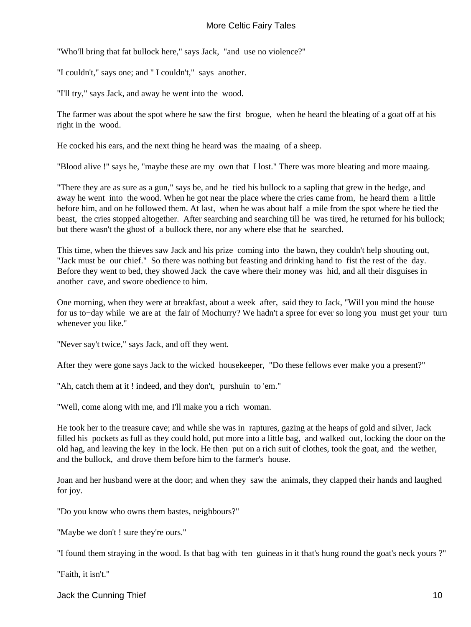"Who'll bring that fat bullock here," says Jack, "and use no violence?"

"I couldn't," says one; and " I couldn't," says another.

"I'll try," says Jack, and away he went into the wood.

The farmer was about the spot where he saw the first brogue, when he heard the bleating of a goat off at his right in the wood.

He cocked his ears, and the next thing he heard was the maaing of a sheep.

"Blood alive !" says he, "maybe these are my own that I lost." There was more bleating and more maaing.

"There they are as sure as a gun," says be, and he tied his bullock to a sapling that grew in the hedge, and away he went into the wood. When he got near the place where the cries came from, he heard them a little before him, and on he followed them. At last, when he was about half a mile from the spot where he tied the beast, the cries stopped altogether. After searching and searching till he was tired, he returned for his bullock; but there wasn't the ghost of a bullock there, nor any where else that he searched.

This time, when the thieves saw Jack and his prize coming into the bawn, they couldn't help shouting out, "Jack must be our chief." So there was nothing but feasting and drinking hand to fist the rest of the day. Before they went to bed, they showed Jack the cave where their money was hid, and all their disguises in another cave, and swore obedience to him.

One morning, when they were at breakfast, about a week after, said they to Jack, "Will you mind the house for us to−day while we are at the fair of Mochurry? We hadn't a spree for ever so long you must get your turn whenever you like."

"Never say't twice," says Jack, and off they went.

After they were gone says Jack to the wicked housekeeper, "Do these fellows ever make you a present?"

"Ah, catch them at it ! indeed, and they don't, purshuin to 'em."

"Well, come along with me, and I'll make you a rich woman.

He took her to the treasure cave; and while she was in raptures, gazing at the heaps of gold and silver, Jack filled his pockets as full as they could hold, put more into a little bag, and walked out, locking the door on the old hag, and leaving the key in the lock. He then put on a rich suit of clothes, took the goat, and the wether, and the bullock, and drove them before him to the farmer's house.

Joan and her husband were at the door; and when they saw the animals, they clapped their hands and laughed for joy.

"Do you know who owns them bastes, neighbours?"

"Maybe we don't ! sure they're ours."

"I found them straying in the wood. Is that bag with ten guineas in it that's hung round the goat's neck yours ?"

"Faith, it isn't."

Jack the Cunning Thief 10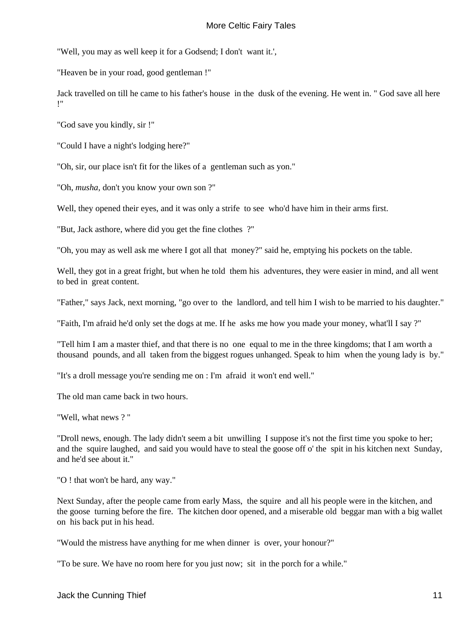"Well, you may as well keep it for a Godsend; I don't want it.',

"Heaven be in your road, good gentleman !"

Jack travelled on till he came to his father's house in the dusk of the evening. He went in. " God save all here !"

"God save you kindly, sir !"

"Could I have a night's lodging here?"

"Oh, sir, our place isn't fit for the likes of a gentleman such as yon."

"Oh, *musha,* don't you know your own son ?"

Well, they opened their eyes, and it was only a strife to see who'd have him in their arms first.

"But, Jack asthore, where did you get the fine clothes ?"

"Oh, you may as well ask me where I got all that money?" said he, emptying his pockets on the table.

Well, they got in a great fright, but when he told them his adventures, they were easier in mind, and all went to bed in great content.

"Father," says Jack, next morning, "go over to the landlord, and tell him I wish to be married to his daughter."

"Faith, I'm afraid he'd only set the dogs at me. If he asks me how you made your money, what'll I say ?"

"Tell him I am a master thief, and that there is no one equal to me in the three kingdoms; that I am worth a thousand pounds, and all taken from the biggest rogues unhanged. Speak to him when the young lady is by."

"It's a droll message you're sending me on : I'm afraid it won't end well."

The old man came back in two hours.

"Well, what news ? "

"Droll news, enough. The lady didn't seem a bit unwilling I suppose it's not the first time you spoke to her; and the squire laughed, and said you would have to steal the goose off o' the spit in his kitchen next Sunday, and he'd see about it."

"O ! that won't be hard, any way."

Next Sunday, after the people came from early Mass, the squire and all his people were in the kitchen, and the goose turning before the fire. The kitchen door opened, and a miserable old beggar man with a big wallet on his back put in his head.

"Would the mistress have anything for me when dinner is over, your honour?"

"To be sure. We have no room here for you just now; sit in the porch for a while."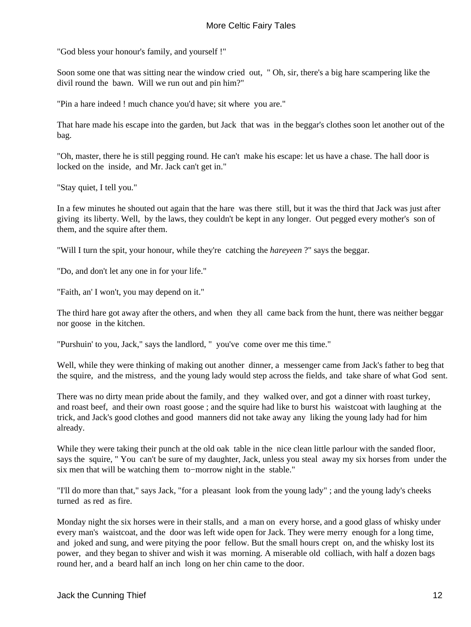"God bless your honour's family, and yourself !"

Soon some one that was sitting near the window cried out, " Oh, sir, there's a big hare scampering like the divil round the bawn. Will we run out and pin him?"

"Pin a hare indeed ! much chance you'd have; sit where you are."

That hare made his escape into the garden, but Jack that was in the beggar's clothes soon let another out of the bag.

"Oh, master, there he is still pegging round. He can't make his escape: let us have a chase. The hall door is locked on the inside, and Mr. Jack can't get in."

"Stay quiet, I tell you."

In a few minutes he shouted out again that the hare was there still, but it was the third that Jack was just after giving its liberty. Well, by the laws, they couldn't be kept in any longer. Out pegged every mother's son of them, and the squire after them.

"Will I turn the spit, your honour, while they're catching the *hareyeen* ?" says the beggar.

"Do, and don't let any one in for your life."

"Faith, an' I won't, you may depend on it."

The third hare got away after the others, and when they all came back from the hunt, there was neither beggar nor goose in the kitchen.

"Purshuin' to you, Jack," says the landlord, " you've come over me this time."

Well, while they were thinking of making out another dinner, a messenger came from Jack's father to beg that the squire, and the mistress, and the young lady would step across the fields, and take share of what God sent.

There was no dirty mean pride about the family, and they walked over, and got a dinner with roast turkey, and roast beef, and their own roast goose ; and the squire had like to burst his waistcoat with laughing at the trick, and Jack's good clothes and good manners did not take away any liking the young lady had for him already.

While they were taking their punch at the old oak table in the nice clean little parlour with the sanded floor, says the squire, " You can't be sure of my daughter, Jack, unless you steal away my six horses from under the six men that will be watching them to−morrow night in the stable."

"I'll do more than that," says Jack, "for a pleasant look from the young lady" ; and the young lady's cheeks turned as red as fire.

Monday night the six horses were in their stalls, and a man on every horse, and a good glass of whisky under every man's waistcoat, and the door was left wide open for Jack. They were merry enough for a long time, and joked and sung, and were pitying the poor fellow. But the small hours crept on, and the whisky lost its power, and they began to shiver and wish it was morning. A miserable old colliach, with half a dozen bags round her, and a beard half an inch long on her chin came to the door.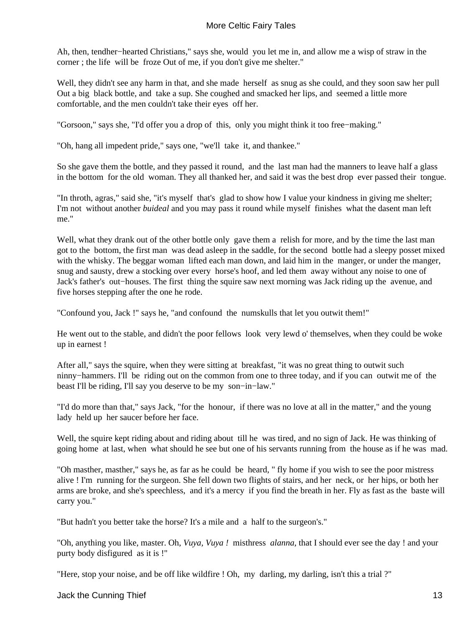Ah, then, tendher−hearted Christians," says she, would you let me in, and allow me a wisp of straw in the corner ; the life will be froze Out of me, if you don't give me shelter."

Well, they didn't see any harm in that, and she made herself as snug as she could, and they soon saw her pull Out a big black bottle, and take a sup. She coughed and smacked her lips, and seemed a little more comfortable, and the men couldn't take their eyes off her.

"Gorsoon," says she, "I'd offer you a drop of this, only you might think it too free−making."

"Oh, hang all impedent pride," says one, "we'll take it, and thankee."

So she gave them the bottle, and they passed it round, and the last man had the manners to leave half a glass in the bottom for the old woman. They all thanked her, and said it was the best drop ever passed their tongue.

"In throth, agras," said she, "it's myself that's glad to show how I value your kindness in giving me shelter; I'm not without another *buideal* and you may pass it round while myself finishes what the dasent man left me."

Well, what they drank out of the other bottle only gave them a relish for more, and by the time the last man got to the bottom, the first man was dead asleep in the saddle, for the second bottle had a sleepy posset mixed with the whisky. The beggar woman lifted each man down, and laid him in the manger, or under the manger, snug and sausty, drew a stocking over every horse's hoof, and led them away without any noise to one of Jack's father's out−houses. The first thing the squire saw next morning was Jack riding up the avenue, and five horses stepping after the one he rode.

"Confound you, Jack !" says he, "and confound the numskulls that let you outwit them!"

He went out to the stable, and didn't the poor fellows look very lewd o' themselves, when they could be woke up in earnest !

After all," says the squire, when they were sitting at breakfast, "it was no great thing to outwit such ninny−hammers. I'll be riding out on the common from one to three today, and if you can outwit me of the beast I'll be riding, I'll say you deserve to be my son−in−law."

"I'd do more than that," says Jack, "for the honour, if there was no love at all in the matter," and the young lady held up her saucer before her face.

Well, the squire kept riding about and riding about till he was tired, and no sign of Jack. He was thinking of going home at last, when what should he see but one of his servants running from the house as if he was mad.

"Oh masther, masther," says he, as far as he could be heard, " fly home if you wish to see the poor mistress alive ! I'm running for the surgeon. She fell down two flights of stairs, and her neck, or her hips, or both her arms are broke, and she's speechless, and it's a mercy if you find the breath in her. Fly as fast as the baste will carry you."

"But hadn't you better take the horse? It's a mile and a half to the surgeon's."

"Oh, anything you like, master. Oh, *Vuya, Vuya !* misthress *alanna,* that I should ever see the day ! and your purty body disfigured as it is !"

"Here, stop your noise, and be off like wildfire ! Oh, my darling, my darling, isn't this a trial ?"

Jack the Cunning Thief 13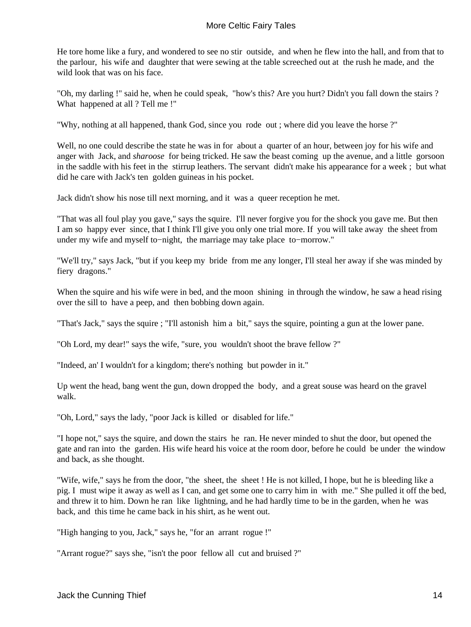He tore home like a fury, and wondered to see no stir outside, and when he flew into the hall, and from that to the parlour, his wife and daughter that were sewing at the table screeched out at the rush he made, and the wild look that was on his face.

"Oh, my darling !" said he, when he could speak, "how's this? Are you hurt? Didn't you fall down the stairs ? What happened at all ? Tell me !"

"Why, nothing at all happened, thank God, since you rode out ; where did you leave the horse ?"

Well, no one could describe the state he was in for about a quarter of an hour, between joy for his wife and anger with Jack, and *sharoose* for being tricked. He saw the beast coming up the avenue, and a little gorsoon in the saddle with his feet in the stirrup leathers. The servant didn't make his appearance for a week ; but what did he care with Jack's ten golden guineas in his pocket.

Jack didn't show his nose till next morning, and it was a queer reception he met.

"That was all foul play you gave," says the squire. I'll never forgive you for the shock you gave me. But then I am so happy ever since, that I think I'll give you only one trial more. If you will take away the sheet from under my wife and myself to−night, the marriage may take place to−morrow."

"We'll try," says Jack, "but if you keep my bride from me any longer, I'll steal her away if she was minded by fiery dragons."

When the squire and his wife were in bed, and the moon shining in through the window, he saw a head rising over the sill to have a peep, and then bobbing down again.

"That's Jack," says the squire ; "I'll astonish him a bit," says the squire, pointing a gun at the lower pane.

"Oh Lord, my dear!" says the wife, "sure, you wouldn't shoot the brave fellow ?"

"Indeed, an' I wouldn't for a kingdom; there's nothing but powder in it."

Up went the head, bang went the gun, down dropped the body, and a great souse was heard on the gravel walk.

"Oh, Lord," says the lady, "poor Jack is killed or disabled for life."

"I hope not," says the squire, and down the stairs he ran. He never minded to shut the door, but opened the gate and ran into the garden. His wife heard his voice at the room door, before he could be under the window and back, as she thought.

"Wife, wife," says he from the door, "the sheet, the sheet ! He is not killed, I hope, but he is bleeding like a pig. I must wipe it away as well as I can, and get some one to carry him in with me." She pulled it off the bed, and threw it to him. Down he ran like lightning, and he had hardly time to be in the garden, when he was back, and this time he came back in his shirt, as he went out.

"High hanging to you, Jack," says he, "for an arrant rogue !"

"Arrant rogue?" says she, "isn't the poor fellow all cut and bruised ?"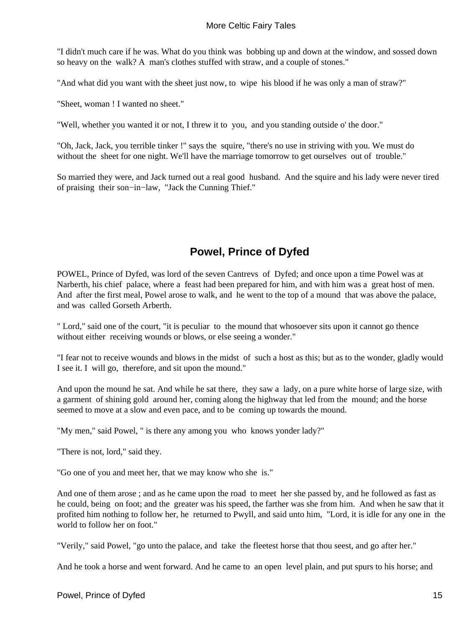<span id="page-16-0"></span>"I didn't much care if he was. What do you think was bobbing up and down at the window, and sossed down so heavy on the walk? A man's clothes stuffed with straw, and a couple of stones."

"And what did you want with the sheet just now, to wipe his blood if he was only a man of straw?"

"Sheet, woman ! I wanted no sheet."

"Well, whether you wanted it or not, I threw it to you, and you standing outside o' the door."

"Oh, Jack, Jack, you terrible tinker !" says the squire, "there's no use in striving with you. We must do without the sheet for one night. We'll have the marriage tomorrow to get ourselves out of trouble."

So married they were, and Jack turned out a real good husband. And the squire and his lady were never tired of praising their son−in−law, "Jack the Cunning Thief."

## **Powel, Prince of Dyfed**

POWEL, Prince of Dyfed, was lord of the seven Cantrevs of Dyfed; and once upon a time Powel was at Narberth, his chief palace, where a feast had been prepared for him, and with him was a great host of men. And after the first meal, Powel arose to walk, and he went to the top of a mound that was above the palace, and was called Gorseth Arberth.

" Lord," said one of the court, "it is peculiar to the mound that whosoever sits upon it cannot go thence without either receiving wounds or blows, or else seeing a wonder."

"I fear not to receive wounds and blows in the midst of such a host as this; but as to the wonder, gladly would I see it. I will go, therefore, and sit upon the mound."

And upon the mound he sat. And while he sat there, they saw a lady, on a pure white horse of large size, with a garment of shining gold around her, coming along the highway that led from the mound; and the horse seemed to move at a slow and even pace, and to be coming up towards the mound.

"My men," said Powel, " is there any among you who knows yonder lady?"

"There is not, lord," said they.

"Go one of you and meet her, that we may know who she is."

And one of them arose ; and as he came upon the road to meet her she passed by, and he followed as fast as he could, being on foot; and the greater was his speed, the farther was she from him. And when he saw that it profited him nothing to follow her, he returned to Pwyll, and said unto him, "Lord, it is idle for any one in the world to follow her on foot."

"Verily," said Powel, "go unto the palace, and take the fleetest horse that thou seest, and go after her."

And he took a horse and went forward. And he came to an open level plain, and put spurs to his horse; and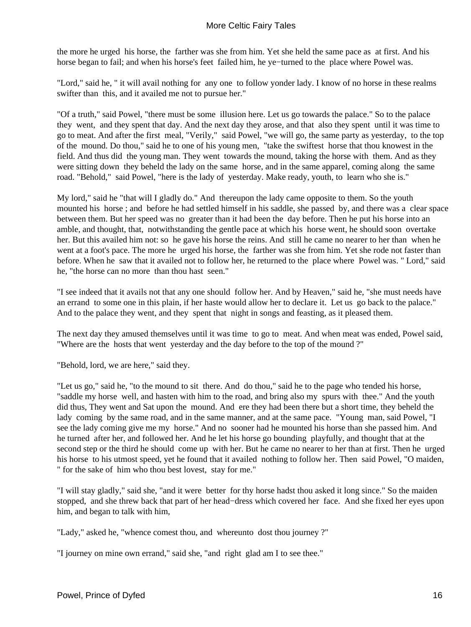the more he urged his horse, the farther was she from him. Yet she held the same pace as at first. And his horse began to fail; and when his horse's feet failed him, he ye−turned to the place where Powel was.

"Lord," said he, " it will avail nothing for any one to follow yonder lady. I know of no horse in these realms swifter than this, and it availed me not to pursue her."

"Of a truth," said Powel, "there must be some illusion here. Let us go towards the palace." So to the palace they went, and they spent that day. And the next day they arose, and that also they spent until it was time to go to meat. And after the first meal, "Verily," said Powel, "we will go, the same party as yesterday, to the top of the mound. Do thou," said he to one of his young men, "take the swiftest horse that thou knowest in the field. And thus did the young man. They went towards the mound, taking the horse with them. And as they were sitting down they beheld the lady on the same horse, and in the same apparel, coming along the same road. "Behold," said Powel, "here is the lady of yesterday. Make ready, youth, to learn who she is."

My lord," said he "that will I gladly do." And thereupon the lady came opposite to them. So the youth mounted his horse ; and before he had settled himself in his saddle, she passed by, and there was a clear space between them. But her speed was no greater than it had been the day before. Then he put his horse into an amble, and thought, that, notwithstanding the gentle pace at which his horse went, he should soon overtake her. But this availed him not: so he gave his horse the reins. And still he came no nearer to her than when he went at a foot's pace. The more he urged his horse, the farther was she from him. Yet she rode not faster than before. When he saw that it availed not to follow her, he returned to the place where Powel was. " Lord," said he, "the horse can no more than thou hast seen."

"I see indeed that it avails not that any one should follow her. And by Heaven," said he, "she must needs have an errand to some one in this plain, if her haste would allow her to declare it. Let us go back to the palace." And to the palace they went, and they spent that night in songs and feasting, as it pleased them.

The next day they amused themselves until it was time to go to meat. And when meat was ended, Powel said, "Where are the hosts that went yesterday and the day before to the top of the mound ?"

"Behold, lord, we are here," said they.

"Let us go," said he, "to the mound to sit there. And do thou," said he to the page who tended his horse, "saddle my horse well, and hasten with him to the road, and bring also my spurs with thee." And the youth did thus, They went and Sat upon the mound. And ere they had been there but a short time, they beheld the lady coming by the same road, and in the same manner, and at the same pace. "Young man, said Powel, "I see the lady coming give me my horse." And no sooner had he mounted his horse than she passed him. And he turned after her, and followed her. And he let his horse go bounding playfully, and thought that at the second step or the third he should come up with her. But he came no nearer to her than at first. Then he urged his horse to his utmost speed, yet he found that it availed nothing to follow her. Then said Powel, "O maiden, " for the sake of him who thou best lovest, stay for me."

"I will stay gladly," said she, "and it were better for thy horse hadst thou asked it long since." So the maiden stopped, and she threw back that part of her head−dress which covered her face. And she fixed her eyes upon him, and began to talk with him,

"Lady," asked he, "whence comest thou, and whereunto dost thou journey ?"

"I journey on mine own errand," said she, "and right glad am I to see thee."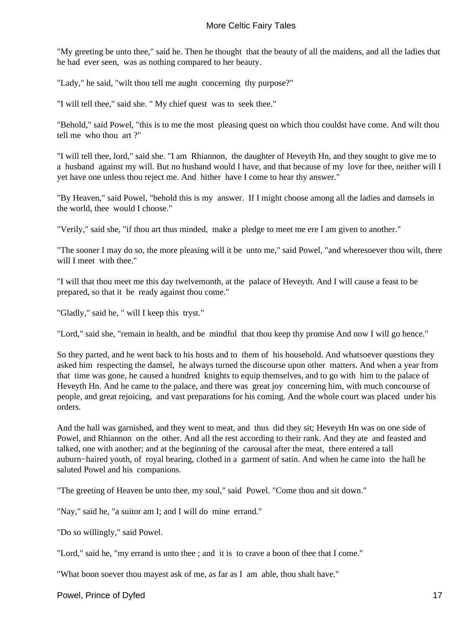"My greeting be unto thee," said he. Then he thought that the beauty of all the maidens, and all the ladies that he had ever seen, was as nothing compared to her beauty.

"Lady," he said, "wilt thou tell me aught concerning thy purpose?"

"I will tell thee," said she. " My chief quest was to seek thee."

"Behold," said Powel, "this is to me the most pleasing quest on which thou couldst have come. And wilt thou tell me who thou art ?"

"I will tell thee, lord," said she. "I am Rhiannon, the daughter of Heveyth Hn, and they sought to give me to a husband against my will. But no husband would I have, and that because of my love for thee, neither will I yet have one unless thou reject me. And hither have I come to hear thy answer."

"By Heaven," said Powel, "behold this is my answer. If I might choose among all the ladies and damsels in the world, thee would I choose."

"Verily," said she, "if thou art thus minded, make a pledge to meet me ere I am given to another."

"The sooner I may do so, the more pleasing will it be unto me," said Powel, "and wheresoever thou wilt, there will I meet with thee."

"I will that thou meet me this day twelvemonth, at the palace of Heveyth. And I will cause a feast to be prepared, so that it be ready against thou come."

"Gladly," said he, " will I keep this tryst."

"Lord," said she, "remain in health, and be mindful that thou keep thy promise And now I will go hence."

So they parted, and he went back to his hosts and to them of his household. And whatsoever questions they asked him respecting the damsel, he always turned the discourse upon other matters. And when a year from that time was gone, he caused a hundred knights to equip themselves, and to go with him to the palace of Heveyth H n. And he came to the palace, and there was great joy concerning him, with much concourse of people, and great rejoicing, and vast preparations for his coming. And the whole court was placed under his orders.

And the hall was garnished, and they went to meat, and thus did they sit; Heveyth H n was on one side of Powel, and Rhiannon on the other. And all the rest according to their rank. And they ate and feasted and talked, one with another; and at the beginning of the carousal after the meat, there entered a tall auburn−haired youth, of royal bearing, clothed in a garment of satin. And when he came into the hall he saluted Powel and his companions.

"The greeting of Heaven be unto thee, my soul," said Powel. "Come thou and sit down."

"Nay," said he, "a suitor am I; and I will do mine errand."

"Do so willingly," said Powel.

"Lord," said he, "my errand is unto thee ; and it is to crave a boon of thee that I come."

"What boon soever thou mayest ask of me, as far as I am able, thou shalt have."

Powel, Prince of Dyfed 17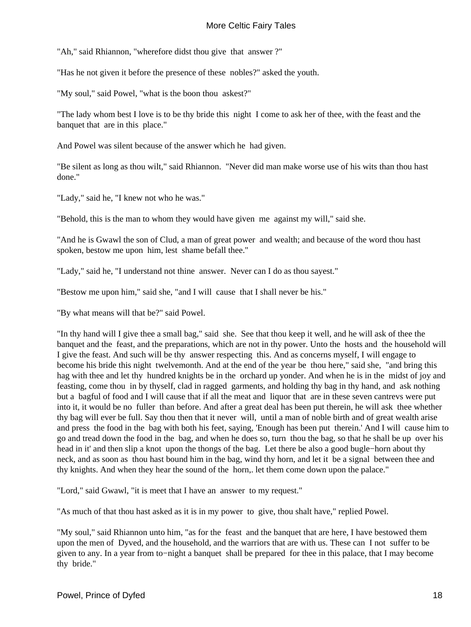"Ah," said Rhiannon, "wherefore didst thou give that answer ?"

"Has he not given it before the presence of these nobles?" asked the youth.

"My soul," said Powel, "what is the boon thou askest?"

"The lady whom best I love is to be thy bride this night I come to ask her of thee, with the feast and the banquet that are in this place."

And Powel was silent because of the answer which he had given.

"Be silent as long as thou wilt," said Rhiannon. "Never did man make worse use of his wits than thou hast done."

"Lady," said he, "I knew not who he was."

"Behold, this is the man to whom they would have given me against my will," said she.

"And he is Gwawl the son of Clud, a man of great power and wealth; and because of the word thou hast spoken, bestow me upon him, lest shame befall thee."

"Lady," said he, "I understand not thine answer. Never can I do as thou sayest."

"Bestow me upon him," said she, "and I will cause that I shall never be his."

"By what means will that be?" said Powel.

"In thy hand will I give thee a small bag," said she. See that thou keep it well, and he will ask of thee the banquet and the feast, and the preparations, which are not in thy power. Unto the hosts and the household will I give the feast. And such will be thy answer respecting this. And as concerns myself, I will engage to become his bride this night twelvemonth. And at the end of the year be thou here," said she, "and bring this hag with thee and let thy hundred knights be in the orchard up yonder. And when he is in the midst of joy and feasting, come thou in by thyself, clad in ragged garments, and holding thy bag in thy hand, and ask nothing but a bagful of food and I will cause that if all the meat and liquor that are in these seven cantrevs were put into it, it would be no fuller than before. And after a great deal has been put therein, he will ask thee whether thy bag will ever be full. Say thou then that it never will, until a man of noble birth and of great wealth arise and press the food in the bag with both his feet, saying, 'Enough has been put therein.' And I will cause him to go and tread down the food in the bag, and when he does so, turn thou the bag, so that he shall be up over his head in it' and then slip a knot upon the thongs of the bag. Let there be also a good bugle−horn about thy neck, and as soon as thou hast bound him in the bag, wind thy horn, and let it be a signal between thee and thy knights. And when they hear the sound of the horn,. let them come down upon the palace."

"Lord," said Gwawl, "it is meet that I have an answer to my request."

"As much of that thou hast asked as it is in my power to give, thou shalt have," replied Powel.

"My soul," said Rhiannon unto him, "as for the feast and the banquet that are here, I have bestowed them upon the men of Dyved, and the household, and the warriors that are with us. These can I not suffer to be given to any. In a year from to−night a banquet shall be prepared for thee in this palace, that I may become thy bride."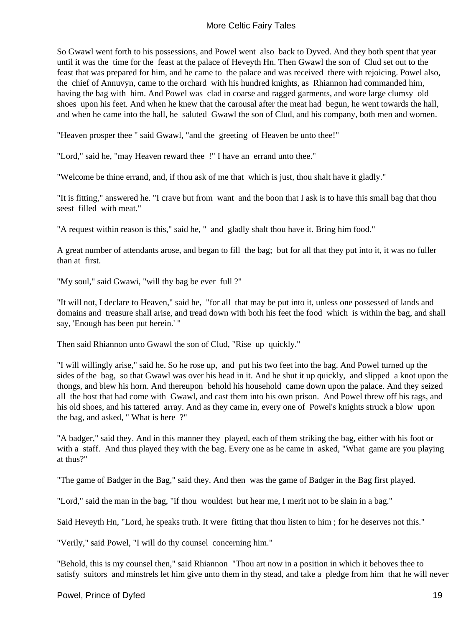So Gwawl went forth to his possessions, and Powel went also back to Dyved. And they both spent that year until it was the time for the feast at the palace of Heveyth Hn. Then Gwawl the son of Clud set out to the feast that was prepared for him, and he came to the palace and was received there with rejoicing. Powel also, the chief of Annuvyn, came to the orchard with his hundred knights, as Rhiannon had commanded him, having the bag with him. And Powel was clad in coarse and ragged garments, and wore large clumsy old shoes upon his feet. And when he knew that the carousal after the meat had begun, he went towards the hall, and when he came into the hall, he saluted Gwawl the son of Clud, and his company, both men and women.

"Heaven prosper thee " said Gwawl, "and the greeting of Heaven be unto thee!"

"Lord," said he, "may Heaven reward thee !" I have an errand unto thee."

"Welcome be thine errand, and, if thou ask of me that which is just, thou shalt have it gladly."

"It is fitting," answered he. "I crave but from want and the boon that I ask is to have this small bag that thou seest filled with meat."

"A request within reason is this," said he, " and gladly shalt thou have it. Bring him food."

A great number of attendants arose, and began to fill the bag; but for all that they put into it, it was no fuller than at first.

"My soul," said Gwawi, "will thy bag be ever full ?"

"It will not, I declare to Heaven," said he, "for all that may be put into it, unless one possessed of lands and domains and treasure shall arise, and tread down with both his feet the food which is within the bag, and shall say, 'Enough has been put herein.' "

Then said Rhiannon unto Gwawl the son of Clud, "Rise up quickly."

"I will willingly arise," said he. So he rose up, and put his two feet into the bag. And Powel turned up the sides of the bag, so that Gwawl was over his head in it. And he shut it up quickly, and slipped a knot upon the thongs, and blew his horn. And thereupon behold his household came down upon the palace. And they seized all the host that had come with Gwawl, and cast them into his own prison. And Powel threw off his rags, and his old shoes, and his tattered array. And as they came in, every one of Powel's knights struck a blow upon the bag, and asked, " What is here ?"

"A badger," said they. And in this manner they played, each of them striking the bag, either with his foot or with a staff. And thus played they with the bag. Every one as he came in asked, "What game are you playing at thus?"

"The game of Badger in the Bag," said they. And then was the game of Badger in the Bag first played.

"Lord," said the man in the bag, "if thou wouldest but hear me, I merit not to be slain in a bag."

Said Heveyth Hn, "Lord, he speaks truth. It were fitting that thou listen to him ; for he deserves not this."

"Verily," said Powel, "I will do thy counsel concerning him."

"Behold, this is my counsel then," said Rhiannon "Thou art now in a position in which it behoves thee to satisfy suitors and minstrels let him give unto them in thy stead, and take a pledge from him that he will never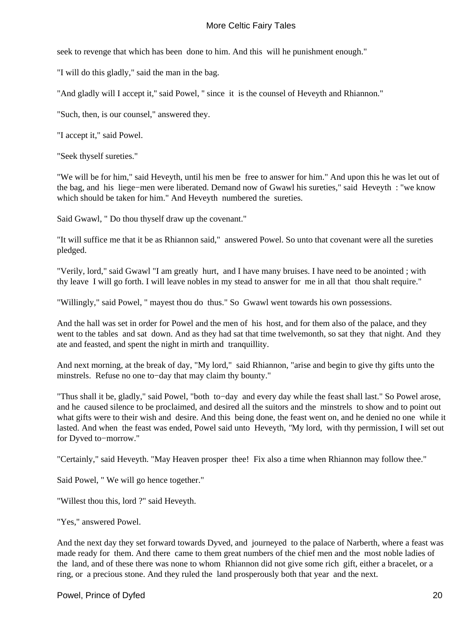seek to revenge that which has been done to him. And this will he punishment enough."

"I will do this gladly," said the man in the bag.

"And gladly will I accept it,'' said Powel, '' since it is the counsel of Heveyth and Rhiannon."

"Such, then, is our counsel," answered they.

"I accept it," said Powel.

"Seek thyself sureties."

"We will be for him," said Heveyth, until his men be free to answer for him." And upon this he was let out of the bag, and his liege−men were liberated. Demand now of Gwawl his sureties," said Heveyth : "we know which should be taken for him." And Heveyth numbered the sureties.

Said Gwawl, " Do thou thyself draw up the covenant."

"It will suffice me that it be as Rhiannon said," answered Powel. So unto that covenant were all the sureties pledged.

"Verily, lord," said Gwawl "I am greatly hurt, and I have many bruises. I have need to be anointed ; with thy leave I will go forth. I will leave nobles in my stead to answer for me in all that thou shalt require."

"Willingly," said Powel, " mayest thou do thus." So Gwawl went towards his own possessions.

And the hall was set in order for Powel and the men of his host, and for them also of the palace, and they went to the tables and sat down. And as they had sat that time twelvemonth, so sat they that night. And they ate and feasted, and spent the night in mirth and tranquillity.

And next morning, at the break of day, "My lord," said Rhiannon, "arise and begin to give thy gifts unto the minstrels. Refuse no one to−day that may claim thy bounty."

"Thus shall it be, gladly," said Powel, "both to−day and every day while the feast shall last." So Powel arose, and he caused silence to be proclaimed, and desired all the suitors and the minstrels to show and to point out what gifts were to their wish and desire. And this being done, the feast went on, and he denied no one while it lasted. And when the feast was ended, Powel said unto Heveyth, *"*My lord, with thy permission, I will set out for Dyved to−morrow."

"Certainly," said Heveyth. "May Heaven prosper thee! Fix also a time when Rhiannon may follow thee."

Said Powel, " We will go hence together."

"Willest thou this, lord ?" said Heveyth.

"Yes," answered Powel.

And the next day they set forward towards Dyved, and journeyed to the palace of Narberth, where a feast was made ready for them. And there came to them great numbers of the chief men and the most noble ladies of the land, and of these there was none to whom Rhiannon did not give some rich gift, either a bracelet, or a ring, or a precious stone. And they ruled the land prosperously both that year and the next.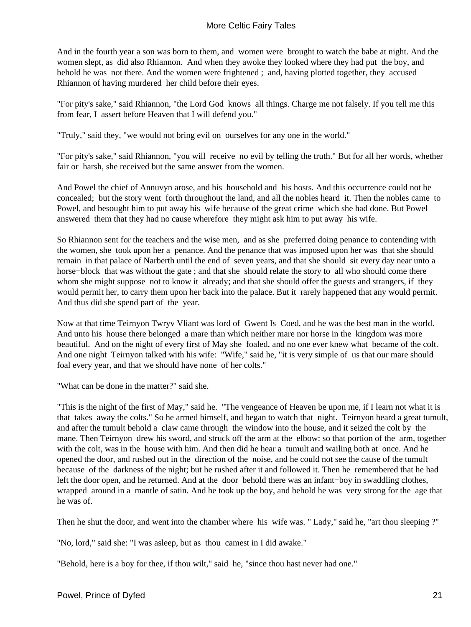And in the fourth year a son was born to them, and women were brought to watch the babe at night. And the women slept, as did also Rhiannon. And when they awoke they looked where they had put the boy, and behold he was not there. And the women were frightened ; and, having plotted together, they accused Rhiannon of having murdered her child before their eyes.

"For pity's sake," said Rhiannon, "the Lord God knows all things. Charge me not falsely. If you tell me this from fear, I assert before Heaven that I will defend you."

"Truly," said they, "we would not bring evil on ourselves for any one in the world."

"For pity's sake," said Rhiannon, "you will receive no evil by telling the truth." But for all her words, whether fair or harsh, she received but the same answer from the women.

And Powel the chief of Annuvyn arose, and his household and his hosts. And this occurrence could not be concealed; but the story went forth throughout the land, and all the nobles heard it. Then the nobles came to Powel, and besought him to put away his wife because of the great crime which she had done. But Powel answered them that they had no cause wherefore they might ask him to put away his wife.

So Rhiannon sent for the teachers and the wise men, and as she preferred doing penance to contending with the women, she took upon her a penance. And the penance that was imposed upon her was that she should remain in that palace of Narberth until the end of seven years, and that she should sit every day near unto a horse−block that was without the gate ; and that she should relate the story to all who should come there whom she might suppose not to know it already; and that she should offer the guests and strangers, if they would permit her, to carry them upon her back into the palace. But it rarely happened that any would permit. And thus did she spend part of the year.

Now at that time Teirnyon Twryv Vliant was lord of Gwent Is Coed, and he was the best man in the world. And unto his house there belonged a mare than which neither mare nor horse in the kingdom was more beautiful. And on the night of every first of May she foaled, and no one ever knew what became of the colt. And one night Teirnyon talked with his wife: "Wife," said he, "it is very simple of us that our mare should foal every year, and that we should have none of her colts."

"What can be done in the matter?" said she.

"This is the night of the first of May," said he. "The vengeance of Heaven be upon me, if I learn not what it is that takes away the colts." So he armed himself, and began to watch that night. Teirnyon heard a great tumult, and after the tumult behold a claw came through the window into the house, and it seized the colt by the mane. Then Teirnyon drew his sword, and struck off the arm at the elbow: so that portion of the arm, together with the colt, was in the house with him. And then did he hear a tumult and wailing both at once. And he opened the door, and rushed out in the direction of the noise, and he could not see the cause of the tumult because of the darkness of the night; but he rushed after it and followed it. Then he remembered that he had left the door open, and he returned. And at the door behold there was an infant−boy in swaddling clothes, wrapped around in a mantle of satin. And he took up the boy, and behold he was very strong for the age that he was of.

Then he shut the door, and went into the chamber where his wife was. " Lady," said he, "art thou sleeping ?"

"No, lord," said she: "I was asleep, but as thou camest in I did awake."

"Behold, here is a boy for thee, if thou wilt," said he, "since thou hast never had one."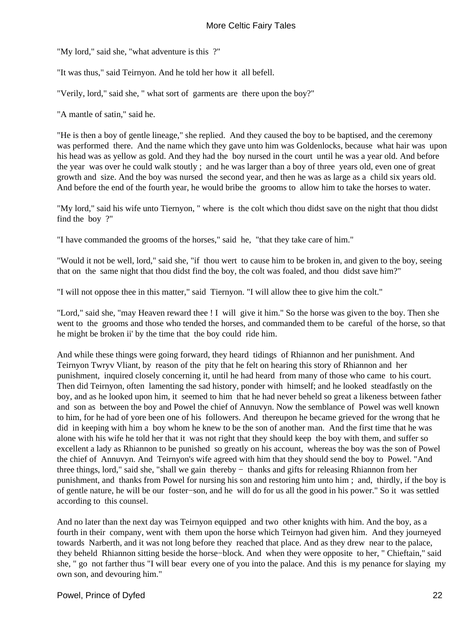"My lord," said she, "what adventure is this ?"

"It was thus," said Teirnyon. And he told her how it all befell.

"Verily, lord," said she, " what sort of garments are there upon the boy?"

"A mantle of satin," said he.

"He is then a boy of gentle lineage," she replied. And they caused the boy to be baptised, and the ceremony was performed there. And the name which they gave unto him was Goldenlocks, because what hair was upon his head was as yellow as gold. And they had the boy nursed in the court until he was a year old. And before the year was over he could walk stoutly ; and he was larger than a boy of three years old, even one of great growth and size. And the boy was nursed the second year, and then he was as large as a child six years old. And before the end of the fourth year, he would bribe the grooms to allow him to take the horses to water.

"My lord," said his wife unto Tiernyon, " where is the colt which thou didst save on the night that thou didst find the boy ?"

"I have commanded the grooms of the horses," said he, "that they take care of him."

"Would it not be well, lord," said she, "if thou wert to cause him to be broken in, and given to the boy, seeing that on the same night that thou didst find the boy, the colt was foaled, and thou didst save him?"

"I will not oppose thee in this matter," said Tiernyon. "I will allow thee to give him the colt."

"Lord," said she, "may Heaven reward thee ! I will give it him." So the horse was given to the boy. Then she went to the grooms and those who tended the horses, and commanded them to be careful of the horse, so that he might be broken ii' by the time that the boy could ride him.

And while these things were going forward, they heard tidings of Rhiannon and her punishment. And Teirnyon Twryv Vliant, by reason of the pity that he felt on hearing this story of Rhiannon and her punishment, inquired closely concerning it, until he had heard from many of those who came to his court. Then did Teirnyon, often lamenting the sad history, ponder with himself; and he looked steadfastly on the boy, and as he looked upon him, it seemed to him that he had never beheld so great a likeness between father and son as between the boy and Powel the chief of Annuvyn. Now the semblance of Powel was well known to him, for he had of yore been one of his followers. And thereupon he became grieved for the wrong that he did in keeping with him a boy whom he knew to be the son of another man. And the first time that he was alone with his wife he told her that it was not right that they should keep the boy with them, and suffer so excellent a lady as Rhiannon to be punished so greatly on his account, whereas the boy was the son of Powel the chief of Annuvyn. And Teirnyon's wife agreed with him that they should send the boy to Powel. "And three things, lord," said she, "shall we gain thereby − thanks and gifts for releasing Rhiannon from her punishment, and thanks from Powel for nursing his son and restoring him unto him ; and, thirdly, if the boy is of gentle nature, he will be our foster−son, and he will do for us all the good in his power." So it was settled according to this counsel.

And no later than the next day was Teirnyon equipped and two other knights with him. And the boy, as a fourth in their company, went with them upon the horse which Teirnyon had given him. And they journeyed towards Narberth, and it was not long before they reached that place. And as they drew near to the palace, they beheld Rhiannon sitting beside the horse−block. And when they were opposite to her, " Chieftain," said she, " go not farther thus "I will bear every one of you into the palace. And this is my penance for slaying my own son, and devouring him."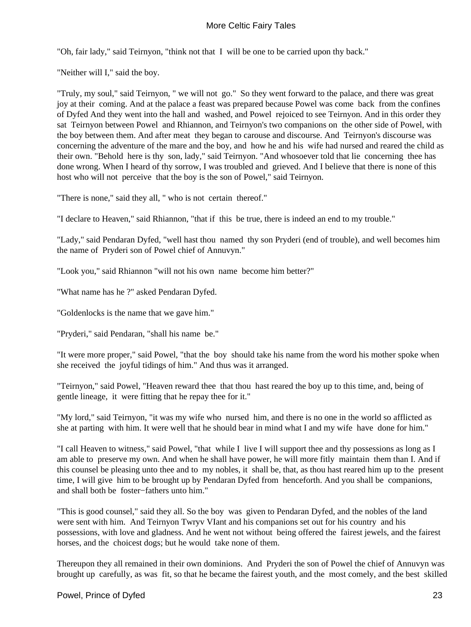"Oh, fair lady," said Teirnyon, "think not that I will be one to be carried upon thy back."

"Neither will I," said the boy.

"Truly, my soul," said Teirnyon, " we will not go." So they went forward to the palace, and there was great joy at their coming. And at the palace a feast was prepared because Powel was come back from the confines of Dyfed And they went into the hall and washed, and Powel rejoiced to see Teirnyon. And in this order they sat Teirnyon between Powel and Rhiannon, and Teirnyon's two companions on the other side of Powel, with the boy between them. And after meat they began to carouse and discourse. And Teirnyon's discourse was concerning the adventure of the mare and the boy, and how he and his wife had nursed and reared the child as their own. "Behold here is thy son, lady," said Teirnyon. "And whosoever told that lie concerning thee has done wrong. When I heard of thy sorrow, I was troubled and grieved. And I believe that there is none of this host who will not perceive that the boy is the son of Powel," said Teirnyon.

"There is none," said they all, " who is not certain thereof."

"I declare to Heaven," said Rhiannon, "that if this be true, there is indeed an end to my trouble."

"Lady," said Pendaran Dyfed, "well hast thou named thy son Pryderi (end of trouble), and well becomes him the name of Pryderi son of Powel chief of Annuvyn."

"Look you," said Rhiannon "will not his own name become him better?"

"What name has he ?" asked Pendaran Dyfed.

"Goldenlocks is the name that we gave him."

"Pryderi," said Pendaran, "shall his name be."

"It were more proper," said Powel, "that the boy should take his name from the word his mother spoke when she received the joyful tidings of him." And thus was it arranged.

"Teirnyon," said Powel, "Heaven reward thee that thou hast reared the boy up to this time, and, being of gentle lineage, it were fitting that he repay thee for it."

"My lord," said Teirnyon, "it was my wife who nursed him, and there is no one in the world so afflicted as she at parting with him. It were well that he should bear in mind what I and my wife have done for him."

"I call Heaven to witness," said Powel, "that while I live I will support thee and thy possessions as long as I am able to preserve my own. And when he shall have power, he will more fitly maintain them than I. And if this counsel be pleasing unto thee and to my nobles, it shall be, that, as thou hast reared him up to the present time, I will give him to be brought up by Pendaran Dyfed from henceforth. And you shall be companions, and shall both be foster−fathers unto him."

"This is good counsel," said they all. So the boy was given to Pendaran Dyfed, and the nobles of the land were sent with him. And Teirnyon Twryv VIant and his companions set out for his country and his possessions, with love and gladness. And he went not without being offered the fairest jewels, and the fairest horses, and the choicest dogs; but he would take none of them.

Thereupon they all remained in their own dominions. And Pryderi the son of Powel the chief of Annuvyn was brought up carefully, as was fit, so that he became the fairest youth, and the most comely, and the best skilled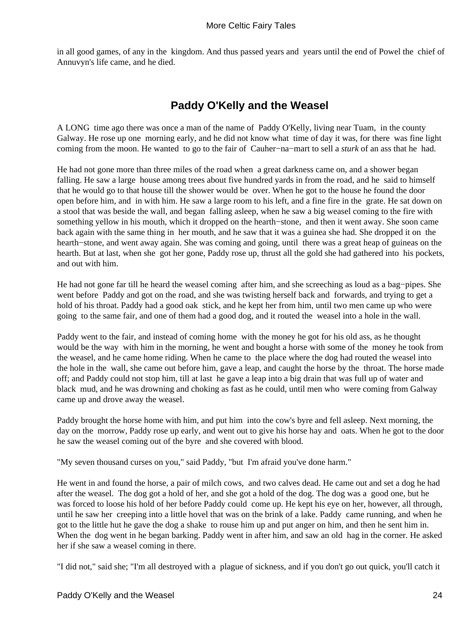<span id="page-25-0"></span>in all good games, of any in the kingdom. And thus passed years and years until the end of Powel the chief of Annuvyn's life came, and he died.

# **Paddy O'Kelly and the Weasel**

A LONG time ago there was once a man of the name of Paddy O'Kelly, living near Tuam, in the county Galway. He rose up one morning early, and he did not know what time of day it was, for there was fine light coming from the moon. He wanted to go to the fair of Cauher−na−mart to sell a *sturk* of an ass that he had.

He had not gone more than three miles of the road when a great darkness came on, and a shower began falling. He saw a large house among trees about five hundred yards in from the road, and he said to himself that he would go to that house till the shower would be over. When he got to the house he found the door open before him, and in with him. He saw a large room to his left, and a fine fire in the grate. He sat down on a stool that was beside the wall, and began falling asleep, when he saw a big weasel coming to the fire with something yellow in his mouth, which it dropped on the hearth−stone, and then it went away. She soon came back again with the same thing in her mouth, and he saw that it was a guinea she had. She dropped it on the hearth−stone, and went away again. She was coming and going, until there was a great heap of guineas on the hearth. But at last, when she got her gone, Paddy rose up, thrust all the gold she had gathered into his pockets, and out with him.

He had not gone far till he heard the weasel coming after him, and she screeching as loud as a bag−pipes. She went before Paddy and got on the road, and she was twisting herself back and forwards, and trying to get a hold of his throat. Paddy had a good oak stick, and he kept her from him, until two men came up who were going to the same fair, and one of them had a good dog, and it routed the weasel into a hole in the wall.

Paddy went to the fair, and instead of coming home with the money he got for his old ass, as he thought would be the way with him in the morning, he went and bought a horse with some of the money he took from the weasel, and he came home riding. When he came to the place where the dog had routed the weasel into the hole in the wall, she came out before him, gave a leap, and caught the horse by the throat. The horse made off; and Paddy could not stop him, till at last he gave a leap into a big drain that was full up of water and black mud, and he was drowning and choking as fast as he could, until men who were coming from Galway came up and drove away the weasel.

Paddy brought the horse home with him, and put him into the cow's byre and fell asleep. Next morning, the day on the morrow, Paddy rose up early, and went out to give his horse hay and oats. When he got to the door he saw the weasel coming out of the byre and she covered with blood.

"My seven thousand curses on you," said Paddy, "but I'm afraid you've done harm."

He went in and found the horse, a pair of milch cows, and two calves dead. He came out and set a dog he had after the weasel. The dog got a hold of her, and she got a hold of the dog. The dog was a good one, but he was forced to loose his hold of her before Paddy could come up. He kept his eye on her, however, all through, until he saw her creeping into a little hovel that was on the brink of a lake. Paddy came running, and when he got to the little hut he gave the dog a shake to rouse him up and put anger on him, and then he sent him in. When the dog went in he began barking. Paddy went in after him, and saw an old hag in the corner. He asked her if she saw a weasel coming in there.

"I did not," said she; "I'm all destroyed with a plague of sickness, and if you don't go out quick, you'll catch it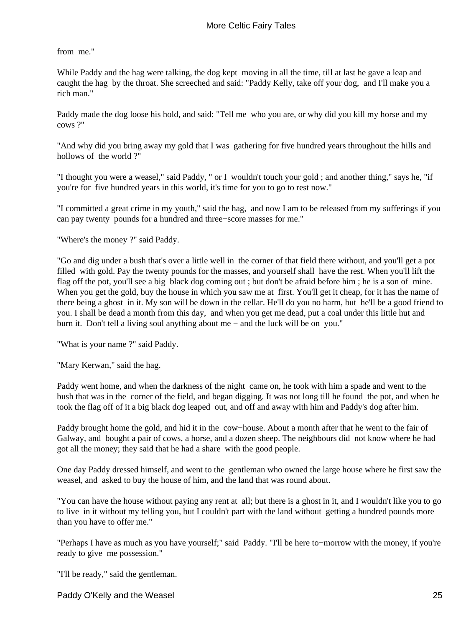from me."

While Paddy and the hag were talking, the dog kept moving in all the time, till at last he gave a leap and caught the hag by the throat. She screeched and said: "Paddy Kelly, take off your dog, and I'll make you a rich man."

Paddy made the dog loose his hold, and said: "Tell me who you are, or why did you kill my horse and my cows ?"

"And why did you bring away my gold that I was gathering for five hundred years throughout the hills and hollows of the world ?"

"I thought you were a weasel," said Paddy, " or I wouldn't touch your gold ; and another thing," says he, "if you're for five hundred years in this world, it's time for you to go to rest now."

"I committed a great crime in my youth," said the hag, and now I am to be released from my sufferings if you can pay twenty pounds for a hundred and three−score masses for me."

"Where's the money ?" said Paddy.

"Go and dig under a bush that's over a little well in the corner of that field there without, and you'll get a pot filled with gold. Pay the twenty pounds for the masses, and yourself shall have the rest. When you'll lift the flag off the pot, you'll see a big black dog coming out ; but don't be afraid before him ; he is a son of mine. When you get the gold, buy the house in which you saw me at first. You'll get it cheap, for it has the name of there being a ghost in it. My son will be down in the cellar. He'll do you no harm, but he'll be a good friend to you. I shall be dead a month from this day, and when you get me dead, put a coal under this little hut and burn it. Don't tell a living soul anything about me − and the luck will be on you."

"What is your name ?" said Paddy.

"Mary Kerwan," said the hag.

Paddy went home, and when the darkness of the night came on, he took with him a spade and went to the bush that was in the corner of the field, and began digging. It was not long till he found the pot, and when he took the flag off of it a big black dog leaped out, and off and away with him and Paddy's dog after him.

Paddy brought home the gold, and hid it in the cow−house. About a month after that he went to the fair of Galway, and bought a pair of cows, a horse, and a dozen sheep. The neighbours did not know where he had got all the money; they said that he had a share with the good people.

One day Paddy dressed himself, and went to the gentleman who owned the large house where he first saw the weasel, and asked to buy the house of him, and the land that was round about.

"You can have the house without paying any rent at all; but there is a ghost in it, and I wouldn't like you to go to live in it without my telling you, but I couldn't part with the land without getting a hundred pounds more than you have to offer me."

"Perhaps I have as much as you have yourself;" said Paddy. "I'll be here to−morrow with the money, if you're ready to give me possession."

"I'll be ready," said the gentleman.

Paddy O'Kelly and the Weasel 25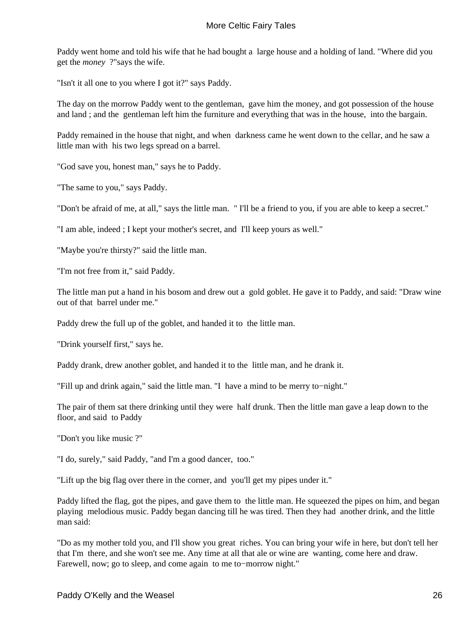Paddy went home and told his wife that he had bought a large house and a holding of land. "Where did you get the *money* ?"says the wife.

"Isn't it all one to you where I got it?" says Paddy.

The day on the morrow Paddy went to the gentleman, gave him the money, and got possession of the house and land ; and the gentleman left him the furniture and everything that was in the house, into the bargain.

Paddy remained in the house that night, and when darkness came he went down to the cellar, and he saw a little man with his two legs spread on a barrel.

"God save you, honest man," says he to Paddy.

"The same to you," says Paddy.

"Don't be afraid of me, at all," says the little man. " I'll be a friend to you, if you are able to keep a secret."

"I am able, indeed ; I kept your mother's secret, and I'll keep yours as well."

"Maybe you're thirsty?" said the little man.

"I'm not free from it," said Paddy.

The little man put a hand in his bosom and drew out a gold goblet. He gave it to Paddy, and said: "Draw wine out of that barrel under me."

Paddy drew the full up of the goblet, and handed it to the little man.

"Drink yourself first," says he.

Paddy drank, drew another goblet, and handed it to the little man, and he drank it.

"Fill up and drink again," said the little man. "I have a mind to be merry to−night."

The pair of them sat there drinking until they were half drunk. Then the little man gave a leap down to the floor, and said to Paddy

"Don't you like music ?"

"I do, surely," said Paddy, "and I'm a good dancer, too."

"Lift up the big flag over there in the corner, and you'll get my pipes under it."

Paddy lifted the flag, got the pipes, and gave them to the little man. He squeezed the pipes on him, and began playing melodious music. Paddy began dancing till he was tired. Then they had another drink, and the little man said:

"Do as my mother told you, and I'll show you great riches. You can bring your wife in here, but don't tell her that I'm there, and she won't see me. Any time at all that ale or wine are wanting, come here and draw. Farewell, now; go to sleep, and come again to me to−morrow night."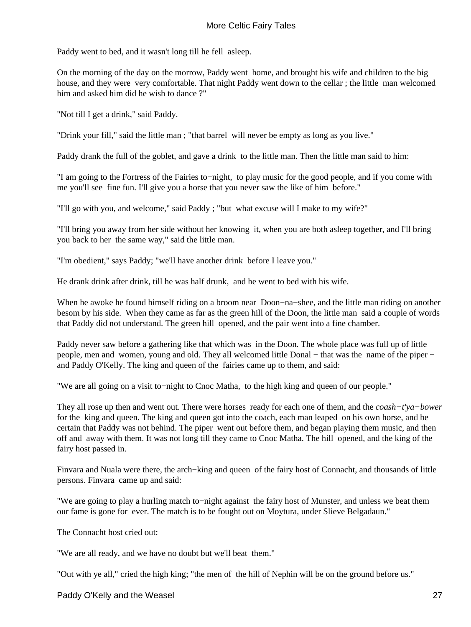Paddy went to bed, and it wasn't long till he fell asleep.

On the morning of the day on the morrow, Paddy went home, and brought his wife and children to the big house, and they were very comfortable. That night Paddy went down to the cellar ; the little man welcomed him and asked him did he wish to dance ?"

"Not till I get a drink," said Paddy.

"Drink your fill," said the little man ; "that barrel will never be empty as long as you live."

Paddy drank the full of the goblet, and gave a drink to the little man. Then the little man said to him:

"I am going to the Fortress of the Fairies to−night, to play music for the good people, and if you come with me you'll see fine fun. I'll give you a horse that you never saw the like of him before."

"I'll go with you, and welcome," said Paddy ; "but what excuse will I make to my wife?"

"I'll bring you away from her side without her knowing it, when you are both asleep together, and I'll bring you back to her the same way," said the little man.

"I'm obedient," says Paddy; "we'll have another drink before I leave you."

He drank drink after drink, till he was half drunk, and he went to bed with his wife.

When he awoke he found himself riding on a broom near Doon−na−shee, and the little man riding on another besom by his side. When they came as far as the green hill of the Doon, the little man said a couple of words that Paddy did not understand. The green hill opened, and the pair went into a fine chamber.

Paddy never saw before a gathering like that which was in the Doon. The whole place was full up of little people, men and women, young and old. They all welcomed little Donal – that was the name of the piper – and Paddy O'Kelly. The king and queen of the fairies came up to them, and said:

"We are all going on a visit to−night to Cnoc Matha, to the high king and queen of our people."

They all rose up then and went out. There were horses ready for each one of them, and the *coash−t'ya−bower* for the king and queen. The king and queen got into the coach, each man leaped on his own horse, and be certain that Paddy was not behind. The piper went out before them, and began playing them music, and then off and away with them. It was not long till they came to Cnoc Matha. The hill opened, and the king of the fairy host passed in.

Finvara and Nuala were there, the arch−king and queen of the fairy host of Connacht, and thousands of little persons. Finvara came up and said:

"We are going to play a hurling match to−night against the fairy host of Munster, and unless we beat them our fame is gone for ever. The match is to be fought out on Moytura, under Slieve Belgadaun."

The Connacht host cried out:

"We are all ready, and we have no doubt but we'll beat them."

"Out with ye all," cried the high king; "the men of the hill of Nephin will be on the ground before us."

Paddy O'Kelly and the Weasel 27 and the Weasel 27 and 27 and 27 and 27 and 27 and 27 and 27 and 27 and 27 and 27 and 27 and 27 and 27 and 27 and 27 and 27 and 27 and 27 and 27 and 27 and 27 and 27 and 27 and 27 and 27 and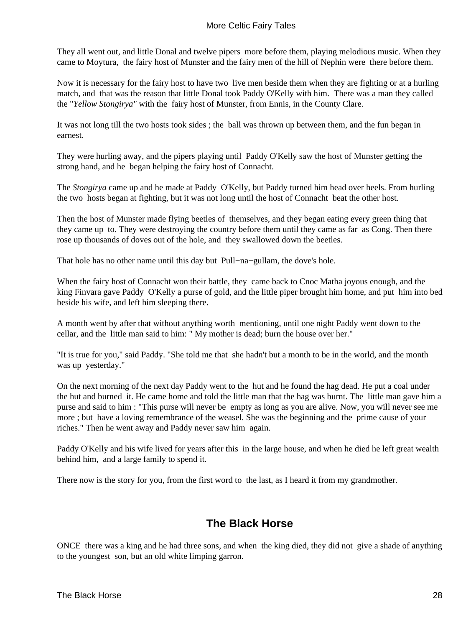<span id="page-29-0"></span>They all went out, and little Donal and twelve pipers more before them, playing melodious music. When they came to Moytura, the fairy host of Munster and the fairy men of the hill of Nephin were there before them.

Now it is necessary for the fairy host to have two live men beside them when they are fighting or at a hurling match, and that was the reason that little Donal took Paddy O'Kelly with him. There was a man they called the "*Yellow Stongirya"* with the fairy host of Munster, from Ennis, in the County Clare.

It was not long till the two hosts took sides ; the ball was thrown up between them, and the fun began in earnest.

They were hurling away, and the pipers playing until Paddy O'Kelly saw the host of Munster getting the strong hand, and he began helping the fairy host of Connacht.

The *Stongirya* came up and he made at Paddy O'Kelly, but Paddy turned him head over heels. From hurling the two hosts began at fighting, but it was not long until the host of Connacht beat the other host.

Then the host of Munster made flying beetles of themselves, and they began eating every green thing that they came up to. They were destroying the country before them until they came as far as Cong. Then there rose up thousands of doves out of the hole, and they swallowed down the beetles.

That hole has no other name until this day but Pull−na−gullam, the dove's hole.

When the fairy host of Connacht won their battle, they came back to Cnoc Matha joyous enough, and the king Finvara gave Paddy O'Kelly a purse of gold, and the little piper brought him home, and put him into bed beside his wife, and left him sleeping there.

A month went by after that without anything worth mentioning, until one night Paddy went down to the cellar, and the little man said to him: " My mother is dead; burn the house over her."

"It is true for you," said Paddy. "She told me that she hadn't but a month to be in the world, and the month was up yesterday."

On the next morning of the next day Paddy went to the hut and he found the hag dead. He put a coal under the hut and burned it. He came home and told the little man that the hag was burnt. The little man gave him a purse and said to him : "This purse will never be empty as long as you are alive. Now, you will never see me more ; but have a loving remembrance of the weasel. She was the beginning and the prime cause of your riches." Then he went away and Paddy never saw him again.

Paddy O'Kelly and his wife lived for years after this in the large house, and when he died he left great wealth behind him, and a large family to spend it.

There now is the story for you, from the first word to the last, as I heard it from my grandmother.

## **The Black Horse**

ONCE there was a king and he had three sons, and when the king died, they did not give a shade of anything to the youngest son, but an old white limping garron.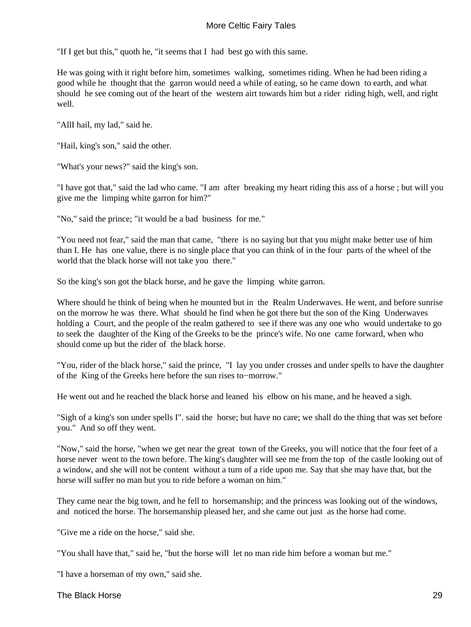"If I get but this," quoth he, "it seems that I had best go with this same.

He was going with it right before him, sometimes walking, sometimes riding. When he had been riding a good while he thought that the garron would need a while of eating, so he came down to earth, and what should he see coming out of the heart of the western airt towards him but a rider riding high, well, and right well.

"AllI hail, my lad," said he.

"Hail, king's son," said the other.

"What's your news?" said the king's son.

"I have got that," said the lad who came. "I am after breaking my heart riding this ass of a horse ; but will you give me the limping white garron for him?"

"No," said the prince; "it would be a bad business for me*.*"

"You need not fear," said the man that came, "there is no saying but that you might make better use of him than I. He has one value, there is no single place that you can think of in the four parts of the wheel of the world that the black horse will not take you there."

So the king's son got the black horse, and he gave the limping white garron.

Where should he think of being when he mounted but in the Realm Underwaves. He went, and before sunrise on the morrow he was there. What should he find when he got there but the son of the King Underwaves holding a Court, and the people of the realm gathered to see if there was any one who would undertake to go to seek the daughter of the King of the Greeks to be the prince's wife. No one came forward, when who should come up but the rider of the black horse.

"You, rider of the black horse," said the prince, "I lay you under crosses and under spells to have the daughter of the King of the Greeks here before the sun rises to−morrow."

He went out and he reached the black horse and leaned his elbow on his mane, and he heaved a sigh.

"Sigh of a king's son under spells I". said the horse; but have no care; we shall do the thing that was set before you." And so off they went.

"Now," said the horse, "when we get near the great town of the Greeks, you will notice that the four feet of a horse never went to the town before. The king's daughter will see me from the top of the castle looking out of a window, and she will not be content without a turn of a ride upon me. Say that she may have that, but the horse will suffer no man but you to ride before a woman on him."

They came near the big town, and he fell to horsemanship; and the princess was looking out of the windows, and noticed the horse. The horsemanship pleased her, and she came out just as the horse had come.

"Give me a ride on the horse," said she.

"You shall have that," said he, "but the horse will let no man ride him before a woman but me."

"I have a horseman of my own," said she.

The Black Horse 29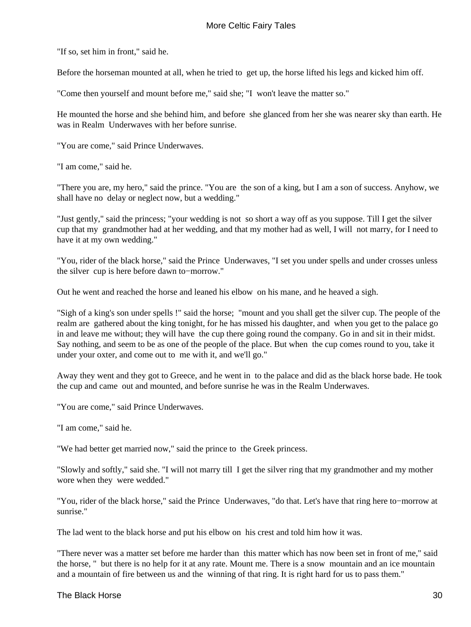"If so, set him in front," said he.

Before the horseman mounted at all, when he tried to get up, the horse lifted his legs and kicked him off.

"Come then yourself and mount before me," said she; "I won't leave the matter so."

He mounted the horse and she behind him, and before she glanced from her she was nearer sky than earth. He was in Realm Underwaves with her before sunrise.

"You are come," said Prince Underwaves.

"I am come," said he.

"There you are, my hero," said the prince. "You are the son of a king, but I am a son of success. Anyhow, we shall have no delay or neglect now, but a wedding."

"Just gently," said the princess; "your wedding is not so short a way off as you suppose. Till I get the silver cup that my grandmother had at her wedding, and that my mother had as well, I will not marry, for I need to have it at my own wedding."

"You, rider of the black horse," said the Prince Underwaves, "I set you under spells and under crosses unless the silver cup is here before dawn to−morrow."

Out he went and reached the horse and leaned his elbow on his mane, and he heaved a sigh.

"Sigh of a king's son under spells !" said the horse; "mount and you shall get the silver cup. The people of the realm are gathered about the king tonight, for he has missed his daughter, and when you get to the palace go in and leave me without; they will have the cup there going round the company. Go in and sit in their midst. Say nothing, and seem to be as one of the people of the place. But when the cup comes round to you, take it under your oxter, and come out to me with it, and we'll go."

Away they went and they got to Greece, and he went in to the palace and did as the black horse bade. He took the cup and came out and mounted, and before sunrise he was in the Realm Underwaves.

"You are come," said Prince Underwaves.

"I am come," said he.

"We had better get married now," said the prince to the Greek princess.

"Slowly and softly," said she. "I will not marry till I get the silver ring that my grandmother and my mother wore when they were wedded."

"You, rider of the black horse," said the Prince Underwaves, "do that. Let's have that ring here to−morrow at sunrise."

The lad went to the black horse and put his elbow on his crest and told him how it was.

"There never was a matter set before me harder than this matter which has now been set in front of me," said the horse, " but there is no help for it at any rate. Mount me. There is a snow mountain and an ice mountain and a mountain of fire between us and the winning of that ring. It is right hard for us to pass them."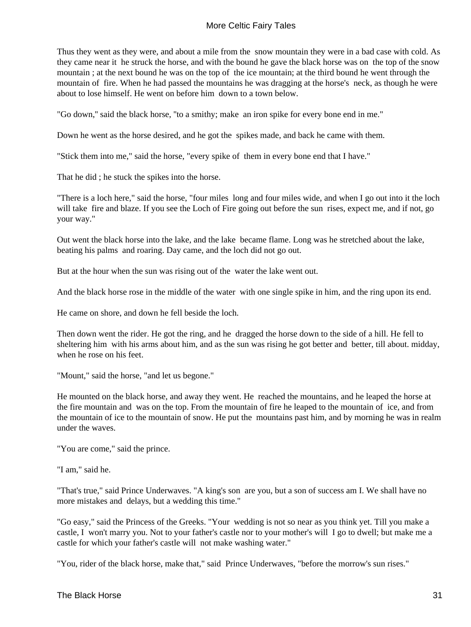Thus they went as they were, and about a mile from the snow mountain they were in a bad case with cold. As they came near it he struck the horse, and with the bound he gave the black horse was on the top of the snow mountain ; at the next bound he was on the top of the ice mountain; at the third bound he went through the mountain of fire. When he had passed the mountains he was dragging at the horse's neck, as though he were about to lose himself. He went on before him down to a town below.

"Go down,'' said the black horse, ''to a smithy; make an iron spike for every bone end in me."

Down he went as the horse desired, and he got the spikes made, and back he came with them.

"Stick them into me," said the horse, "every spike of them in every bone end that I have."

That he did ; he stuck the spikes into the horse.

"There is a loch here," said the horse, "four miles long and four miles wide, and when I go out into it the loch will take fire and blaze. If you see the Loch of Fire going out before the sun rises, expect me, and if not, go your way."

Out went the black horse into the lake, and the lake became flame. Long was he stretched about the lake, beating his palms and roaring. Day came, and the loch did not go out.

But at the hour when the sun was rising out of the water the lake went out.

And the black horse rose in the middle of the water with one single spike in him, and the ring upon its end.

He came on shore, and down he fell beside the loch.

Then down went the rider. He got the ring, and he dragged the horse down to the side of a hill. He fell to sheltering him with his arms about him, and as the sun was rising he got better and better, till about. midday, when he rose on his feet.

"Mount," said the horse, "and let us begone."

He mounted on the black horse, and away they went. He reached the mountains, and he leaped the horse at the fire mountain and was on the top. From the mountain of fire he leaped to the mountain of ice, and from the mountain of ice to the mountain of snow. He put the mountains past him, and by morning he was in realm under the waves.

"You are come," said the prince.

"I am," said he.

"That's true," said Prince Underwaves. "A king's son are you, but a son of success am I. We shall have no more mistakes and delays, but a wedding this time."

"Go easy," said the Princess of the Greeks. "Your wedding is not so near as you think yet. Till you make a castle, I won't marry you. Not to your father's castle nor to your mother's will I go to dwell; but make me a castle for which your father's castle will not make washing water."

"You, rider of the black horse, make that," said Prince Underwaves, "before the morrow's sun rises."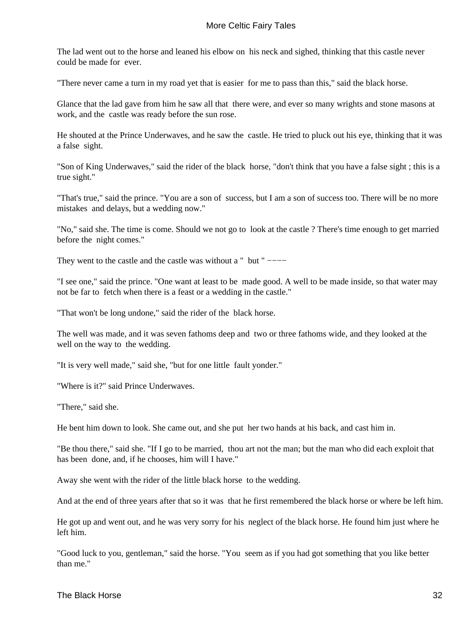The lad went out to the horse and leaned his elbow on his neck and sighed, thinking that this castle never could be made for ever.

"There never came a turn in my road yet that is easier for me to pass than this," said the black horse.

Glance that the lad gave from him he saw all that there were, and ever so many wrights and stone masons at work, and the castle was ready before the sun rose.

He shouted at the Prince Underwaves, and he saw the castle. He tried to pluck out his eye, thinking that it was a false sight.

"Son of King Underwaves," said the rider of the black horse, "don't think that you have a false sight ; this is a true sight."

"That's true," said the prince. "You are a son of success, but I am a son of success too. There will be no more mistakes and delays, but a wedding now."

"No," said she. The time is come. Should we not go to look at the castle ? There's time enough to get married before the night comes."

They went to the castle and the castle was without a " but " −−−−

"I see one," said the prince. "One want at least to be made good. A well to be made inside, so that water may not be far to fetch when there is a feast or a wedding in the castle."

"That won't be long undone," said the rider of the black horse.

The well was made, and it was seven fathoms deep and two or three fathoms wide, and they looked at the well on the way to the wedding.

"It is very well made," said she, "but for one little fault yonder."

"Where is it?" said Prince Underwaves.

"There," said she.

He bent him down to look. She came out, and she put her two hands at his back, and cast him in.

"Be thou there," said she. "If I go to be married, thou art not the man; but the man who did each exploit that has been done, and, if he chooses, him will I have."

Away she went with the rider of the little black horse to the wedding.

And at the end of three years after that so it was that he first remembered the black horse or where be left him.

He got up and went out, and he was very sorry for his neglect of the black horse. He found him just where he left him.

"Good luck to you, gentleman," said the horse. "You seem as if you had got something that you like better than me."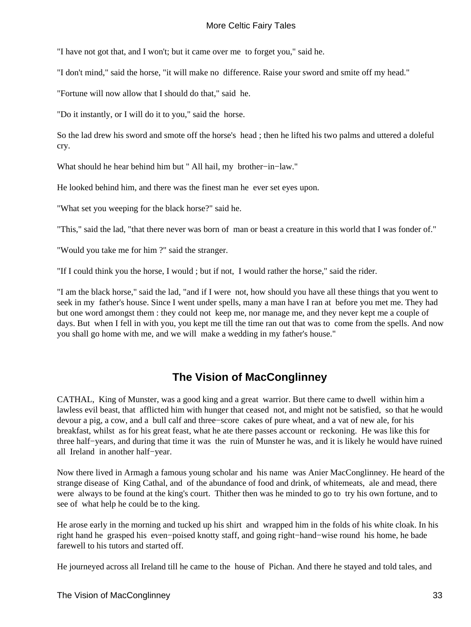<span id="page-34-0"></span>"I have not got that, and I won't; but it came over me to forget you," said he.

"I don't mind," said the horse, "it will make no difference. Raise your sword and smite off my head."

"Fortune will now allow that I should do that," said he.

"Do it instantly, or I will do it to you," said the horse.

So the lad drew his sword and smote off the horse's head ; then he lifted his two palms and uttered a doleful cry.

What should he hear behind him but " All hail, my brother−in−law."

He looked behind him, and there was the finest man he ever set eyes upon.

"What set you weeping for the black horse?" said he.

"This," said the lad, "that there never was born of man or beast a creature in this world that I was fonder of."

"Would you take me for him ?" said the stranger.

"If I could think you the horse, I would ; but if not, I would rather the horse," said the rider.

"I am the black horse," said the lad, "and if I were not, how should you have all these things that you went to seek in my father's house. Since I went under spells, many a man have I ran at before you met me. They had but one word amongst them : they could not keep me, nor manage me, and they never kept me a couple of days. But when I fell in with you, you kept me till the time ran out that was to come from the spells. And now you shall go home with me, and we will make a wedding in my father's house."

## **The Vision of MacConglinney**

CATHAL, King of Munster, was a good king and a great warrior. But there came to dwell within him a lawless evil beast, that afflicted him with hunger that ceased not, and might not be satisfied, so that he would devour a pig, a cow, and a bull calf and three−score cakes of pure wheat, and a vat of new ale, for his breakfast, whilst as for his great feast, what he ate there passes account or reckoning. He was like this for three half−years, and during that time it was the ruin of Munster he was, and it is likely he would have ruined all Ireland in another half−year.

Now there lived in Armagh a famous young scholar and his name was Anier MacConglinney. He heard of the strange disease of King Cathal, and of the abundance of food and drink, of whitemeats, ale and mead, there were always to be found at the king's court. Thither then was he minded to go to try his own fortune, and to see of what help he could be to the king.

He arose early in the morning and tucked up his shirt and wrapped him in the folds of his white cloak. In his right hand he grasped his even−poised knotty staff, and going right−hand−wise round his home, he bade farewell to his tutors and started off.

He journeyed across all Ireland till he came to the house of Pichan. And there he stayed and told tales, and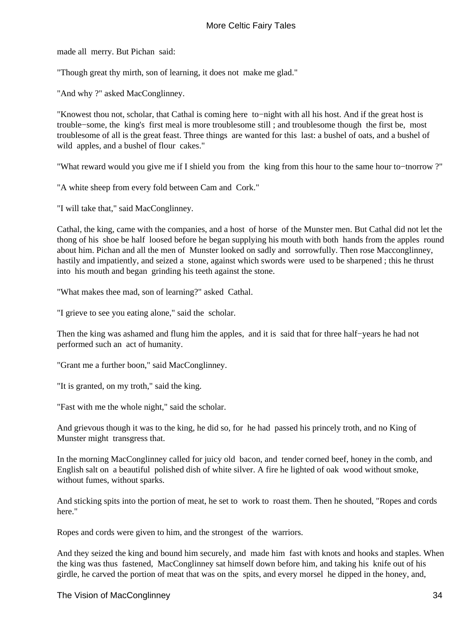made all merry. But Pichan said:

"Though great thy mirth, son of learning, it does not make me glad."

"And why ?" asked MacConglinney.

"Knowest thou not, scholar, that Cathal is coming here to−night with all his host. And if the great host is trouble−some, the king's first meal is more troublesome still ; and troublesome though the first be, most troublesome of all is the great feast. Three things are wanted for this last: a bushel of oats, and a bushel of wild apples, and a bushel of flour cakes."

"What reward would you give me if I shield you from the king from this hour to the same hour to−tnorrow ?"

"A white sheep from every fold between Cam and Cork."

"I will take that," said MacConglinney.

Cathal, the king, came with the companies, and a host of horse of the Munster men. But Cathal did not let the thong of his shoe be half loosed before he began supplying his mouth with both hands from the apples round about him. Pichan and all the men of Munster looked on sadly and sorrowfully. Then rose Macconglinney, hastily and impatiently, and seized a stone, against which swords were used to be sharpened ; this he thrust into his mouth and began grinding his teeth against the stone.

"What makes thee mad, son of learning?" asked Cathal.

"I grieve to see you eating alone," said the scholar.

Then the king was ashamed and flung him the apples, and it is said that for three half−years he had not performed such an act of humanity.

"Grant me a further boon," said MacConglinney.

"It is granted, on my troth," said the king.

"Fast with me the whole night," said the scholar.

And grievous though it was to the king, he did so, for he had passed his princely troth, and no King of Munster might transgress that.

In the morning MacConglinney called for juicy old bacon, and tender corned beef, honey in the comb, and English salt on a beautiful polished dish of white silver. A fire he lighted of oak wood without smoke, without fumes, without sparks.

And sticking spits into the portion of meat, he set to work to roast them. Then he shouted, "Ropes and cords here."

Ropes and cords were given to him, and the strongest of the warriors.

And they seized the king and bound him securely, and made him fast with knots and hooks and staples. When the king was thus fastened, MacConglinney sat himself down before him, and taking his knife out of his girdle, he carved the portion of meat that was on the spits, and every morsel he dipped in the honey, and,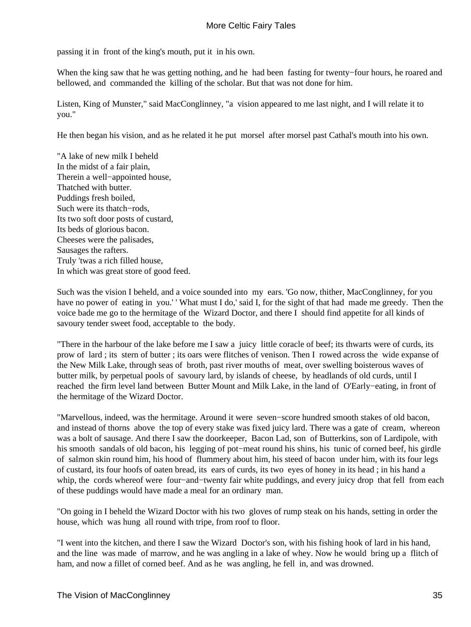passing it in front of the king's mouth, put it in his own.

When the king saw that he was getting nothing, and he had been fasting for twenty−four hours, he roared and bellowed, and commanded the killing of the scholar. But that was not done for him.

Listen, King of Munster," said MacConglinney, "a vision appeared to me last night, and I will relate it to you."

He then began his vision, and as he related it he put morsel after morsel past Cathal's mouth into his own.

"A lake of new milk I beheld In the midst of a fair plain, Therein a well−appointed house, Thatched with butter. Puddings fresh boiled, Such were its thatch−rods, Its two soft door posts of custard, Its beds of glorious bacon. Cheeses were the palisades, Sausages the rafters. Truly 'twas a rich filled house, In which was great store of good feed.

Such was the vision I beheld, and a voice sounded into my ears. 'Go now, thither, MacConglinney, for you have no power of eating in you.' ' What must I do,' said I, for the sight of that had made me greedy. Then the voice bade me go to the hermitage of the Wizard Doctor, and there I should find appetite for all kinds of savoury tender sweet food, acceptable to the body.

"There in the harbour of the lake before me I saw a juicy little coracle of beef; its thwarts were of curds, its prow of lard ; its stern of butter ; its oars were flitches of venison. Then I rowed across the wide expanse of the New Milk Lake, through seas of broth, past river mouths of meat, over swelling boisterous waves of butter milk, by perpetual pools of savoury lard, by islands of cheese, by headlands of old curds, until I reached the firm level land between Butter Mount and Milk Lake, in the land of O'Early−eating, in front of the hermitage of the Wizard Doctor.

"Marvellous, indeed, was the hermitage. Around it were seven−score hundred smooth stakes of old bacon, and instead of thorns above the top of every stake was fixed juicy lard. There was a gate of cream, whereon was a bolt of sausage. And there I saw the doorkeeper, Bacon Lad, son of Butterkins, son of Lardipole, with his smooth sandals of old bacon, his legging of pot−meat round his shins, his tunic of corned beef, his girdle of salmon skin round him, his hood of flummery about him, his steed of bacon under him, with its four legs of custard, its four hoofs of oaten bread, its ears of curds, its two eyes of honey in its head ; in his hand a whip, the cords whereof were four−and−twenty fair white puddings, and every juicy drop that fell from each of these puddings would have made a meal for an ordinary man.

"On going in I beheld the Wizard Doctor with his two gloves of rump steak on his hands, setting in order the house, which was hung all round with tripe, from roof to floor.

"I went into the kitchen, and there I saw the Wizard Doctor's son, with his fishing hook of lard in his hand, and the line was made of marrow, and he was angling in a lake of whey. Now he would bring up a flitch of ham, and now a fillet of corned beef. And as he was angling, he fell in, and was drowned.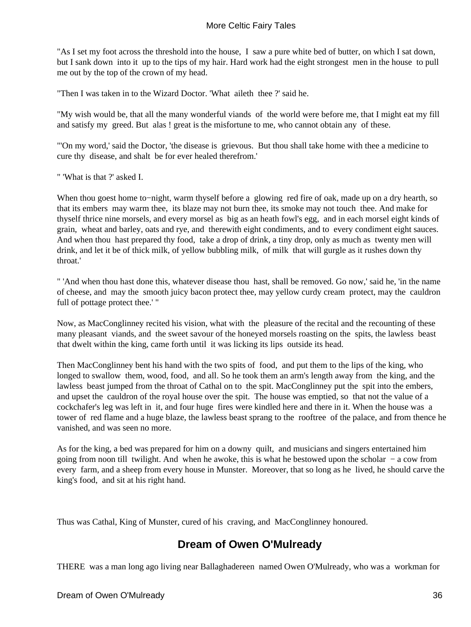"As I set my foot across the threshold into the house, I saw a pure white bed of butter, on which I sat down, but I sank down into it up to the tips of my hair. Hard work had the eight strongest men in the house to pull me out by the top of the crown of my head.

"Then I was taken in to the Wizard Doctor. 'What aileth thee ?' said he.

"My wish would be, that all the many wonderful viands of the world were before me, that I might eat my fill and satisfy my greed. But alas ! great is the misfortune to me, who cannot obtain any of these.

"'On my word,' said the Doctor, 'the disease is grievous. But thou shall take home with thee a medicine to cure thy disease, and shalt be for ever healed therefrom.'

" 'What is that ?' asked I.

When thou goest home to−night, warm thyself before a glowing red fire of oak, made up on a dry hearth, so that its embers may warm thee, its blaze may not burn thee, its smoke may not touch thee. And make for thyself thrice nine morsels, and every morsel as big as an heath fowl's egg, and in each morsel eight kinds of grain, wheat and barley, oats and rye, and therewith eight condiments, and to every condiment eight sauces. And when thou hast prepared thy food, take a drop of drink, a tiny drop, only as much as twenty men will drink, and let it be of thick milk, of yellow bubbling milk, of milk that will gurgle as it rushes down thy throat.'

" 'And when thou hast done this, whatever disease thou hast, shall be removed. Go now,' said he, 'in the name of cheese, and may the smooth juicy bacon protect thee, may yellow curdy cream protect, may the cauldron full of pottage protect thee.' "

Now, as MacConglinney recited his vision, what with the pleasure of the recital and the recounting of these many pleasant viands, and the sweet savour of the honeyed morsels roasting on the spits, the lawless beast that dwelt within the king, came forth until it was licking its lips outside its head.

Then MacConglinney bent his hand with the two spits of food, and put them to the lips of the king, who longed to swallow them, wood, food, and all. So he took them an arm's length away from the king, and the lawless beast jumped from the throat of Cathal on to the spit. MacConglinney put the spit into the embers, and upset the cauldron of the royal house over the spit. The house was emptied, so that not the value of a cockchafer's leg was left in it, and four huge fires were kindled here and there in it. When the house was a tower of red flame and a huge blaze, the lawless beast sprang to the rooftree of the palace, and from thence he vanished, and was seen no more.

As for the king, a bed was prepared for him on a downy quilt, and musicians and singers entertained him going from noon till twilight. And when he awoke, this is what he bestowed upon the scholar − a cow from every farm, and a sheep from every house in Munster. Moreover, that so long as he lived, he should carve the king's food, and sit at his right hand.

Thus was Cathal, King of Munster, cured of his craving, and MacConglinney honoured.

### **Dream of Owen O'Mulready**

THERE was a man long ago living near Ballaghadereen named Owen O'Mulready, who was a workman for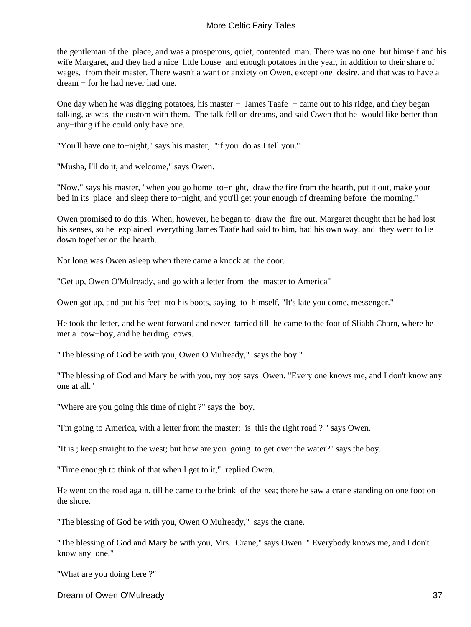the gentleman of the place, and was a prosperous, quiet, contented man. There was no one but himself and his wife Margaret, and they had a nice little house and enough potatoes in the year, in addition to their share of wages, from their master. There wasn't a want or anxiety on Owen, except one desire, and that was to have a dream − for he had never had one.

One day when he was digging potatoes, his master − James Taafe − came out to his ridge, and they began talking, as was the custom with them. The talk fell on dreams, and said Owen that he would like better than any−thing if he could only have one.

"You'll have one to−night," says his master, "if you do as I tell you."

"Musha, I'll do it, and welcome," says Owen.

"Now," says his master, "when you go home to−night, draw the fire from the hearth, put it out, make your bed in its place and sleep there to−night, and you'll get your enough of dreaming before the morning."

Owen promised to do this. When, however, he began to draw the fire out, Margaret thought that he had lost his senses, so he explained everything James Taafe had said to him, had his own way, and they went to lie down together on the hearth.

Not long was Owen asleep when there came a knock at the door.

"Get up, Owen O'Mulready, and go with a letter from the master to America"

Owen got up, and put his feet into his boots, saying to himself, "It's late you come, messenger."

He took the letter, and he went forward and never tarried till he came to the foot of Sliabh Charn, where he met a cow−boy, and he herding cows.

"The blessing of God be with you, Owen O'Mulready," says the boy."

"The blessing of God and Mary be with you, my boy says Owen. "Every one knows me, and I don't know any one at all."

"Where are you going this time of night ?" says the boy.

"I'm going to America, with a letter from the master; is this the right road ? " says Owen.

"It is ; keep straight to the west; but how are you going to get over the water?" says the boy.

"Time enough to think of that when I get to it," replied Owen.

He went on the road again, till he came to the brink of the sea; there he saw a crane standing on one foot on the shore.

"The blessing of God be with you, Owen O'Mulready," says the crane.

"The blessing of God and Mary be with you, Mrs. Crane," says Owen. " Everybody knows me, and I don't know any one."

"What are you doing here ?"

Dream of Owen O'Mulready 37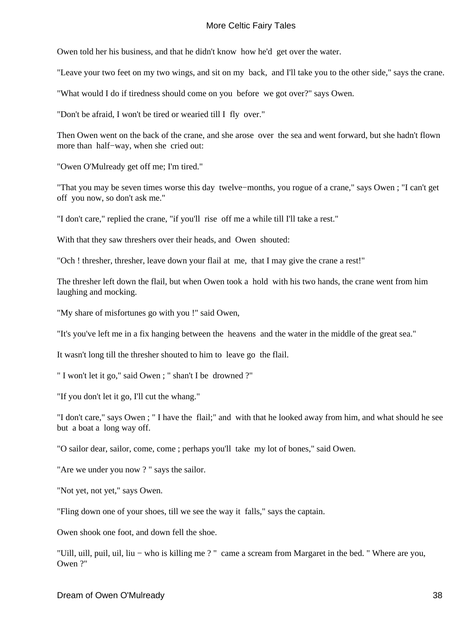Owen told her his business, and that he didn't know how he'd get over the water.

"Leave your two feet on my two wings, and sit on my back, and I'll take you to the other side," says the crane.

"What would I do if tiredness should come on you before we got over?" says Owen.

"Don't be afraid, I won't be tired or wearied till I fly over."

Then Owen went on the back of the crane, and she arose over the sea and went forward, but she hadn't flown more than half−way, when she cried out:

"Owen O'Mulready get off me; I'm tired."

"That you may be seven times worse this day twelve−months, you rogue of a crane," says Owen ; "I can't get off you now, so don't ask me."

"I don't care," replied the crane, "if you'll rise off me a while till I'll take a rest."

With that they saw threshers over their heads, and Owen shouted:

"Och ! thresher, thresher, leave down your flail at me, that I may give the crane a rest!"

The thresher left down the flail, but when Owen took a hold with his two hands, the crane went from him laughing and mocking.

"My share of misfortunes go with you !" said Owen,

"It's you've left me in a fix hanging between the heavens and the water in the middle of the great sea."

It wasn't long till the thresher shouted to him to leave go the flail.

" I won't let it go," said Owen ; " shan't I be drowned ?"

"If you don't let it go, I'll cut the whang."

"I don't care," says Owen ; " I have the flail;" and with that he looked away from him, and what should he see but a boat a long way off.

"O sailor dear, sailor, come, come ; perhaps you'll take my lot of bones," said Owen.

"Are we under you now ? " says the sailor.

"Not yet, not yet," says Owen.

"Fling down one of your shoes, till we see the way it falls," says the captain.

Owen shook one foot, and down fell the shoe.

"Uill, uill, puil, uil, liu − who is killing me ? " came a scream from Margaret in the bed. " Where are you, Owen ?"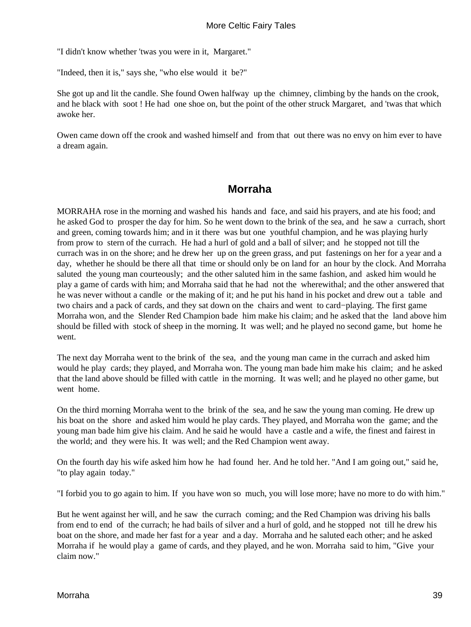"I didn't know whether 'twas you were in it, Margaret."

"Indeed, then it is," says she, "who else would it be?"

She got up and lit the candle. She found Owen halfway up the chimney, climbing by the hands on the crook, and he black with soot ! He had one shoe on, but the point of the other struck Margaret, and 'twas that which awoke her.

Owen came down off the crook and washed himself and from that out there was no envy on him ever to have a dream again.

### **Morraha**

MORRAHA rose in the morning and washed his hands and face, and said his prayers, and ate his food; and he asked God to prosper the day for him. So he went down to the brink of the sea, and he saw a currach, short and green, coming towards him; and in it there was but one youthful champion, and he was playing hurly from prow to stern of the currach. He had a hurl of gold and a ball of silver; and he stopped not till the currach was in on the shore; and he drew her up on the green grass, and put fastenings on her for a year and a day, whether he should be there all that time or should only be on land for an hour by the clock. And Morraha saluted the young man courteously; and the other saluted him in the same fashion, and asked him would he play a game of cards with him; and Morraha said that he had not the wherewithal; and the other answered that he was never without a candle or the making of it; and he put his hand in his pocket and drew out a table and two chairs and a pack of cards, and they sat down on the chairs and went to card−playing. The first game Morraha won, and the Slender Red Champion bade him make his claim; and he asked that the land above him should be filled with stock of sheep in the morning. It was well; and he played no second game, but home he went.

The next day Morraha went to the brink of the sea, and the young man came in the currach and asked him would he play cards; they played, and Morraha won. The young man bade him make his claim; and he asked that the land above should be filled with cattle in the morning. It was well; and he played no other game, but went home.

On the third morning Morraha went to the brink of the sea, and he saw the young man coming. He drew up his boat on the shore and asked him would he play cards. They played, and Morraha won the game; and the young man bade him give his claim. And he said he would have a castle and a wife, the finest and fairest in the world; and they were his. It was well; and the Red Champion went away.

On the fourth day his wife asked him how he had found her. And he told her. "And I am going out," said he, "to play again today."

"I forbid you to go again to him. If you have won so much, you will lose more; have no more to do with him."

But he went against her will, and he saw the currach coming; and the Red Champion was driving his balls from end to end of the currach; he had bails of silver and a hurl of gold, and he stopped not till he drew his boat on the shore, and made her fast for a year and a day. Morraha and he saluted each other; and he asked Morraha if he would play a game of cards, and they played, and he won. Morraha said to him, "Give your claim now."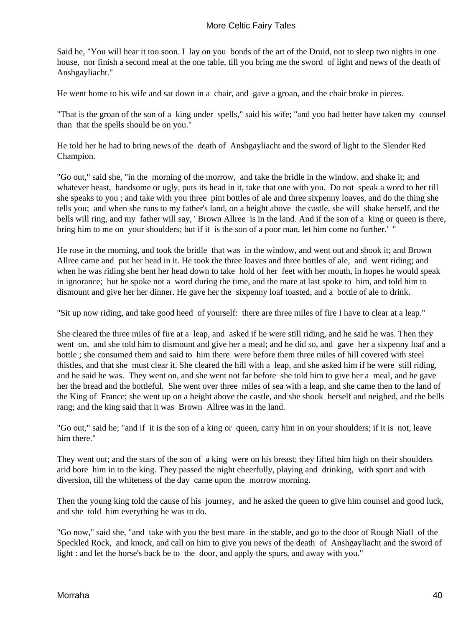Said he, "You will hear it too soon. I lay on you bonds of the art of the Druid, not to sleep two nights in one house, nor finish a second meal at the one table, till you bring me the sword of light and news of the death of Anshgayliacht."

He went home to his wife and sat down in a chair, and gave a groan, and the chair broke in pieces.

"That is the groan of the son of a king under spells," said his wife; "and you had better have taken my counsel than that the spells should be on you."

He told her he had to bring news of the death of Anshgayliacht and the sword of light to the Slender Red Champion.

"Go out," said she, "in the morning of the morrow, and take the bridle in the window. and shake it; and whatever beast, handsome or ugly, puts its head in it, take that one with you. Do not speak a word to her till she speaks to you ; and take with you three pint bottles of ale and three sixpenny loaves, and do the thing she tells you; and when she runs to my father's land, on a height above the castle, she will shake herself, and the bells will ring, and my father will say, ' Brown Allree is in the land. And if the son of a king or queen is there, bring him to me on your shoulders; but if it is the son of a poor man, let him come no further.' "

He rose in the morning, and took the bridle that was in the window, and went out and shook it; and Brown Allree came and put her head in it. He took the three loaves and three bottles of ale, and went riding; and when he was riding she bent her head down to take hold of her feet with her mouth, in hopes he would speak in ignorance; but he spoke not a word during the time, and the mare at last spoke to him, and told him to dismount and give her her dinner. He gave her the sixpenny loaf toasted, and a bottle of ale to drink.

"Sit up now riding, and take good heed of yourself: there are three miles of fire I have to clear at a leap."

She cleared the three miles of fire at a leap, and asked if he were still riding, and he said he was. Then they went on, and she told him to dismount and give her a meal; and he did so, and gave her a sixpenny loaf and a bottle ; she consumed them and said to him there were before them three miles of hill covered with steel thistles, and that she must clear it. She cleared the hill with a leap, and she asked him if he were still riding, and he said he was. They went on, and she went not far before she told him to give her a meal, and he gave her the bread and the bottleful. She went over three miles of sea with a leap, and she came then to the land of the King of France; she went up on a height above the castle, and she shook herself and neighed, and the bells rang; and the king said that it was Brown Allree was in the land.

"Go out," said he; "and if it is the son of a king or queen, carry him in on your shoulders; if it is not, leave him there."

They went out; and the stars of the son of a king were on his breast; they lifted him high on their shoulders arid bore him in to the king. They passed the night cheerfully, playing and drinking, with sport and with diversion, till the whiteness of the day came upon the morrow morning.

Then the young king told the cause of his journey, and he asked the queen to give him counsel and good luck, and she told him everything he was to do.

"Go now," said she, "and take with you the best mare in the stable, and go to the door of Rough Niall of the Speckled Rock, and knock, and call on him to give you news of the death of Anshgayliacht and the sword of light : and let the horse's back be to the door, and apply the spurs, and away with you."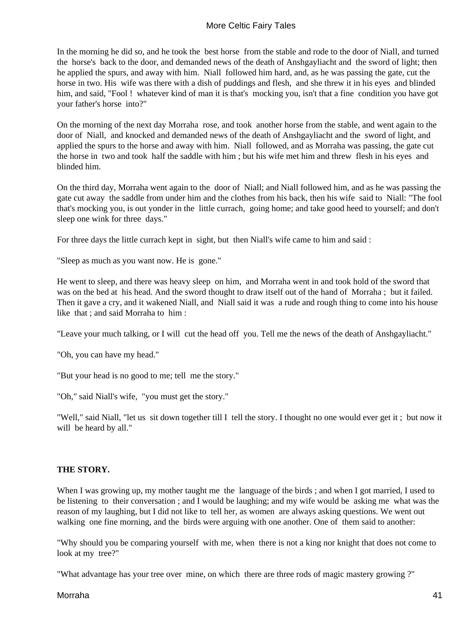In the morning he did so, and he took the best horse from the stable and rode to the door of Niall, and turned the horse's back to the door, and demanded news of the death of Anshgayliacht and the sword of light; then he applied the spurs, and away with him. Niall followed him hard, and, as he was passing the gate, cut the horse in two. His wife was there with a dish of puddings and flesh, and she threw it in his eyes and blinded him, and said, "Fool ! whatever kind of man it is that's mocking you, isn't that a fine condition you have got your father's horse into?"

On the morning of the next day Morraha rose, and took another horse from the stable, and went again to the door of Niall, and knocked and demanded news of the death of Anshgayliacht and the sword of light, and applied the spurs to the horse and away with him. Niall followed, and as Morraha was passing, the gate cut the horse in two and took half the saddle with him ; but his wife met him and threw flesh in his eyes and blinded him.

On the third day, Morraha went again to the door of Niall; and Niall followed him, and as he was passing the gate cut away the saddle from under him and the clothes from his back, then his wife said to Niall: "The fool that's mocking you, is out yonder in the little currach, going home; and take good heed to yourself; and don't sleep one wink for three days."

For three days the little currach kept in sight, but then Niall's wife came to him and said :

"Sleep as much as you want now. He is gone."

He went to sleep, and there was heavy sleep on him, and Morraha went in and took hold of the sword that was on the bed at his head. And the sword thought to draw itself out of the hand of Morraha ; but it failed. Then it gave a cry, and it wakened Niall, and Niall said it was a rude and rough thing to come into his house like that ; and said Morraha to him :

"Leave your much talking, or I will cut the head off you. Tell me the news of the death of Anshgayliacht."

"Oh, you can have my head."

"But your head is no good to me; tell me the story."

"Oh," said Niall's wife, "you must get the story."

"Well," said Niall, "let us sit down together till I tell the story. I thought no one would ever get it ; but now it will be heard by all."

#### **THE STORY.**

When I was growing up, my mother taught me the language of the birds; and when I got married, I used to be listening to their conversation ; and I would be laughing; and my wife would be asking me what was the reason of my laughing, but I did not like to tell her, as women are always asking questions. We went out walking one fine morning, and the birds were arguing with one another. One of them said to another:

"Why should you be comparing yourself with me, when there is not a king nor knight that does not come to look at my tree?"

"What advantage has your tree over mine, on which there are three rods of magic mastery growing ?"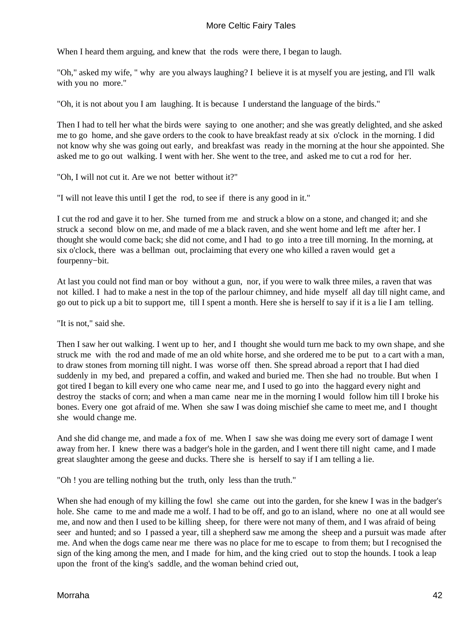When I heard them arguing, and knew that the rods were there, I began to laugh.

"Oh," asked my wife, " why are you always laughing? I believe it is at myself you are jesting, and I'll walk with you no more."

"Oh, it is not about you I am laughing. It is because I understand the language of the birds."

Then I had to tell her what the birds were saying to one another; and she was greatly delighted, and she asked me to go home, and she gave orders to the cook to have breakfast ready at six o'clock in the morning. I did not know why she was going out early, and breakfast was ready in the morning at the hour she appointed. She asked me to go out walking. I went with her. She went to the tree, and asked me to cut a rod for her.

"Oh, I will not cut it. Are we not better without it?"

"I will not leave this until I get the rod, to see if there is any good in it."

I cut the rod and gave it to her. She turned from me and struck a blow on a stone, and changed it; and she struck a second blow on me, and made of me a black raven, and she went home and left me after her. I thought she would come back; she did not come, and I had to go into a tree till morning. In the morning, at six o'clock, there was a bellman out, proclaiming that every one who killed a raven would get a fourpenny−bit.

At last you could not find man or boy without a gun, nor, if you were to walk three miles, a raven that was not killed. I had to make a nest in the top of the parlour chimney, and hide myself all day till night came, and go out to pick up a bit to support me, till I spent a month. Here she is herself to say if it is a lie I am telling.

"It is not," said she.

Then I saw her out walking. I went up to her, and I thought she would turn me back to my own shape, and she struck me with the rod and made of me an old white horse, and she ordered me to be put to a cart with a man, to draw stones from morning till night. I was worse off then. She spread abroad a report that I had died suddenly in my bed, and prepared a coffin, and waked and buried me. Then she had no trouble. But when I got tired I began to kill every one who came near me, and I used to go into the haggard every night and destroy the stacks of corn; and when a man came near me in the morning I would follow him till I broke his bones. Every one got afraid of me. When she saw I was doing mischief she came to meet me, and I thought she would change me.

And she did change me, and made a fox of me. When I saw she was doing me every sort of damage I went away from her. I knew there was a badger's hole in the garden, and I went there till night came, and I made great slaughter among the geese and ducks. There she is herself to say if I am telling a lie.

"Oh ! you are telling nothing but the truth, only less than the truth."

When she had enough of my killing the fowl she came out into the garden, for she knew I was in the badger's hole. She came to me and made me a wolf. I had to be off, and go to an island, where no one at all would see me, and now and then I used to be killing sheep, for there were not many of them, and I was afraid of being seer and hunted; and so I passed a year, till a shepherd saw me among the sheep and a pursuit was made after me. And when the dogs came near me there was no place for me to escape to from them; but I recognised the sign of the king among the men, and I made for him, and the king cried out to stop the hounds. I took a leap upon the front of the king's saddle, and the woman behind cried out,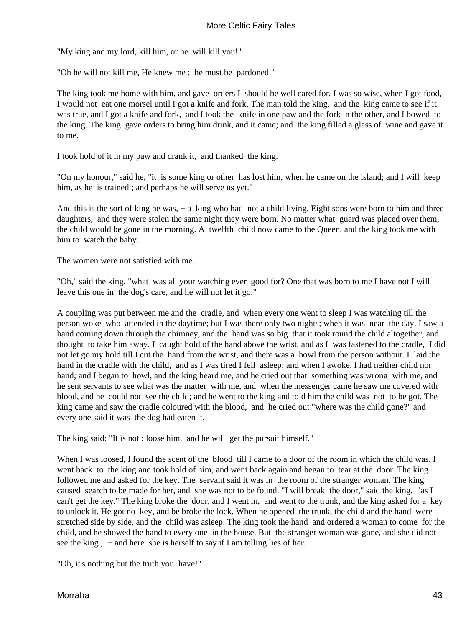"My king and my lord, kill him, or he will kill you!"

"Oh he will not kill me, He knew me ; he must be pardoned."

The king took me home with him, and gave orders I should be well cared for. I was so wise, when I got food, I would not eat one morsel until I got a knife and fork. The man told the king, and the king came to see if it was true, and I got a knife and fork, and I took the knife in one paw and the fork in the other, and I bowed to the king. The king gave orders to bring him drink, and it came; and the king filled a glass of wine and gave it to me.

I took hold of it in my paw and drank it, and thanked the king.

"On my honour," said he, "it is some king or other has lost him, when he came on the island; and I will keep him, as he is trained; and perhaps he will serve us yet."

And this is the sort of king he was, − a king who had not a child living. Eight sons were born to him and three daughters, and they were stolen the same night they were born. No matter what guard was placed over them, the child would be gone in the morning. A twelfth child now came to the Queen, and the king took me with him to watch the baby.

The women were not satisfied with me.

"Oh," said the king, "what was all your watching ever good for? One that was born to me I have not I will leave this one in the dog's care, and he will not let it go."

A coupling was put between me and the cradle, and when every one went to sleep I was watching till the person woke who attended in the daytime; but I was there only two nights; when it was near the day, I saw a hand coming down through the chimney, and the hand was so big that it took round the child altogether, and thought to take him away. I caught hold of the hand above the wrist, and as I was fastened to the cradle, I did not let go my hold till I cut the hand from the wrist, and there was a howl from the person without. I laid the hand in the cradle with the child, and as I was tired I fell asleep; and when I awoke, I had neither child nor hand; and I began to howl, and the king heard me, and he cried out that something was wrong with me, and he sent servants to see what was the matter with me, and when the messenger came he saw me covered with blood, and he could not see the child; and he went to the king and told him the child was not to be got. The king came and saw the cradle coloured with the blood, and he cried out "where was the child gone?" and every one said it was the dog had eaten it.

The king said: "It is not : loose him, and he will get the pursuit himself."

When I was loosed, I found the scent of the blood till I came to a door of the room in which the child was. I went back to the king and took hold of him, and went back again and began to tear at the door. The king followed me and asked for the key. The servant said it was in the room of the stranger woman. The king caused search to be made for her, and she was not to be found. "I will break the door," said the king, "as I can't get the key." The king broke the door, and I went in, and went to the trunk, and the king asked for a key to unlock it. He got no key, and be broke the lock. When he opened the trunk, the child and the hand were stretched side by side, and the child was asleep. The king took the hand and ordered a woman to come for the child, and he showed the hand to every one in the house. But the stranger woman was gone, and she did not see the king ;  $-$  and here she is herself to say if I am telling lies of her.

"Oh, it's nothing but the truth you have!"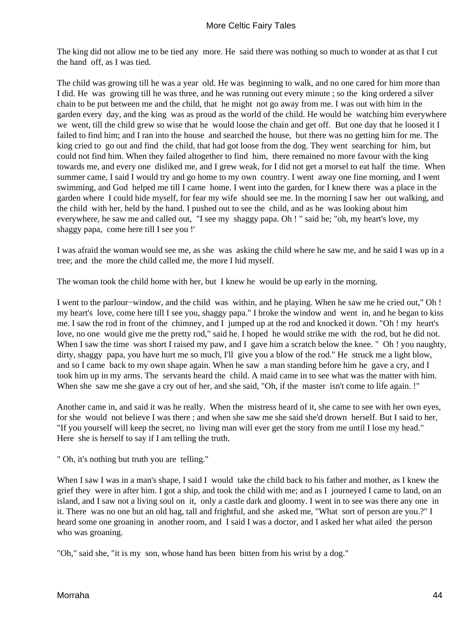The king did not allow me to be tied any more. He said there was nothing so much to wonder at as that I cut the hand off, as I was tied.

The child was growing till he was a year old. He was beginning to walk, and no one cared for him more than I did. He was growing till he was three, and he was running out every minute ; so the king ordered a silver chain to be put between me and the child, that he might not go away from me. I was out with him in the garden every day, and the king was as proud as the world of the child. He would be watching him everywhere we went, till the child grew so wise that he would loose the chain and get off. But one day that he loosed it I failed to find him; and I ran into the house and searched the house, but there was no getting him for me. The king cried to go out and find the child, that had got loose from the dog. They went searching for him, but could not find him. When they failed altogether to find him, there remained no more favour with the king towards me, and every one disliked me, and I grew weak, for I did not get a morsel to eat half the time. When summer came, I said I would try and go home to my own country. I went away one fine morning, and I went swimming, and God helped me till I came home. I went into the garden, for I knew there was a place in the garden where I could hide myself, for fear my wife should see me. In the morning I saw her out walking, and the child with her, held by the hand. I pushed out to see the child, and as he was looking about him everywhere, he saw me and called out, "I see my shaggy papa. Oh ! " said he; "oh, my heart's love, my shaggy papa, come here till I see you !'

I was afraid the woman would see me, as she was asking the child where he saw me, and he said I was up in a tree; and the more the child called me, the more I hid myself.

The woman took the child home with her, but I knew he would be up early in the morning.

I went to the parlour−window, and the child was within, and he playing. When he saw me he cried out," Oh ! my heart's love, come here till I see you, shaggy papa." I broke the window and went in, and he began to kiss me. I saw the rod in front of the chimney, and I jumped up at the rod and knocked it down. "Oh ! my heart's love, no one would give me the pretty rod," said he. I hoped he would strike me with the rod, but he did not. When I saw the time was short I raised my paw, and I gave him a scratch below the knee. " Oh ! you naughty, dirty, shaggy papa, you have hurt me so much, I'll give you a blow of the rod." He struck me a light blow, and so I came back to my own shape again. When he saw a man standing before him he gave a cry, and I took him up in my arms. The servants heard the child. A maid came in to see what was the matter with him. When she saw me she gave a cry out of her, and she said, "Oh, if the master isn't come to life again. !"

Another came in, and said it was he really. When the mistress heard of it, she came to see with her own eyes, for she would not believe I was there ; and when she saw me she said she'd drown herself. But I said to her, "If you yourself will keep the secret, no living man will ever get the story from me until I lose my head." Here she is herself to say if I am telling the truth.

" Oh, it's nothing but truth you are telling."

When I saw I was in a man's shape, I said I would take the child back to his father and mother, as I knew the grief they were in after him. I got a ship, and took the child with me; and as I journeyed I came to land, on an island, and I saw not a living soul on it, only a castle dark and gloomy. I went in to see was there any one in it. There was no one but an old hag, tall and frightful, and she asked me, "What sort of person are you.?" I heard some one groaning in another room, and I said I was a doctor, and I asked her what ailed the person who was groaning.

"Oh," said she, "it is my son, whose hand has been bitten from his wrist by a dog."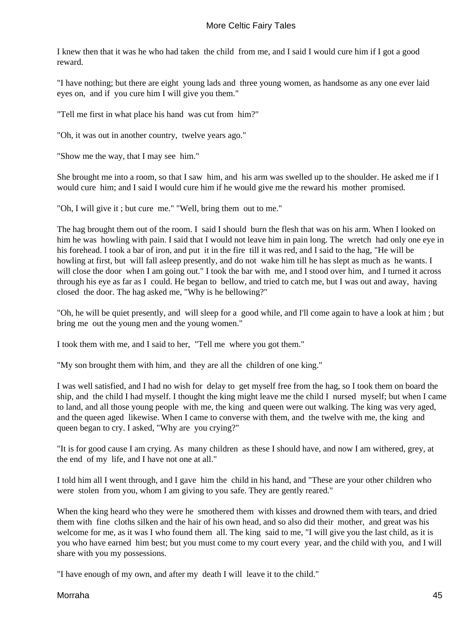I knew then that it was he who had taken the child from me, and I said I would cure him if I got a good reward.

"I have nothing; but there are eight young lads and three young women, as handsome as any one ever laid eyes on, and if you cure him I will give you them."

"Tell me first in what place his hand was cut from him?"

"Oh, it was out in another country, twelve years ago."

"Show me the way, that I may see him."

She brought me into a room, so that I saw him, and his arm was swelled up to the shoulder. He asked me if I would cure him; and I said I would cure him if he would give me the reward his mother promised.

"Oh, I will give it ; but cure me." "Well, bring them out to me."

The hag brought them out of the room. I said I should burn the flesh that was on his arm. When I looked on him he was howling with pain. I said that I would not leave him in pain long. The wretch had only one eye in his forehead. I took a bar of iron, and put it in the fire till it was red, and I said to the hag, "He will be howling at first*,* but will fall asleep presently, and do not wake him till he has slept as much as he wants. I will close the door when I am going out." I took the bar with me, and I stood over him, and I turned it across through his eye as far as I could. He began to bellow, and tried to catch me, but I was out and away, having closed the door. The hag asked me, "Why is he bellowing?"

"Oh, he will be quiet presently, and will sleep for a good while, and I'll come again to have a look at him ; but bring me out the young men and the young women."

I took them with me, and I said to her, "Tell me where you got them."

"My son brought them with him, and they are all the children of one king."

I was well satisfied, and I had no wish for delay to get myself free from the hag, so I took them on board the ship, and the child I had myself. I thought the king might leave me the child I nursed myself; but when I came to land, and all those young people with me, the king and queen were out walking. The king was very aged, and the queen aged likewise. When I came to converse with them, and the twelve with me, the king and queen began to cry. I asked, "Why are you crying?"

"It is for good cause I am crying. As many children as these I should have, and now I am withered, grey, at the end of my life, and I have not one at all."

I told him all I went through, and I gave him the child in his hand, and "These are your other children who were stolen from you, whom I am giving to you safe. They are gently reared."

When the king heard who they were he smothered them with kisses and drowned them with tears, and dried them with fine cloths silken and the hair of his own head, and so also did their mother, and great was his welcome for me, as it was I who found them all. The king said to me, "I will give you the last child, as it is you who have earned him best; but you must come to my court every year, and the child with you, and I will share with you my possessions.

"I have enough of my own, and after my death I will leave it to the child."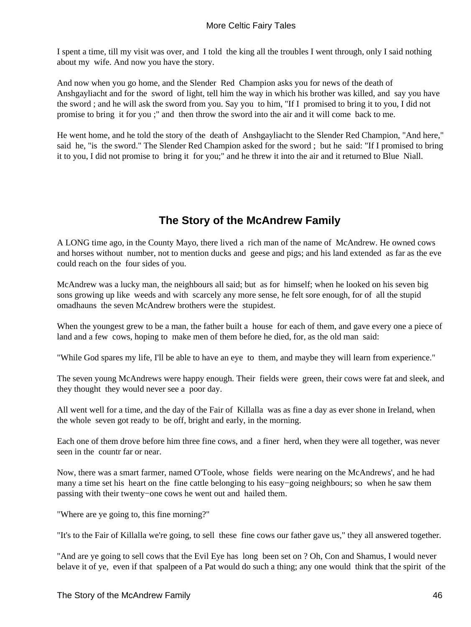I spent a time, till my visit was over, and I told the king all the troubles I went through, only I said nothing about my wife. And now you have the story.

And now when you go home, and the Slender Red Champion asks you for news of the death of Anshgayliacht and for the sword of light, tell him the way in which his brother was killed, and say you have the sword ; and he will ask the sword from you. Say you to him, "If I promised to bring it to you, I did not promise to bring it for you ;" and then throw the sword into the air and it will come back to me.

He went home, and he told the story of the death of Anshgayliacht to the Slender Red Champion, "And here," said he, "is the sword." The Slender Red Champion asked for the sword ; but he said: "If I promised to bring it to you, I did not promise to bring it for you;" and he threw it into the air and it returned to Blue Niall.

# **The Story of the McAndrew Family**

A LONG time ago, in the County Mayo, there lived a rich man of the name of McAndrew. He owned cows and horses without number, not to mention ducks and geese and pigs; and his land extended as far as the eve could reach on the four sides of you.

McAndrew was a lucky man, the neighbours all said; but as for himself; when he looked on his seven big sons growing up like weeds and with scarcely any more sense, he felt sore enough, for of all the stupid omadhauns the seven McAndrew brothers were the stupidest.

When the youngest grew to be a man, the father built a house for each of them, and gave every one a piece of land and a few cows, hoping to make men of them before he died, for, as the old man said:

"While God spares my life, I'll be able to have an eye to them, and maybe they will learn from experience."

The seven young McAndrews were happy enough. Their fields were green, their cows were fat and sleek, and they thought they would never see a poor day.

All went well for a time, and the day of the Fair of Killalla was as fine a day as ever shone in Ireland, when the whole seven got ready to be off*,* bright and early, in the morning.

Each one of them drove before him three fine cows, and a finer herd, when they were all together, was never seen in the countr far or near.

Now, there was a smart farmer, named O'Toole, whose fields were nearing on the McAndrews', and he had many a time set his heart on the fine cattle belonging to his easy−going neighbours; so when he saw them passing with their twenty−one cows he went out and hailed them.

"Where are ye going to, this fine morning?"

"It's to the Fair of Killalla we're going, to sell these fine cows our father gave us," they all answered together.

"And are ye going to sell cows that the Evil Eye has long been set on ? Oh, Con and Shamus, I would never belave it of ye, even if that spalpeen of a Pat would do such a thing; any one would think that the spirit of the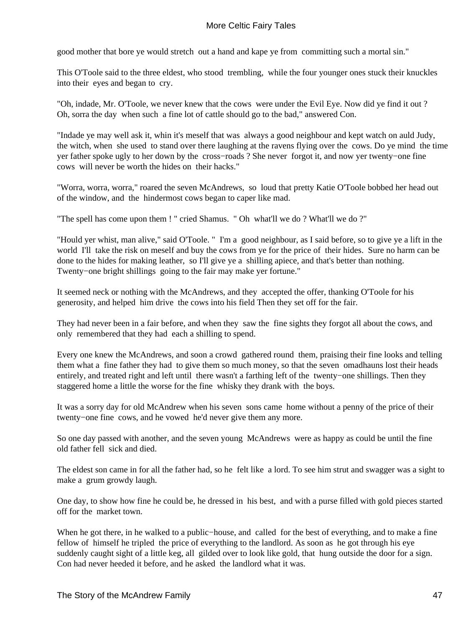good mother that bore ye would stretch out a hand and kape ye from committing such a mortal sin."

This O'Toole said to the three eldest, who stood trembling, while the four younger ones stuck their knuckles into their eyes and began to cry.

"Oh, indade, Mr. O'Toole, we never knew that the cows were under the Evil Eye. Now did ye find it out ? Oh, sorra the day when such a fine lot of cattle should go to the bad," answered Con.

"Indade ye may well ask it, whin it's meself that was always a good neighbour and kept watch on auld Judy, the witch, when she used to stand over there laughing at the ravens flying over the cows. Do ye mind the time yer father spoke ugly to her down by the cross−roads ? She never forgot it, and now yer twenty−one fine cows will never be worth the hides on their hacks."

"Worra, worra, worra," roared the seven McAndrews, so loud that pretty Katie O'Toole bobbed her head out of the window, and the hindermost cows began to caper like mad.

"The spell has come upon them ! " cried Shamus. " Oh what'll we do ? What'll we do ?"

"Hould yer whist, man alive," said O'Toole. " I'm a good neighbour, as I said before, so to give ye a lift in the world I'll take the risk on meself and buy the cows from ye for the price of their hides. Sure no harm can be done to the hides for making leather, so I'll give ye a shilling apiece, and that's better than nothing. Twenty−one bright shillings going to the fair may make yer fortune."

It seemed neck or nothing with the McAndrews, and they accepted the offer, thanking O'Toole for his generosity, and helped him drive the cows into his field Then they set off for the fair.

They had never been in a fair before, and when they saw the fine sights they forgot all about the cows, and only remembered that they had each a shilling to spend.

Every one knew the McAndrews, and soon a crowd gathered round them, praising their fine looks and telling them what a fine father they had to give them so much money, so that the seven omadhauns lost their heads entirely, and treated right and left until there wasn't a farthing left of the twenty−one shillings. Then they staggered home a little the worse for the fine whisky they drank with the boys.

It was a sorry day for old McAndrew when his seven sons came home without a penny of the price of their twenty−one fine cows, and he vowed he'd never give them any more.

So one day passed with another, and the seven young McAndrews were as happy as could be until the fine old father fell sick and died.

The eldest son came in for all the father had, so he felt like a lord. To see him strut and swagger was a sight to make a grum growdy laugh.

One day, to show how fine he could be, he dressed in his best, and with a purse filled with gold pieces started off for the market town.

When he got there, in he walked to a public−house, and called for the best of everything, and to make a fine fellow of himself he tripled the price of everything to the landlord. As soon as he got through his eye suddenly caught sight of a little keg, all gilded over to look like gold, that hung outside the door for a sign. Con had never heeded it before, and he asked the landlord what it was.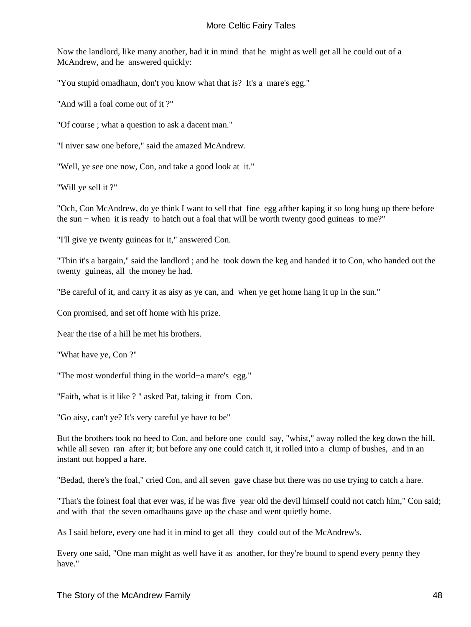Now the landlord, like many another, had it in mind that he might as well get all he could out of a McAndrew, and he answered quickly:

"You stupid omadhaun, don't you know what that is? It's a mare's egg."

"And will a foal come out of it ?"

"Of course ; what a question to ask a dacent man."

"I niver saw one before," said the amazed McAndrew.

"Well, ye see one now, Con, and take a good look at it."

"Will ye sell it ?"

"Och, Con McAndrew, do ye think I want to sell that fine egg afther kaping it so long hung up there before the sun − when it is ready to hatch out a foal that will be worth twenty good guineas to me?"

"I'll give ye twenty guineas for it," answered Con.

"Thin it's a bargain," said the landlord ; and he took down the keg and handed it to Con, who handed out the twenty guineas, all the money he had.

"Be careful of it, and carry it as aisy as ye can, and when ye get home hang it up in the sun."

Con promised, and set off home with his prize.

Near the rise of a hill he met his brothers.

"What have ye, Con ?"

"The most wonderful thing in the world−a mare's egg."

"Faith, what is it like ? " asked Pat, taking it from Con.

"Go aisy, can't ye? It's very careful ye have to be"

But the brothers took no heed to Con, and before one could say, "whist," away rolled the keg down the hill, while all seven ran after it; but before any one could catch it, it rolled into a clump of bushes, and in an instant out hopped a hare.

"Bedad, there's the foal," cried Con, and all seven gave chase but there was no use trying to catch a hare.

"That's the foinest foal that ever was, if he was five year old the devil himself could not catch him," Con said; and with that the seven omadhauns gave up the chase and went quietly home.

As I said before, every one had it in mind to get all they could out of the McAndrew's.

Every one said, "One man might as well have it as another, for they're bound to spend every penny they have."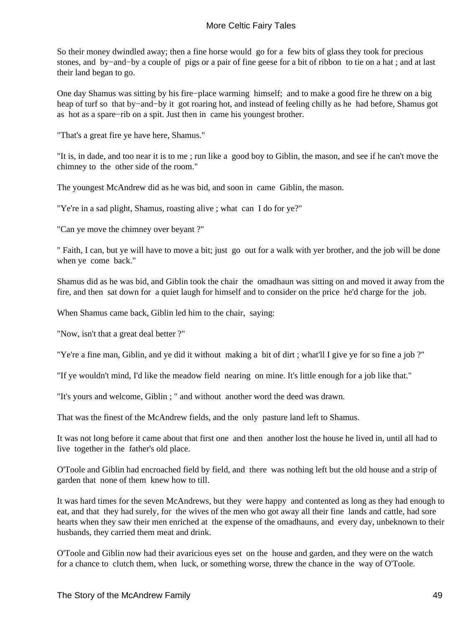So their money dwindled away; then a fine horse would go for a few bits of glass they took for precious stones, and by−and−by a couple of pigs or a pair of fine geese for a bit of ribbon to tie on a hat ; and at last their land began to go.

One day Shamus was sitting by his fire−place warming himself; and to make a good fire he threw on a big heap of turf so that by−and−by it got roaring hot, and instead of feeling chilly as he had before, Shamus got as hot as a spare−rib on a spit. Just then in came his youngest brother.

"That's a great fire ye have here, Shamus."

"It is, in dade, and too near it is to me ; run like a good boy to Giblin, the mason, and see if he can't move the chimney to the other side of the room."

The youngest McAndrew did as he was bid, and soon in came Giblin, the mason.

"Ye're in a sad plight, Shamus, roasting alive ; what can I do for ye?"

"Can ye move the chimney over beyant ?"

" Faith, I can, but ye will have to move a bit; just go out for a walk with yer brother, and the job will be done when ye come back."

Shamus did as he was bid, and Giblin took the chair the omadhaun was sitting on and moved it away from the fire, and then sat down for a quiet laugh for himself and to consider on the price he'd charge for the job.

When Shamus came back, Giblin led him to the chair, saying:

"Now, isn't that a great deal better ?"

"Ye're a fine man, Giblin, and ye did it without making a bit of dirt ; what'll I give ye for so fine a job ?"

"If ye wouldn't mind, I'd like the meadow field nearing on mine. It's little enough for a job like that."

"It's yours and welcome, Giblin ; " and without another word the deed was drawn.

That was the finest of the McAndrew fields, and the only pasture land left to Shamus.

It was not long before it came about that first one and then another lost the house he lived in, until all had to live together in the father's old place.

O'Toole and Giblin had encroached field by field, and there was nothing left but the old house and a strip of garden that none of them knew how to till.

It was hard times for the seven McAndrews, but they were happy and contented as long as they had enough to eat, and that they had surely, for the wives of the men who got away all their fine lands and cattle, had sore hearts when they saw their men enriched at the expense of the omadhauns, and every day, unbeknown to their husbands, they carried them meat and drink.

O'Toole and Giblin now had their avaricious eyes set on the house and garden, and they were on the watch for a chance to clutch them, when luck, or something worse, threw the chance in the way of O'Toole.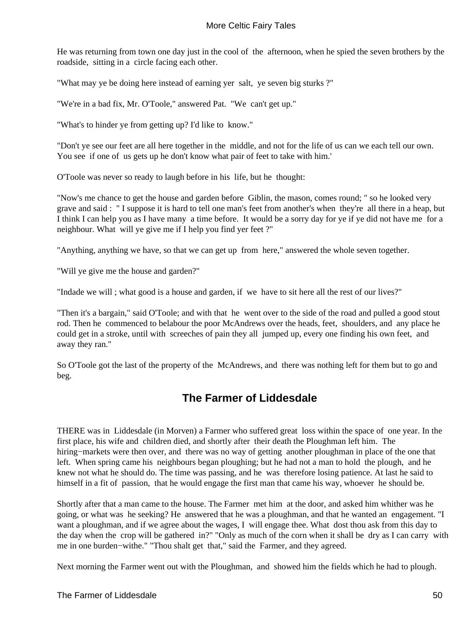He was returning from town one day just in the cool of the afternoon, when he spied the seven brothers by the roadside, sitting in a circle facing each other.

"What may ye be doing here instead of earning yer salt, ye seven big sturks ?"

"We're in a bad fix, Mr. O'Toole," answered Pat. "We can't get up."

"What's to hinder ye from getting up? I'd like to know."

"Don't ye see our feet are all here together in the middle, and not for the life of us can we each tell our own. You see if one of us gets up he don't know what pair of feet to take with him.'

O'Toole was never so ready to laugh before in his life, but he thought:

"Now's me chance to get the house and garden before Giblin, the mason, comes round; " so he looked very grave and said : " I suppose it is hard to tell one man's feet from another's when they're all there in a heap, but I think I can help you as I have many a time before. It would be a sorry day for ye if ye did not have me for a neighbour. What will ye give me if I help you find yer feet ?"

"Anything, anything we have, so that we can get up from here," answered the whole seven together.

"Will ye give me the house and garden?"

"Indade we will ; what good is a house and garden, if we have to sit here all the rest of our lives?"

"Then it's a bargain," said O'Toole; and with that he went over to the side of the road and pulled a good stout rod. Then he commenced to belabour the poor McAndrews over the heads, feet, shoulders, and any place he could get in a stroke, until with screeches of pain they all jumped up, every one finding his own feet, and away they ran."

So O'Toole got the last of the property of the McAndrews, and there was nothing left for them but to go and beg.

## **The Farmer of Liddesdale**

THERE was in Liddesdale (in Morven) a Farmer who suffered great loss within the space of one year. In the first place, his wife and children died, and shortly after their death the Ploughman left him. The hiring−markets were then over, and there was no way of getting another ploughman in place of the one that left. When spring came his neighbours began ploughing; but he had not a man to hold the plough, and he knew not what he should do. The time was passing, and he was therefore losing patience. At last he said to himself in a fit of passion, that he would engage the first man that came his way, whoever he should be.

Shortly after that a man came to the house. The Farmer met him at the door, and asked him whither was he going, or what was he seeking? He answered that he was a ploughman, and that he wanted an engagement. "I want a ploughman, and if we agree about the wages, I will engage thee. What dost thou ask from this day to the day when the crop will be gathered in?" "Only as much of the corn when it shall be dry as I can carry with me in one burden−withe." "Thou shalt get that," said the Farmer, and they agreed.

Next morning the Farmer went out with the Ploughman, and showed him the fields which he had to plough.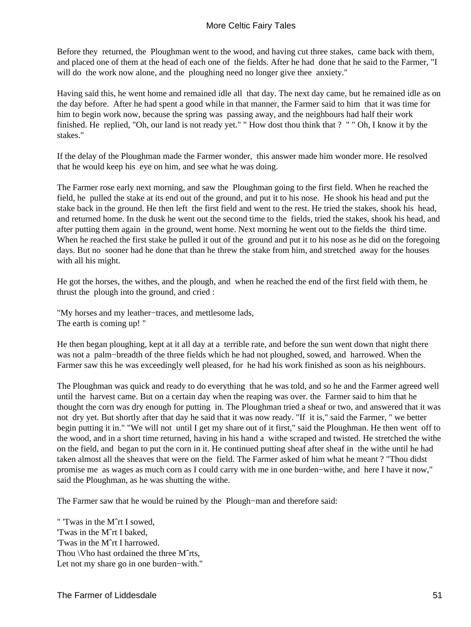Before they returned, the Ploughman went to the wood, and having cut three stakes, came back with them, and placed one of them at the head of each one of the fields. After he had done that he said to the Farmer, "I will do the work now alone, and the ploughing need no longer give thee anxiety."

Having said this, he went home and remained idle all that day. The next day came, but he remained idle as on the day before. After he had spent a good while in that manner, the Farmer said to him that it was time for him to begin work now, because the spring was passing away, and the neighbours had half their work finished. He replied, "Oh, our land is not ready yet." " How dost thou think that ? " " Oh, I know it by the stakes."

If the delay of the Ploughman made the Farmer wonder, this answer made him wonder more. He resolved that he would keep his eye on him, and see what he was doing.

The Farmer rose early next morning, and saw the Ploughman going to the first field. When he reached the field, he pulled the stake at its end out of the ground, and put it to his nose. He shook his head and put the stake back in the ground. He then left the first field and went to the rest. He tried the stakes, shook his head, and returned home. In the dusk he went out the second time to the fields, tried the stakes, shook his head, and after putting them again in the ground, went home. Next morning he went out to the fields the third time. When he reached the first stake he pulled it out of the ground and put it to his nose as he did on the foregoing days. But no sooner had he done that than he threw the stake from him, and stretched away for the houses with all his might.

He got the horses, the withes, and the plough, and when he reached the end of the first field with them, he thrust the plough into the ground, and cried :

"My horses and my leather−traces, and mettlesome lads, The earth is coming up! "

He then began ploughing, kept at it all day at a terrible rate, and before the sun went down that night there was not a palm−breadth of the three fields which he had not ploughed, sowed, and harrowed. When the Farmer saw this he was exceedingly well pleased, for he had his work finished as soon as his neighbours.

The Ploughman was quick and ready to do everything that he was told, and so he and the Farmer agreed well until the harvest came. But on a certain day when the reaping was over. the Farmer said to him that he thought the corn was dry enough for putting in. The Ploughman tried a sheaf or two, and answered that it was not dry yet. But shortly after that day he said that it was now ready. "If it is," said the Farmer, " we better begin putting it in." "We will not until I get my share out of it first," said the Ploughman. He then went off to the wood, and in a short time returned, having in his hand a withe scraped and twisted. He stretched the withe on the field, and began to put the corn in it. He continued putting sheaf after sheaf in the withe until he had taken almost all the sheaves that were on the field. The Farmer asked of him what he meant ? "Thou didst promise me as wages as much corn as I could carry with me in one burden−withe, and here I have it now," said the Ploughman, as he was shutting the withe.

The Farmer saw that he would be ruined by the Plough−man and therefore said:

" 'Twas in the Mˆrt I sowed, 'Twas in the Mˆrt I baked, 'Twas in the Mˆrt I harrowed. Thou \Vho hast ordained the three Mˆrts, Let not my share go in one burden−with."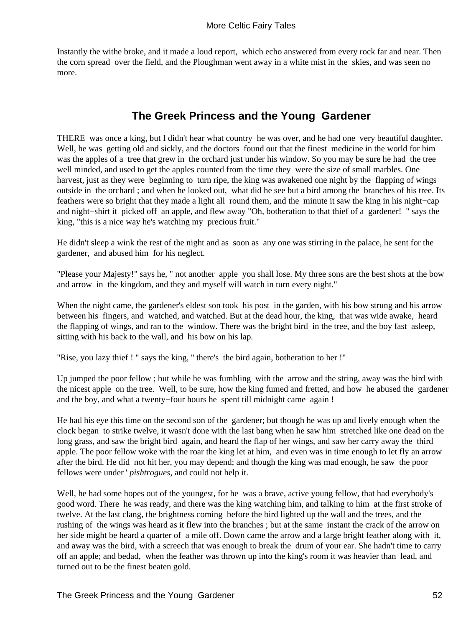Instantly the withe broke, and it made a loud report, which echo answered from every rock far and near. Then the corn spread over the field, and the Ploughman went away in a white mist in the skies, and was seen no more.

## **The Greek Princess and the Young Gardener**

THERE was once a king, but I didn't hear what country he was over, and he had one very beautiful daughter. Well, he was getting old and sickly, and the doctors found out that the finest medicine in the world for him was the apples of a tree that grew in the orchard just under his window. So you may be sure he had the tree well minded, and used to get the apples counted from the time they were the size of small marbles. One harvest, just as they were beginning to turn ripe, the king was awakened one night by the flapping of wings outside in the orchard ; and when he looked out, what did he see but a bird among the branches of his tree. Its feathers were so bright that they made a light all round them, and the minute it saw the king in his night−cap and night−shirt it picked off an apple, and flew away "Oh, botheration to that thief of a gardener! " says the king, "this is a nice way he's watching my precious fruit."

He didn't sleep a wink the rest of the night and as soon as any one was stirring in the palace, he sent for the gardener, and abused him for his neglect.

"Please your Majesty!" says he, " not another apple you shall lose. My three sons are the best shots at the bow and arrow in the kingdom, and they and myself will watch in turn every night."

When the night came, the gardener's eldest son took his post in the garden, with his bow strung and his arrow between his fingers, and watched, and watched. But at the dead hour, the king, that was wide awake, heard the flapping of wings, and ran to the window. There was the bright bird in the tree, and the boy fast asleep, sitting with his back to the wall, and his bow on his lap.

"Rise, you lazy thief ! " says the king, '' there's the bird again, botheration to her !"

Up jumped the poor fellow ; but while he was fumbling with the arrow and the string, away was the bird with the nicest apple on the tree. Well, to be sure, how the king fumed and fretted, and how he abused the gardener and the boy, and what a twenty−four hours he spent till midnight came again !

He had his eye this time on the second son of the gardener; but though he was up and lively enough when the clock began to strike twelve, it wasn't done with the last bang when he saw him stretched like one dead on the long grass, and saw the bright bird again, and heard the flap of her wings, and saw her carry away the third apple. The poor fellow woke with the roar the king let at him, and even was in time enough to let fly an arrow after the bird. He did not hit her, you may depend; and though the king was mad enough, he saw the poor fellows were under ' *pishtrogues,* and could not help it.

Well, he had some hopes out of the youngest, for he was a brave, active young fellow, that had everybody's good word. There he was ready, and there was the king watching him, and talking to him at the first stroke of twelve. At the last clang, the brightness coming before the bird lighted up the wall and the trees, and the rushing of the wings was heard as it flew into the branches ; but at the same instant the crack of the arrow on her side might be heard a quarter of a mile off. Down came the arrow and a large bright feather along with it, and away was the bird, with a screech that was enough to break the drum of your ear. She hadn't time to carry off an apple; and bedad, when the feather was thrown up into the king's room it was heavier than lead, and turned out to be the finest beaten gold.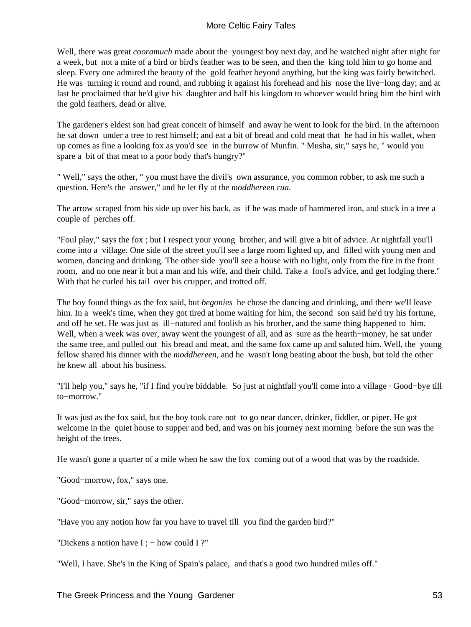Well, there was great *cooramuch* made about the youngest boy next day, and he watched night after night for a week, but not a mite of a bird or bird's feather was to be seen, and then the king told him to go home and sleep. Every one admired the beauty of the gold feather beyond anything, but the king was fairly bewitched. He was turning it round and round, and rubbing it against his forehead and his nose the live−long day; and at last he proclaimed that he'd give his daughter and half his kingdom to whoever would bring him the bird with the gold feathers, dead or alive.

The gardener's eldest son had great conceit of himself and away he went to look for the bird. In the afternoon he sat down under a tree to rest himself; and eat a bit of bread and cold meat that he had in his wallet, when up comes as fine a looking fox as you'd see in the burrow of Munfin. " Musha, sir," says he, " would you spare a bit of that meat to a poor body that's hungry?"

" Well," says the other, " you must have the divil's own assurance, you common robber, to ask me such a question. Here's the answer," and he let fly at the *moddhereen rua.*

The arrow scraped from his side up over his back, as if he was made of hammered iron, and stuck in a tree a couple of perches off.

"Foul play," says the fox ; but I respect your young brother, and will give a bit of advice. At nightfall you'll come into a village. One side of the street you'll see a large room lighted up, and filled with young men and women, dancing and drinking. The other side you'll see a house with no light, only from the fire in the front room, and no one near it but a man and his wife, and their child. Take a fool's advice, and get lodging there." With that he curled his tail over his crupper, and trotted off.

The boy found things as the fox said, but *begonies* he chose the dancing and drinking, and there we'll leave him. In a week's time, when they got tired at home waiting for him, the second son said he'd try his fortune, and off he set. He was just as ill−natured and foolish as his brother, and the same thing happened to him. Well, when a week was over, away went the youngest of all, and as sure as the hearth−money, he sat under the same tree, and pulled out his bread and meat, and the same fox came up and saluted him. Well, the young fellow shared his dinner with the *moddhereen,* and he wasn't long beating about the bush, but told the other he knew all about his business.

"I'll help you," says he, "if I find you're biddable. So just at nightfall you'll come into a village · Good−bye till to−morrow."

It was just as the fox said, but the boy took care not to go near dancer, drinker, fiddler, or piper. He got welcome in the quiet house to supper and bed, and was on his journey next morning before the sun was the height of the trees.

He wasn't gone a quarter of a mile when he saw the fox coming out of a wood that was by the roadside.

"Good−morrow, fox," says one.

"Good−morrow, sir," says the other.

"Have you any notion how far you have to travel till you find the garden bird?"

"Dickens a notion have I ; – how could I ?"

"Well, I have. She's in the King of Spain's palace, and that's a good two hundred miles off."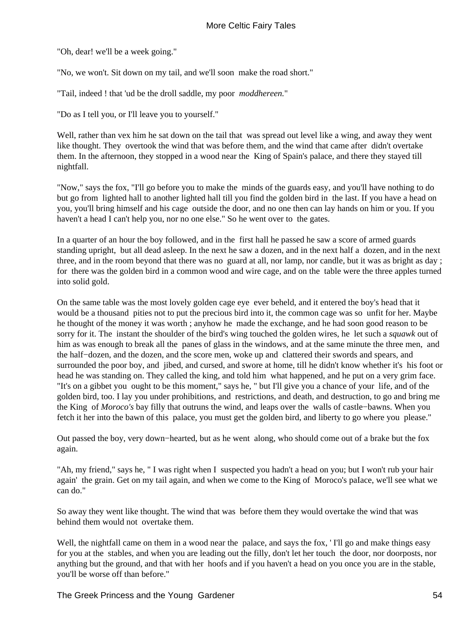"Oh, dear! we'll be a week going."

"No, we won't. Sit down on my tail, and we'll soon make the road short."

"Tail, indeed ! that 'ud be the droll saddle, my poor *moddhereen.*"

"Do as I tell you, or I'll leave you to yourself."

Well, rather than vex him he sat down on the tail that was spread out level like a wing, and away they went like thought. They overtook the wind that was before them, and the wind that came after didn't overtake them. In the afternoon, they stopped in a wood near the King of Spain's palace, and there they stayed till nightfall.

"Now," says the fox, "I'll go before you to make the minds of the guards easy, and you'll have nothing to do but go from lighted hall to another lighted hall till you find the golden bird in the last. If you have a head on you, you'll bring himself and his cage outside the door, and no one then can lay hands on him or you. If you haven't a head I can't help you, nor no one else." So he went over to the gates.

In a quarter of an hour the boy followed, and in the first hall he passed he saw a score of armed guards standing upright, but all dead asleep. In the next he saw a dozen, and in the next half a dozen, and in the next three, and in the room beyond that there was no guard at all, nor lamp, nor candle, but it was as bright as day ; for there was the golden bird in a common wood and wire cage, and on the table were the three apples turned into solid gold.

On the same table was the most lovely golden cage eye ever beheld, and it entered the boy's head that it would be a thousand pities not to put the precious bird into it, the common cage was so unfit for her. Maybe he thought of the money it was worth ; anyhow he made the exchange, and he had soon good reason to be sorry for it. The instant the shoulder of the bird's wing touched the golden wires, he let such a *squawk* out of him as was enough to break all the panes of glass in the windows, and at the same minute the three men, and the half−dozen, and the dozen, and the score men, woke up and clattered their swords and spears, and surrounded the poor boy, and jibed, and cursed, and swore at home, till he didn't know whether it's his foot or head he was standing on. They called the king, and told him what happened, and he put on a very grim face. "It's on a gibbet you ought to be this moment," says he, " but I'll give you a chance of your life, and of the golden bird, too. I lay you under prohibitions, and restrictions, and death, and destruction, to go and bring me the King of *Moroco's* bay filly that outruns the wind, and leaps over the walls of castle−bawns. When you fetch it her into the bawn of this palace, you must get the golden bird, and liberty to go where you please."

Out passed the boy, very down−hearted, but as he went along, who should come out of a brake but the fox again.

"Ah, my friend," says he, " I was right when I suspected you hadn't a head on you; but I won't rub your hair again' the grain. Get on my tail again, and when we come to the King of Moroco's paIace, we'll see what we can do."

So away they went like thought. The wind that was before them they would overtake the wind that was behind them would not overtake them.

Well, the nightfall came on them in a wood near the palace, and says the fox, 'I'll go and make things easy for you at the stables, and when you are leading out the filly, don't let her touch the door, nor doorposts, nor anything but the ground, and that with her hoofs and if you haven't a head on you once you are in the stable, you'll be worse off than before."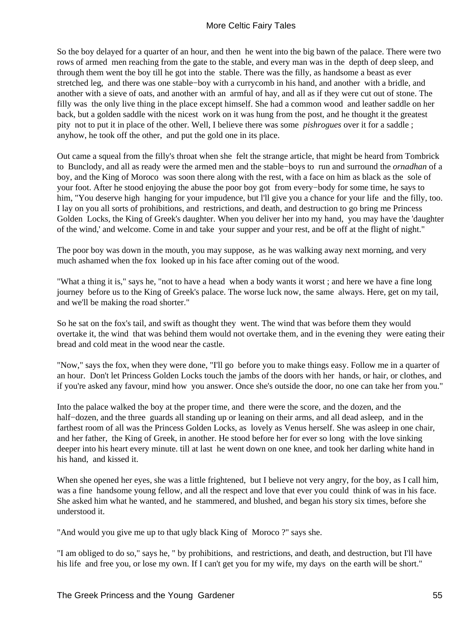So the boy delayed for a quarter of an hour, and then he went into the big bawn of the palace. There were two rows of armed men reaching from the gate to the stable, and every man was in the depth of deep sleep, and through them went the boy till he got into the stable. There was the filly, as handsome a beast as ever stretched leg, and there was one stable−boy with a currycomb in his hand, and another with a bridle, and another with a sieve of oats, and another with an armful of hay, and all as if they were cut out of stone. The filly was the only live thing in the place except himself. She had a common wood and leather saddle on her back, but a golden saddle with the nicest work on it was hung from the post, and he thought it the greatest pity not to put it in place of the other. Well, I believe there was some *pishrogues* over it for a saddle ; anyhow, he took off the other, and put the gold one in its place.

Out came a squeal from the filly's throat when she felt the strange article, that might be heard from Tombrick to Bunclody, and all as ready were the armed men and the stable−boys to run and surround the *ornadhan* of a boy, and the King of Moroco was soon there along with the rest, with a face on him as black as the sole of your foot. After he stood enjoying the abuse the poor boy got from every−body for some time, he says to him, "You deserve high hanging for your impudence, but l'll give you a chance for your life and the filly, too. I lay on you all sorts of prohibitions, and restrictions, and death, and destruction to go bring me Princess Golden Locks, the King of Greek's daughter. When you deliver her into my hand, you may have the 'daughter of the wind,' and welcome. Come in and take your supper and your rest, and be off at the flight of night."

The poor boy was down in the mouth, you may suppose, as he was walking away next morning, and very much ashamed when the fox looked up in his face after coming out of the wood.

"What a thing it is," says he, "not to have a head when a body wants it worst ; and here we have a fine long journey before us to the King of Greek's palace. The worse luck now, the same always. Here, get on my tail, and we'll be making the road shorter."

So he sat on the fox's tail, and swift as thought they went. The wind that was before them they would overtake it, the wind that was behind them would not overtake them, and in the evening they were eating their bread and cold meat in the wood near the castle.

"Now," says the fox, when they were done, "I'll go before you to make things easy. Follow me in a quarter of an hour. Don't let Princess Golden Locks touch the jambs of the doors with her hands, or hair, or clothes, and if you're asked any favour, mind how you answer. Once she's outside the door, no one can take her from you."

Into the palace walked the boy at the proper time, and there were the score, and the dozen, and the half−dozen, and the three guards all standing up or leaning on their arms, and all dead asleep, and in the farthest room of all was the Princess Golden Locks, as lovely as Venus herself. She was asleep in one chair, and her father, the King of Greek, in another. He stood before her for ever so long with the love sinking deeper into his heart every minute. till at last he went down on one knee, and took her darling white hand in his hand, and kissed it.

When she opened her eyes, she was a little frightened, but I believe not very angry, for the boy, as I call him, was a fine handsome young fellow, and all the respect and love that ever you could think of was in his face. She asked him what he wanted, and he stammered, and blushed, and began his story six times, before she understood it.

"And would you give me up to that ugly black King of Moroco ?" says she.

"I am obliged to do so," says he, " by prohibitions, and restrictions, and death, and destruction, but I'll have his life and free you, or lose my own. If I can't get you for my wife, my days on the earth will be short."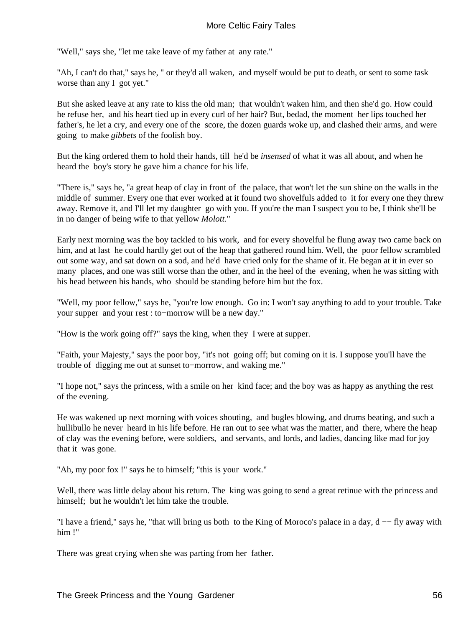"Well," says she, "let me take leave of my father at any rate."

"Ah, I can't do that," says he, " or they'd all waken, and myself would be put to death, or sent to some task worse than any I got yet."

But she asked leave at any rate to kiss the old man; that wouldn't waken him, and then she'd go. How could he refuse her, and his heart tied up in every curl of her hair? But, bedad, the moment her lips touched her father's, he let a cry, and every one of the score, the dozen guards woke up, and clashed their arms, and were going to make *gibbets* of the foolish boy.

But the king ordered them to hold their hands, till he'd be *insensed* of what it was all about, and when he heard the boy's story he gave him a chance for his life.

"There is," says he, "a great heap of clay in front of the palace, that won't let the sun shine on the walls in the middle of summer. Every one that ever worked at it found two shovelfuls added to it for every one they threw away. Remove it, and I'll let my daughter go with you. If you're the man I suspect you to be, I think she'll be in no danger of being wife to that yellow *Molott.*"

Early next morning was the boy tackled to his work, and for every shovelful he flung away two came back on him, and at last he could hardly get out of the heap that gathered round him. Well, the poor fellow scrambled out some way, and sat down on a sod, and he'd have cried only for the shame of it. He began at it in ever so many places, and one was still worse than the other, and in the heel of the evening, when he was sitting with his head between his hands, who should be standing before him but the fox.

"Well, my poor fellow," says he, "you're low enough. Go in: I won't say anything to add to your trouble. Take your supper and your rest : to−morrow will be a new day."

"How is the work going off?" says the king, when they I were at supper.

"Faith, your Majesty," says the poor boy, "it's not going off; but coming on it is. I suppose you'll have the trouble of digging me out at sunset to−morrow, and waking me."

"I hope not," says the princess, with a smile on her kind face; and the boy was as happy as anything the rest of the evening.

He was wakened up next morning with voices shouting, and bugles blowing, and drums beating, and such a hullibullo he never heard in his life before. He ran out to see what was the matter, and there, where the heap of clay was the evening before, were soldiers, and servants, and lords, and ladies, dancing like mad for joy that it was gone.

"Ah, my poor fox !" says he to himself; "this is your work."

Well, there was little delay about his return. The king was going to send a great retinue with the princess and himself; but he wouldn't let him take the trouble.

"I have a friend," says he, "that will bring us both to the King of Moroco's palace in a day, d −− fly away with him !"

There was great crying when she was parting from her father.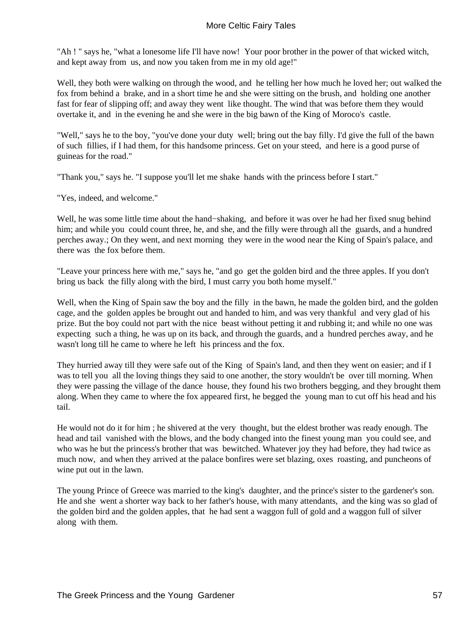"Ah ! " says he, "what a lonesome life I'll have now! Your poor brother in the power of that wicked witch, and kept away from us, and now you taken from me in my old age!"

Well, they both were walking on through the wood, and he telling her how much he loved her; out walked the fox from behind a brake, and in a short time he and she were sitting on the brush, and holding one another fast for fear of slipping off; and away they went like thought. The wind that was before them they would overtake it, and in the evening he and she were in the big bawn of the King of Moroco's castle.

"Well," says he to the boy, "you've done your duty well; bring out the bay filly. I'd give the full of the bawn of such fillies, if I had them, for this handsome princess. Get on your steed, and here is a good purse of guineas for the road."

"Thank you," says he. "I suppose you'll let me shake hands with the princess before I start."

"Yes, indeed, and welcome."

Well, he was some little time about the hand−shaking, and before it was over he had her fixed snug behind him; and while you could count three, he, and she, and the filly were through all the guards, and a hundred perches away.; On they went, and next morning they were in the wood near the King of Spain's palace, and there was the fox before them.

"Leave your princess here with me," says he, "and go get the golden bird and the three apples. If you don't bring us back the filly along with the bird, I must carry you both home myself."

Well, when the King of Spain saw the boy and the filly in the bawn, he made the golden bird, and the golden cage, and the golden apples be brought out and handed to him, and was very thankful and very glad of his prize. But the boy could not part with the nice beast without petting it and rubbing it; and while no one was expecting such a thing, he was up on its back, and through the guards, and a hundred perches away, and he wasn't long till he came to where he left his princess and the fox.

They hurried away till they were safe out of the King of Spain's land, and then they went on easier; and if I was to tell you all the loving things they said to one another, the story wouldn't be over till morning. When they were passing the village of the dance house, they found his two brothers begging, and they brought them along. When they came to where the fox appeared first, he begged the young man to cut off his head and his tail.

He would not do it for him ; he shivered at the very thought, but the eldest brother was ready enough. The head and tail vanished with the blows, and the body changed into the finest young man you could see, and who was he but the princess's brother that was bewitched. Whatever joy they had before, they had twice as much now, and when they arrived at the palace bonfires were set blazing, oxes roasting, and puncheons of wine put out in the lawn.

The young Prince of Greece was married to the king's daughter, and the prince's sister to the gardener's son. He and she went a shorter way back to her father's house, with many attendants, and the king was so glad of the golden bird and the golden apples, that he had sent a waggon full of gold and a waggon full of silver along with them.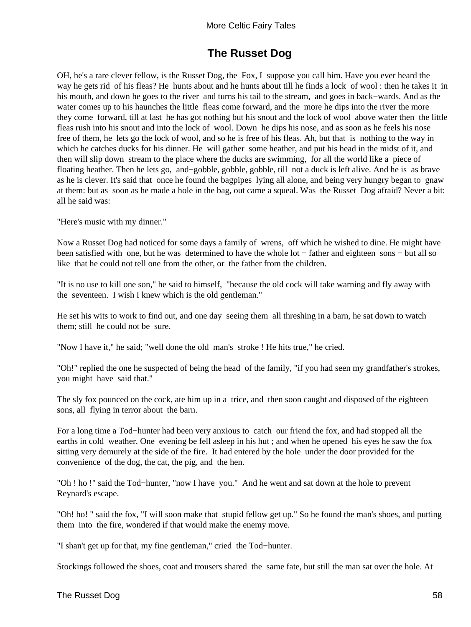# **The Russet Dog**

OH, he's a rare clever fellow, is the Russet Dog, the Fox, I suppose you call him. Have you ever heard the way he gets rid of his fleas? He hunts about and he hunts about till he finds a lock of wool : then he takes it in his mouth, and down he goes to the river and turns his tail to the stream, and goes in back−wards. And as the water comes up to his haunches the little fleas come forward, and the more he dips into the river the more they come forward, till at last he has got nothing but his snout and the lock of wool above water then the little fleas rush into his snout and into the lock of wool. Down he dips his nose, and as soon as he feels his nose free of them, he lets go the lock of wool, and so he is free of his fleas. Ah, but that is nothing to the way in which he catches ducks for his dinner. He will gather some heather, and put his head in the midst of it, and then will slip down stream to the place where the ducks are swimming, for all the world like a piece of floating heather. Then he lets go, and−gobble, gobble, gobble, till not a duck is left alive. And he is as brave as he is clever. It's said that once he found the bagpipes lying all alone, and being very hungry began to gnaw at them: but as soon as he made a hole in the bag, out came a squeal. Was the Russet Dog afraid? Never a bit: all he said was:

"Here's music with my dinner."

Now a Russet Dog had noticed for some days a family of wrens, off which he wished to dine. He might have been satisfied with one, but he was determined to have the whole lot − father and eighteen sons − but all so like that he could not tell one from the other, or the father from the children.

"It is no use to kill one son," he said to himself, "because the old cock will take warning and fly away with the seventeen. I wish I knew which is the old gentleman."

He set his wits to work to find out, and one day seeing them all threshing in a barn, he sat down to watch them; still he could not be sure.

"Now I have it," he said; "well done the old man's stroke ! He hits true," he cried.

"Oh!" replied the one he suspected of being the head of the family, "if you had seen my grandfather's strokes, you might have said that."

The sly fox pounced on the cock, ate him up in a trice, and then soon caught and disposed of the eighteen sons, all flying in terror about the barn.

For a long time a Tod−hunter had been very anxious to catch our friend the fox, and had stopped all the earths in cold weather. One evening be fell asleep in his hut ; and when he opened his eyes he saw the fox sitting very demurely at the side of the fire. It had entered by the hole under the door provided for the convenience of the dog, the cat, the pig, and the hen.

"Oh ! ho !" said the Tod−hunter, "now I have you." And he went and sat down at the hole to prevent Reynard's escape.

"Oh! ho! " said the fox, "I will soon make that stupid fellow get up." So he found the man's shoes, and putting them into the fire, wondered if that would make the enemy move.

"I shan't get up for that, my fine gentleman," cried the Tod−hunter.

Stockings followed the shoes, coat and trousers shared the same fate, but still the man sat over the hole. At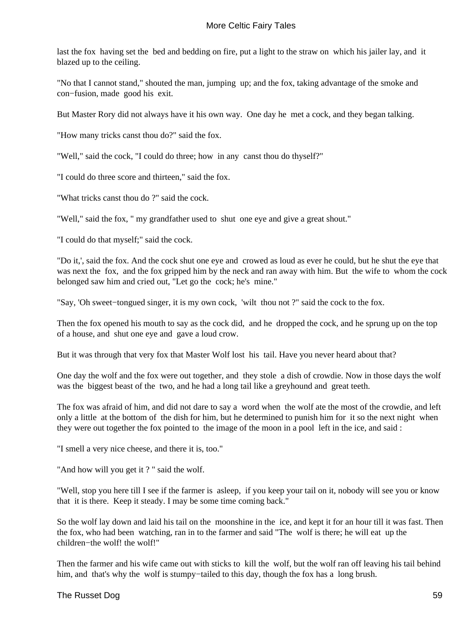last the fox having set the bed and bedding on fire, put a light to the straw on which his jailer lay, and it blazed up to the ceiling.

"No that I cannot stand," shouted the man, jumping up; and the fox, taking advantage of the smoke and con−fusion, made good his exit.

But Master Rory did not always have it his own way. One day he met a cock, and they began talking.

"How many tricks canst thou do?" said the fox.

"Well," said the cock, "I could do three; how in any canst thou do thyself?"

"I could do three score and thirteen," said the fox.

"What tricks canst thou do ?" said the cock.

"Well," said the fox, " my grandfather used to shut one eye and give a great shout."

"I could do that myself;" said the cock.

"Do it,', said the fox. And the cock shut one eye and crowed as loud as ever he could, but he shut the eye that was next the fox, and the fox gripped him by the neck and ran away with him. But the wife to whom the cock belonged saw him and cried out, "Let go the cock; he's mine."

"Say, 'Oh sweet−tongued singer, it is my own cock, 'wilt thou not ?" said the cock to the fox.

Then the fox opened his mouth to say as the cock did, and he dropped the cock, and he sprung up on the top of a house, and shut one eye and gave a loud crow.

But it was through that very fox that Master Wolf lost his tail. Have you never heard about that?

One day the wolf and the fox were out together, and they stole a dish of crowdie. Now in those days the wolf was the biggest beast of the two, and he had a long tail like a greyhound and great teeth.

The fox was afraid of him, and did not dare to say a word when the wolf ate the most of the crowdie, and left only a little at the bottom of the dish for him, but he determined to punish him for it so the next night when they were out together the fox pointed to the image of the moon in a pool left in the ice, and said :

"I smell a very nice cheese, and there it is, too."

"And how will you get it?" said the wolf.

"Well, stop you here till I see if the farmer is asleep, if you keep your tail on it, nobody will see you or know that it is there. Keep it steady. I may be some time coming back."

So the wolf lay down and laid his tail on the moonshine in the ice, and kept it for an hour till it was fast. Then the fox, who had been watching, ran in to the farmer and said "The wolf is there; he will eat up the children−the wolf! the wolf!"

Then the farmer and his wife came out with sticks to kill the wolf, but the wolf ran off leaving his tail behind him, and that's why the wolf is stumpy−tailed to this day, though the fox has a long brush.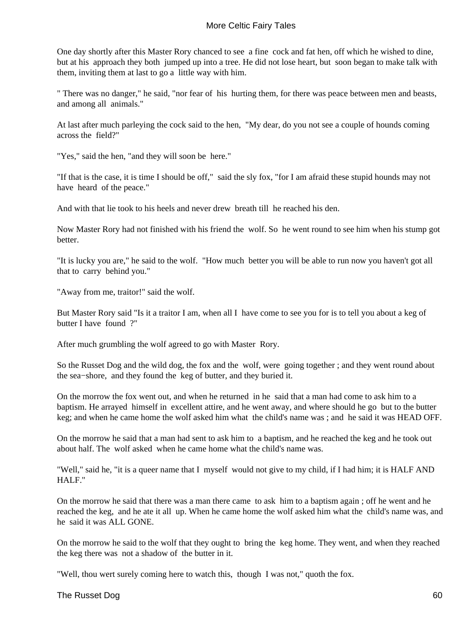One day shortly after this Master Rory chanced to see a fine cock and fat hen, off which he wished to dine, but at his approach they both jumped up into a tree. He did not lose heart, but soon began to make talk with them, inviting them at last to go a little way with him.

" There was no danger," he said, "nor fear of his hurting them, for there was peace between men and beasts, and among all animals."

At last after much parleying the cock said to the hen, "My dear, do you not see a couple of hounds coming across the field?"

"Yes," said the hen, "and they will soon be here."

"If that is the case, it is time I should be off," said the sly fox, "for I am afraid these stupid hounds may not have heard of the peace."

And with that lie took to his heels and never drew breath till he reached his den.

Now Master Rory had not finished with his friend the wolf. So he went round to see him when his stump got better.

"It is lucky you are," he said to the wolf. "How much better you will be able to run now you haven't got all that to carry behind you."

"Away from me, traitor!" said the wolf.

But Master Rory said "Is it a traitor I am, when all I have come to see you for is to tell you about a keg of butter I have found ?"

After much grumbling the wolf agreed to go with Master Rory.

So the Russet Dog and the wild dog, the fox and the wolf, were going together ; and they went round about the sea−shore, and they found the keg of butter, and they buried it.

On the morrow the fox went out, and when he returned in he said that a man had come to ask him to a baptism. He arrayed himself in excellent attire, and he went away, and where should he go but to the butter keg; and when he came home the wolf asked him what the child's name was ; and he said it was HEAD OFF.

On the morrow he said that a man had sent to ask him to a baptism, and he reached the keg and he took out about half. The wolf asked when he came home what the child's name was.

"Well," said he, "it is a queer name that I myself would not give to my child, if I had him; it is HALF AND HALF."

On the morrow he said that there was a man there came to ask him to a baptism again ; off he went and he reached the keg, and he ate it all up. When he came home the wolf asked him what the child's name was, and he said it was ALL GONE.

On the morrow he said to the wolf that they ought to bring the keg home. They went, and when they reached the keg there was not a shadow of the butter in it.

"Well, thou wert surely coming here to watch this, though I was not," quoth the fox.

#### The Russet Dog 60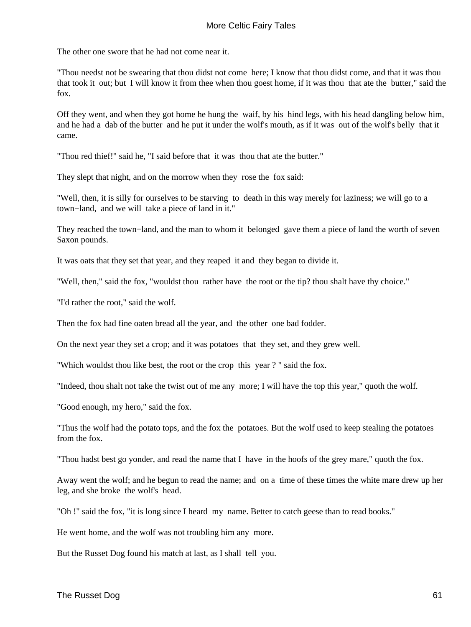The other one swore that he had not come near it.

"Thou needst not be swearing that thou didst not come here; I know that thou didst come, and that it was thou that took it out; but I will know it from thee when thou goest home, if it was thou that ate the butter," said the fox.

Off they went, and when they got home he hung the waif, by his hind legs, with his head dangling below him, and he had a dab of the butter and he put it under the wolf's mouth, as if it was out of the wolf's belly that it came.

"Thou red thief!" said he, "I said before that it was thou that ate the butter."

They slept that night, and on the morrow when they rose the fox said:

"Well, then, it is silly for ourselves to be starving to death in this way merely for laziness; we will go to a town−land, and we will take a piece of land in it."

They reached the town−land, and the man to whom it belonged gave them a piece of land the worth of seven Saxon pounds.

It was oats that they set that year, and they reaped it and they began to divide it.

"Well, then," said the fox, "wouldst thou rather have the root or the tip? thou shalt have thy choice."

"I'd rather the root," said the wolf.

Then the fox had fine oaten bread all the year, and the other one bad fodder.

On the next year they set a crop; and it was potatoes that they set, and they grew well.

"Which wouldst thou like best, the root or the crop this year ? " said the fox.

"Indeed, thou shalt not take the twist out of me any more; I will have the top this year," quoth the wolf.

"Good enough, my hero," said the fox.

"Thus the wolf had the potato tops, and the fox the potatoes. But the wolf used to keep stealing the potatoes from the fox.

"Thou hadst best go yonder, and read the name that I have in the hoofs of the grey mare," quoth the fox.

Away went the wolf; and he begun to read the name; and on a time of these times the white mare drew up her leg, and she broke the wolf's head.

"Oh !" said the fox, "it is long since I heard my name. Better to catch geese than to read books."

He went home, and the wolf was not troubling him any more.

But the Russet Dog found his match at last, as I shall tell you.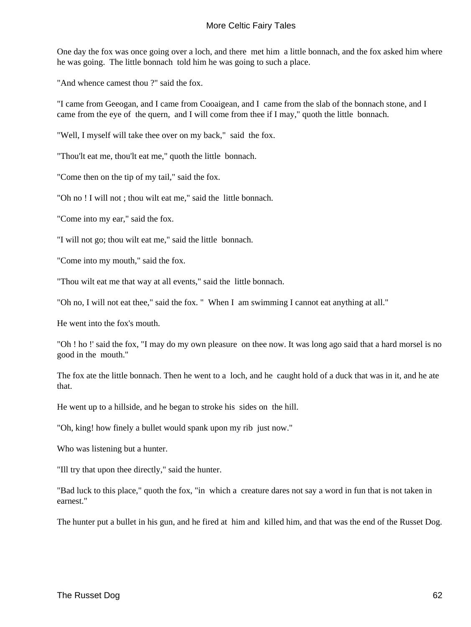One day the fox was once going over a loch, and there met him a little bonnach, and the fox asked him where he was going. The little bonnach told him he was going to such a place.

"And whence camest thou ?" said the fox.

"I came from Geeogan, and I came from Cooaigean, and I came from the slab of the bonnach stone, and I came from the eye of the quern, and I will come from thee if I may," quoth the little bonnach.

"Well, I myself will take thee over on my back," said the fox.

"Thou'lt eat me, thou'lt eat me," quoth the little bonnach.

"Come then on the tip of my tail," said the fox.

"Oh no ! I will not ; thou wilt eat me," said the little bonnach.

"Come into my ear," said the fox.

"I will not go; thou wilt eat me," said the little bonnach.

"Come into my mouth," said the fox.

"Thou wilt eat me that way at all events," said the little bonnach.

"Oh no, I will not eat thee," said the fox. " When I am swimming I cannot eat anything at all."

He went into the fox's mouth.

"Oh ! ho !' said the fox, "I may do my own pleasure on thee now. It was long ago said that a hard morsel is no good in the mouth."

The fox ate the little bonnach. Then he went to a loch, and he caught hold of a duck that was in it, and he ate that.

He went up to a hillside, and he began to stroke his sides on the hill.

"Oh, king! how finely a bullet would spank upon my rib just now."

Who was listening but a hunter.

"Ill try that upon thee directly," said the hunter.

"Bad luck to this place," quoth the fox, "in which a creature dares not say a word in fun that is not taken in earnest."

The hunter put a bullet in his gun, and he fired at him and killed him, and that was the end of the Russet Dog.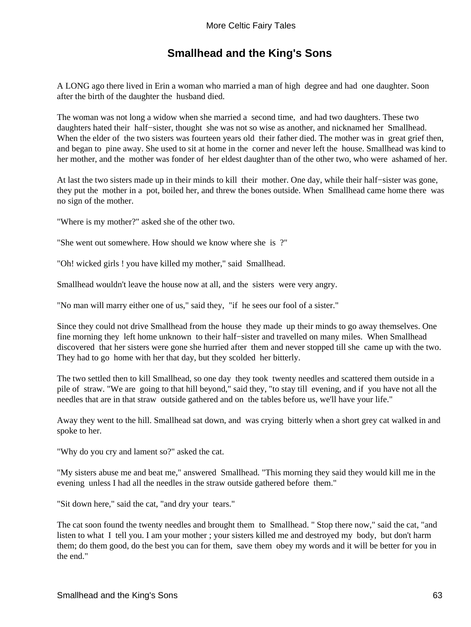## **Smallhead and the King's Sons**

A LONG ago there lived in Erin a woman who married a man of high degree and had one daughter. Soon after the birth of the daughter the husband died.

The woman was not long a widow when she married a second time, and had two daughters. These two daughters hated their half−sister, thought she was not so wise as another, and nicknamed her Smallhead. When the elder of the two sisters was fourteen years old their father died. The mother was in great grief then, and began to pine away. She used to sit at home in the corner and never left the house. Smallhead was kind to her mother, and the mother was fonder of her eldest daughter than of the other two, who were ashamed of her.

At last the two sisters made up in their minds to kill their mother. One day, while their half−sister was gone, they put the mother in a pot, boiled her, and threw the bones outside. When Smallhead came home there was no sign of the mother.

"Where is my mother?" asked she of the other two.

"She went out somewhere. How should we know where she is ?"

"Oh! wicked girls ! you have killed my mother," said Smallhead.

Smallhead wouldn't leave the house now at all, and the sisters were very angry.

"No man will marry either one of us," said they, "if he sees our fool of a sister."

Since they could not drive Smallhead from the house they made up their minds to go away themselves. One fine morning they left home unknown to their half−sister and travelled on many miles. When Smallhead discovered that her sisters were gone she hurried after them and never stopped till she came up with the two. They had to go home with her that day, but they scolded her bitterly.

The two settled then to kill Smallhead, so one day they took twenty needles and scattered them outside in a pile of straw. "We are going to that hill beyond," said they, "to stay till evening, and if you have not all the needles that are in that straw outside gathered and on the tables before us, we'll have your life."

Away they went to the hill. Smallhead sat down, and was crying bitterly when a short grey cat walked in and spoke to her.

"Why do you cry and lament so?" asked the cat.

"My sisters abuse me and beat me," answered Smallhead. "This morning they said they would kill me in the evening unless I had all the needles in the straw outside gathered before them."

"Sit down here," said the cat, "and dry your tears."

The cat soon found the twenty needles and brought them to Smallhead. " Stop there now," said the cat, "and listen to what I tell you. I am your mother ; your sisters killed me and destroyed my body, but don't harm them; do them good, do the best you can for them, save them obey my words and it will be better for you in the end."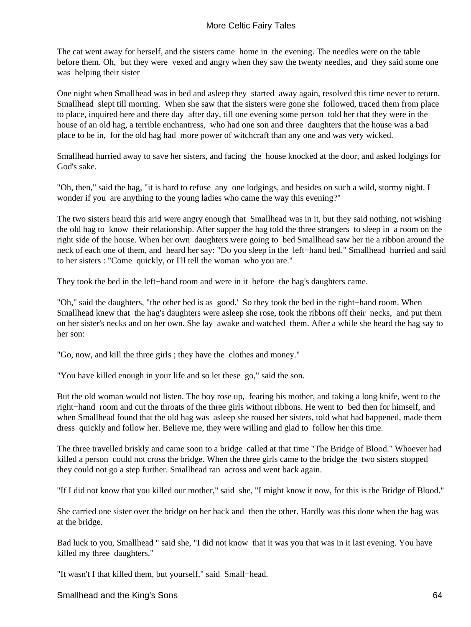The cat went away for herself, and the sisters came home in the evening. The needles were on the table before them. Oh, but they were vexed and angry when they saw the twenty needles, and they said some one was helping their sister

One night when Smallhead was in bed and asleep they started away again, resolved this time never to return. Smallhead slept till morning. When she saw that the sisters were gone she followed, traced them from place to place, inquired here and there day after day, till one evening some person told her that they were in the house of an old hag, a terrible enchantress, who had one son and three daughters that the house was a bad place to be in, for the old hag had more power of witchcraft than any one and was very wicked.

Smallhead hurried away to save her sisters, and facing the house knocked at the door, and asked lodgings for God's sake.

"Oh, then," said the hag, "it is hard to refuse any one lodgings, and besides on such a wild, stormy night. I wonder if you are anything to the young ladies who came the way this evening?"

The two sisters heard this arid were angry enough that Smallhead was in it, but they said nothing, not wishing the old hag to know their relationship. After supper the hag told the three strangers to sleep in a room on the right side of the house. When her own daughters were going to bed Smallhead saw her tie a ribbon around the neck of each one of them, and heard her say: "Do you sleep in the left−hand bed." Smallhead hurried and said to her sisters : "Come quickly, or I'll tell the woman who you are."

They took the bed in the left−hand room and were in it before the hag's daughters came.

"Oh," said the daughters, "the other bed is as good.' So they took the bed in the right−hand room. When Smallhead knew that the hag's daughters were asleep she rose, took the ribbons off their necks, and put them on her sister's necks and on her own. She lay awake and watched them. After a while she heard the hag say to her son:

"Go, now, and kill the three girls ; they have the clothes and money."

"You have killed enough in your life and so let these go," said the son.

But the old woman would not listen. The boy rose up, fearing his mother, and taking a long knife, went to the right−hand room and cut the throats of the three girls without ribbons. He went to bed then for himself, and when Smallhead found that the old hag was asleep she roused her sisters, told what had happened, made them dress quickly and follow her. Believe me, they were willing and glad to follow her this time.

The three travelled briskly and came soon to a bridge called at that time "The Bridge of Blood." Whoever had killed a person could not cross the bridge. When the three girls came to the bridge the two sisters stopped they could not go a step further. Smallhead ran across and went back again.

"If I did not know that you killed our mother," said she, "I might know it now, for this is the Bridge of Blood."

She carried one sister over the bridge on her back and then the other. Hardly was this done when the hag was at the bridge.

Bad luck to you, Smallhead " said she, "I did not know that it was you that was in it last evening. You have killed my three daughters."

"It wasn't I that killed them, but yourself," said Small−head.

Smallhead and the King's Sons 64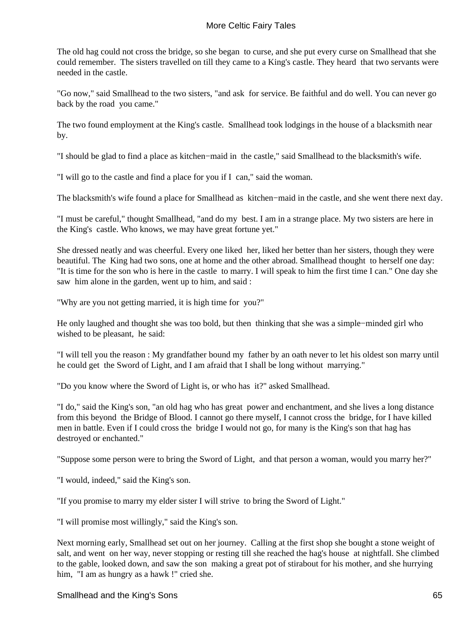The old hag could not cross the bridge, so she began to curse, and she put every curse on Smallhead that she could remember. The sisters travelled on till they came to a King's castle. They heard that two servants were needed in the castle.

"Go now," said Smallhead to the two sisters, "and ask for service. Be faithful and do well. You can never go back by the road you came."

The two found employment at the King's castle. Smallhead took lodgings in the house of a blacksmith near by.

"I should be glad to find a place as kitchen−maid in the castle," said Smallhead to the blacksmith's wife.

"I will go to the castle and find a place for you if I can," said the woman.

The blacksmith's wife found a place for Smallhead as kitchen−maid in the castle, and she went there next day.

"I must be careful," thought Smallhead, "and do my best. I am in a strange place. My two sisters are here in the King's castle. Who knows, we may have great fortune yet."

She dressed neatly and was cheerful. Every one liked her, liked her better than her sisters, though they were beautiful. The King had two sons, one at home and the other abroad. Smallhead thought to herself one day: "It is time for the son who is here in the castle to marry. I will speak to him the first time I can." One day she saw him alone in the garden, went up to him, and said :

"Why are you not getting married, it is high time for you?"

He only laughed and thought she was too bold, but then thinking that she was a simple−minded girl who wished to be pleasant, he said:

"I will tell you the reason : My grandfather bound my father by an oath never to let his oldest son marry until he could get the Sword of Light, and I am afraid that I shall be long without marrying."

"Do you know where the Sword of Light is, or who has it?" asked Smallhead.

"I do," said the King's son, "an old hag who has great power and enchantment, and she lives a long distance from this beyond the Bridge of Blood. I cannot go there myself, I cannot cross the bridge, for I have killed men in battle. Even if I could cross the bridge I would not go, for many is the King's son that hag has destroyed or enchanted."

"Suppose some person were to bring the Sword of Light, and that person a woman, would you marry her?"

"I would, indeed," said the King's son.

"If you promise to marry my elder sister I will strive to bring the Sword of Light."

"I will promise most willingly," said the King's son.

Next morning early, Smallhead set out on her journey. Calling at the first shop she bought a stone weight of salt, and went on her way, never stopping or resting till she reached the hag's house at nightfall. She climbed to the gable, looked down, and saw the son making a great pot of stirabout for his mother, and she hurrying him, "I am as hungry as a hawk !" cried she.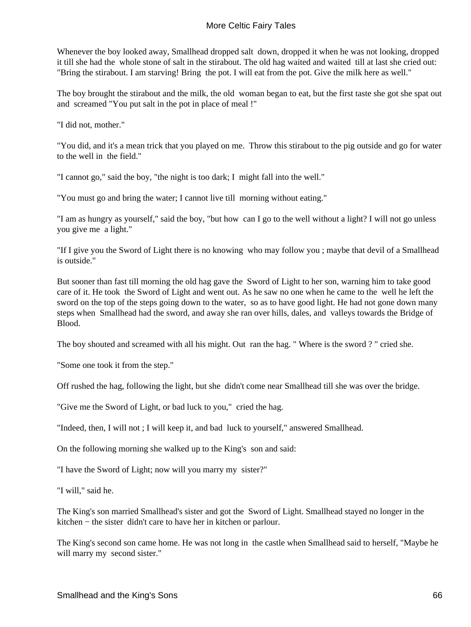Whenever the boy looked away, Smallhead dropped salt down, dropped it when he was not looking, dropped it till she had the whole stone of salt in the stirabout. The old hag waited and waited till at last she cried out: "Bring the stirabout. I am starving! Bring the pot. I will eat from the pot. Give the milk here as well."

The boy brought the stirabout and the milk, the old woman began to eat, but the first taste she got she spat out and screamed "You put salt in the pot in place of meal !"

"I did not, mother."

"You did, and it's a mean trick that you played on me. Throw this stirabout to the pig outside and go for water to the well in the field."

"I cannot go," said the boy, "the night is too dark; I might fall into the well."

"You must go and bring the water; I cannot live till morning without eating."

"I am as hungry as yourself," said the boy, "but how can I go to the well without a light? I will not go unless you give me a light."

"If I give you the Sword of Light there is no knowing who may follow you ; maybe that devil of a Smallhead is outside."

But sooner than fast till morning the old hag gave the Sword of Light to her son, warning him to take good care of it. He took the Sword of Light and went out. As he saw no one when he came to the well he left the sword on the top of the steps going down to the water, so as to have good light. He had not gone down many steps when Smallhead had the sword, and away she ran over hills, dales, and valleys towards the Bridge of Blood.

The boy shouted and screamed with all his might. Out ran the hag. " Where is the sword ? " cried she.

"Some one took it from the step."

Off rushed the hag, following the light, but she didn't come near Smallhead till she was over the bridge.

"Give me the Sword of Light, or bad luck to you," cried the hag.

"Indeed, then, I will not ; I will keep it, and bad luck to yourself," answered Smallhead.

On the following morning she walked up to the King's son and said:

"I have the Sword of Light; now will you marry my sister?"

"I will," said he.

The King's son married Smallhead's sister and got the Sword of Light. Smallhead stayed no longer in the kitchen − the sister didn't care to have her in kitchen or parlour.

The King's second son came home. He was not long in the castle when Smallhead said to herself, "Maybe he will marry my second sister."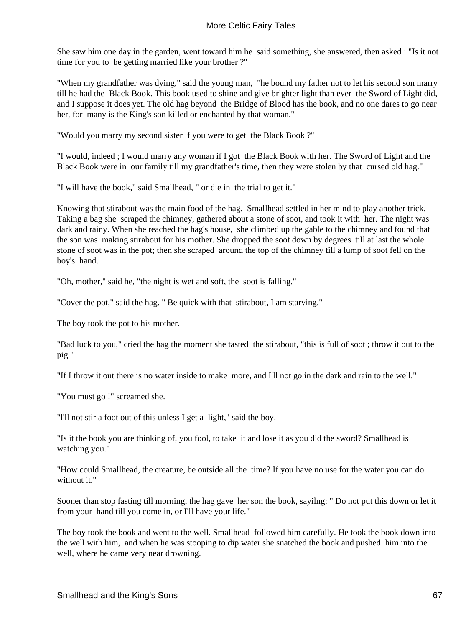She saw him one day in the garden, went toward him he said something, she answered, then asked : "Is it not time for you to be getting married like your brother ?"

"When my grandfather was dying," said the young man, "he bound my father not to let his second son marry till he had the Black Book. This book used to shine and give brighter light than ever the Sword of Light did, and I suppose it does yet. The old hag beyond the Bridge of Blood has the book, and no one dares to go near her, for many is the King's son killed or enchanted by that woman."

"Would you marry my second sister if you were to get the Black Book ?"

"I would, indeed ; I would marry any woman if I got the Black Book with her. The Sword of Light and the Black Book were in our family till my grandfather's time, then they were stolen by that cursed old hag."

"I will have the book," said Smallhead, " or die in the trial to get it."

Knowing that stirabout was the main food of the hag, Smallhead settled in her mind to play another trick. Taking a bag she scraped the chimney, gathered about a stone of soot, and took it with her. The night was dark and rainy. When she reached the hag's house, she climbed up the gable to the chimney and found that the son was making stirabout for his mother. She dropped the soot down by degrees till at last the whole stone of soot was in the pot; then she scraped around the top of the chimney till a lump of soot fell on the boy's hand.

"Oh, mother," said he, "the night is wet and soft, the soot is falling."

"Cover the pot," said the hag. " Be quick with that stirabout, I am starving."

The boy took the pot to his mother.

"Bad luck to you," cried the hag the moment she tasted the stirabout, "this is full of soot ; throw it out to the pig."

"If I throw it out there is no water inside to make more, and I'll not go in the dark and rain to the well."

"You must go !" screamed she.

"l'll not stir a foot out of this unless I get a light," said the boy.

"Is it the book you are thinking of, you fool, to take it and lose it as you did the sword? Smallhead is watching you."

"How could Smallhead, the creature, be outside all the time? If you have no use for the water you can do without it."

Sooner than stop fasting till morning, the hag gave her son the book, sayilng: " Do not put this down or let it from your hand till you come in, or I'll have your life."

The boy took the book and went to the well. Smallhead followed him carefully. He took the book down into the well with him, and when he was stooping to dip water she snatched the book and pushed him into the well, where he came very near drowning.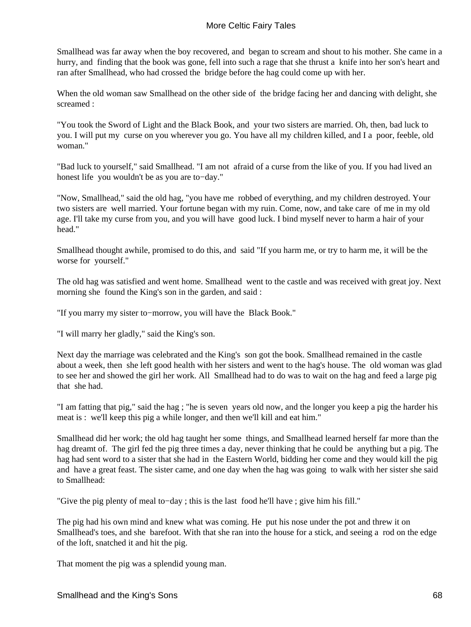Smallhead was far away when the boy recovered, and began to scream and shout to his mother. She came in a hurry, and finding that the book was gone, fell into such a rage that she thrust a knife into her son's heart and ran after Smallhead, who had crossed the bridge before the hag could come up with her.

When the old woman saw Smallhead on the other side of the bridge facing her and dancing with delight, she screamed :

"You took the Sword of Light and the Black Book, and your two sisters are married. Oh, then, bad luck to you. I will put my curse on you wherever you go. You have all my children killed, and I a poor, feeble, old woman."

"Bad luck to yourself," said Smallhead. "I am not afraid of a curse from the like of you. If you had lived an honest life you wouldn't be as you are to−day."

"Now, Smallhead," said the old hag, "you have me robbed of everything, and my children destroyed. Your two sisters are well married. Your fortune began with my ruin. Come, now, and take care of me in my old age. I'll take my curse from you, and you will have good luck. I bind myself never to harm a hair of your head."

Smallhead thought awhile, promised to do this, and said "If you harm me, or try to harm me, it will be the worse for yourself."

The old hag was satisfied and went home. Smallhead went to the castle and was received with great joy. Next morning she found the King's son in the garden, and said :

"If you marry my sister to−morrow, you will have the Black Book."

"I will marry her gladly," said the King's son.

Next day the marriage was celebrated and the King's son got the book. Smallhead remained in the castle about a week, then she left good health with her sisters and went to the hag's house. The old woman was glad to see her and showed the girl her work. All Smallhead had to do was to wait on the hag and feed a large pig that she had.

"I am fatting that pig," said the hag ; "he is seven years old now, and the longer you keep a pig the harder his meat is : we'll keep this pig a while longer, and then we'll kill and eat him."

Smallhead did her work; the old hag taught her some things, and Smallhead learned herself far more than the hag dreamt of. The girl fed the pig three times a day, never thinking that he could be anything but a pig. The hag had sent word to a sister that she had in the Eastern World, bidding her come and they would kill the pig and have a great feast. The sister came, and one day when the hag was going to walk with her sister she said to Smallhead:

"Give the pig plenty of meal to−day ; this is the last food he'll have ; give him his fill."

The pig had his own mind and knew what was coming. He put his nose under the pot and threw it on Smallhead's toes, and she barefoot. With that she ran into the house for a stick, and seeing a rod on the edge of the loft, snatched it and hit the pig.

That moment the pig was a splendid young man.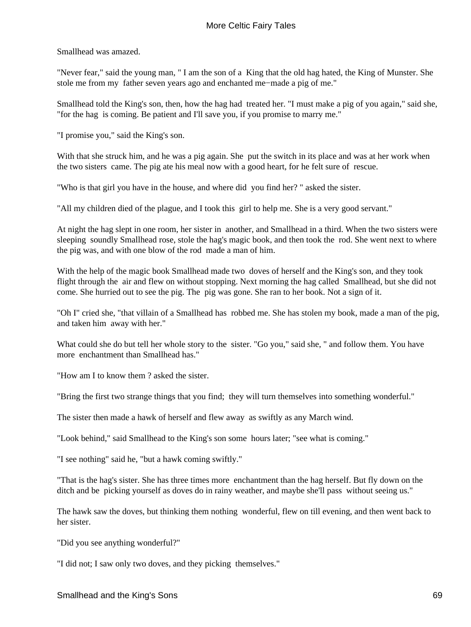Smallhead was amazed.

"Never fear," said the young man, " I am the son of a King that the old hag hated, the King of Munster. She stole me from my father seven years ago and enchanted me−made a pig of me."

Smallhead told the King's son, then, how the hag had treated her. "I must make a pig of you again," said she, "for the hag is coming. Be patient and I'll save you, if you promise to marry me."

"I promise you," said the King's son.

With that she struck him, and he was a pig again. She put the switch in its place and was at her work when the two sisters came. The pig ate his meal now with a good heart, for he felt sure of rescue.

"Who is that girl you have in the house, and where did you find her? " asked the sister.

"All my children died of the plague, and I took this girl to help me. She is a very good servant."

At night the hag slept in one room, her sister in another, and Smallhead in a third. When the two sisters were sleeping soundly Smallhead rose, stole the hag's magic book, and then took the rod. She went next to where the pig was, and with one blow of the rod made a man of him.

With the help of the magic book Smallhead made two doves of herself and the King's son, and they took flight through the air and flew on without stopping. Next morning the hag called Smallhead, but she did not come. She hurried out to see the pig. The pig was gone. She ran to her book. Not a sign of it.

"Oh I" cried she, "that villain of a Smallhead has robbed me. She has stolen my book, made a man of the pig, and taken him away with her."

What could she do but tell her whole story to the sister. "Go you," said she, " and follow them. You have more enchantment than Smallhead has."

"How am I to know them ? asked the sister.

"Bring the first two strange things that you find; they will turn themselves into something wonderful."

The sister then made a hawk of herself and flew away as swiftly as any March wind.

"Look behind," said Smallhead to the King's son some hours later; "see what is coming."

"I see nothing" said he, "but a hawk coming swiftly."

"That is the hag's sister. She has three times more enchantment than the hag herself. But fly down on the ditch and be picking yourself as doves do in rainy weather, and maybe she'll pass without seeing us."

The hawk saw the doves, but thinking them nothing wonderful, flew on till evening, and then went back to her sister.

"Did you see anything wonderful?"

"I did not; I saw only two doves, and they picking themselves."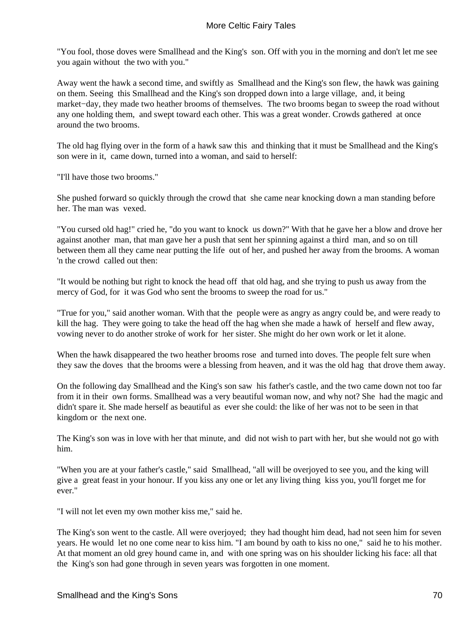"You fool, those doves were Smallhead and the King's son. Off with you in the morning and don't let me see you again without the two with you."

Away went the hawk a second time, and swiftly as Smallhead and the King's son flew, the hawk was gaining on them. Seeing this Smallhead and the King's son dropped down into a large village, and, it being market−day, they made two heather brooms of themselves. The two brooms began to sweep the road without any one holding them, and swept toward each other. This was a great wonder. Crowds gathered at once around the two brooms.

The old hag flying over in the form of a hawk saw this and thinking that it must be Smallhead and the King's son were in it, came down, turned into a woman, and said to herself:

"I'll have those two brooms."

She pushed forward so quickly through the crowd that she came near knocking down a man standing before her. The man was vexed.

"You cursed old hag!" cried he, "do you want to knock us down?" With that he gave her a blow and drove her against another man, that man gave her a push that sent her spinning against a third man, and so on till between them all they came near putting the life out of her, and pushed her away from the brooms. A woman 'n the crowd called out then:

"It would be nothing but right to knock the head off that old hag, and she trying to push us away from the mercy of God, for it was God who sent the brooms to sweep the road for us."

"True for you," said another woman. With that the people were as angry as angry could be, and were ready to kill the hag. They were going to take the head off the hag when she made a hawk of herself and flew away, vowing never to do another stroke of work for her sister. She might do her own work or let it alone.

When the hawk disappeared the two heather brooms rose and turned into doves. The people felt sure when they saw the doves that the brooms were a blessing from heaven, and it was the old hag that drove them away.

On the following day Smallhead and the King's son saw his father's castle, and the two came down not too far from it in their own forms. Smallhead was a very beautiful woman now, and why not? She had the magic and didn't spare it. She made herself as beautiful as ever she could: the like of her was not to be seen in that kingdom or the next one.

The King's son was in love with her that minute, and did not wish to part with her, but she would not go with him.

"When you are at your father's castle," said Smallhead, "all will be overjoyed to see you, and the king will give a great feast in your honour. If you kiss any one or let any living thing kiss you, you'll forget me for ever."

"I will not let even my own mother kiss me," said he.

The King's son went to the castle. All were overjoyed; they had thought him dead, had not seen him for seven years. He would let no one come near to kiss him. "I am bound by oath to kiss no one," said he to his mother. At that moment an old grey hound came in, and with one spring was on his shoulder licking his face: all that the King's son had gone through in seven years was forgotten in one moment.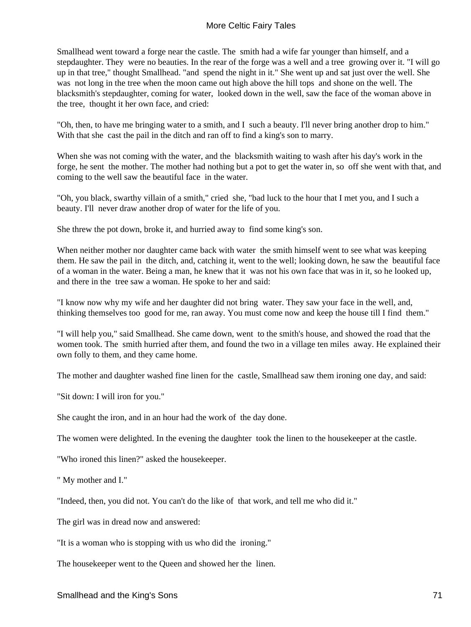Smallhead went toward a forge near the castle. The smith had a wife far younger than himself, and a stepdaughter. They were no beauties. In the rear of the forge was a well and a tree growing over it. "I will go up in that tree," thought Smallhead. "and spend the night in it." She went up and sat just over the well. She was not long in the tree when the moon came out high above the hill tops and shone on the well. The blacksmith's stepdaughter, coming for water, looked down in the well, saw the face of the woman above in the tree, thought it her own face, and cried:

"Oh, then, to have me bringing water to a smith, and I such a beauty. I'll never bring another drop to him." With that she cast the pail in the ditch and ran off to find a king's son to marry.

When she was not coming with the water, and the blacksmith waiting to wash after his day's work in the forge, he sent the mother. The mother had nothing but a pot to get the water in, so off she went with that, and coming to the well saw the beautiful face in the water.

"Oh, you black, swarthy villain of a smith," cried she, "bad luck to the hour that I met you, and I such a beauty. I'll never draw another drop of water for the life of you.

She threw the pot down, broke it, and hurried away to find some king's son.

When neither mother nor daughter came back with water the smith himself went to see what was keeping them. He saw the pail in the ditch, and, catching it, went to the well; looking down, he saw the beautiful face of a woman in the water. Being a man, he knew that it was not his own face that was in it, so he looked up, and there in the tree saw a woman. He spoke to her and said:

"I know now why my wife and her daughter did not bring water. They saw your face in the well, and, thinking themselves too good for me, ran away. You must come now and keep the house till I find them."

"I will help you," said Smallhead. She came down, went to the smith's house, and showed the road that the women took. The smith hurried after them, and found the two in a village ten miles away. He explained their own folly to them, and they came home.

The mother and daughter washed fine linen for the castle, Smallhead saw them ironing one day, and said:

"Sit down: I will iron for you."

She caught the iron, and in an hour had the work of the day done.

The women were delighted. In the evening the daughter took the linen to the housekeeper at the castle.

"Who ironed this linen?" asked the housekeeper.

" My mother and I."

"Indeed, then, you did not. You can't do the like of that work, and tell me who did it."

The girl was in dread now and answered:

"It is a woman who is stopping with us who did the ironing."

The housekeeper went to the Queen and showed her the linen.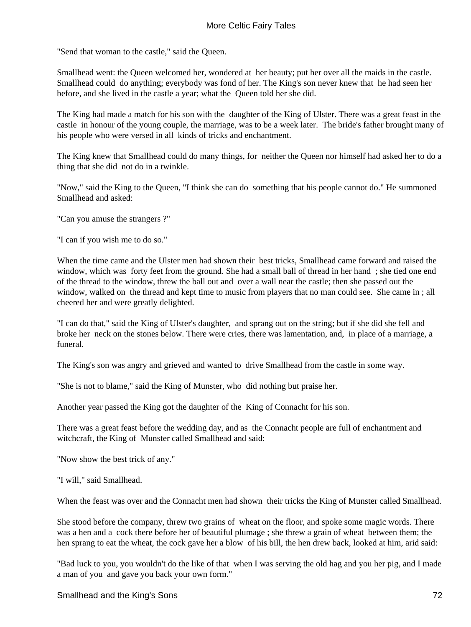"Send that woman to the castle," said the Queen.

Smallhead went: the Queen welcomed her, wondered at her beauty; put her over all the maids in the castle. Smallhead could do anything; everybody was fond of her. The King's son never knew that he had seen her before, and she lived in the castle a year; what the Queen told her she did.

The King had made a match for his son with the daughter of the King of Ulster. There was a great feast in the castle in honour of the young couple, the marriage, was to be a week later. The bride's father brought many of his people who were versed in all kinds of tricks and enchantment.

The King knew that Smallhead could do many things, for neither the Queen nor himself had asked her to do a thing that she did not do in a twinkle.

"Now," said the King to the Queen, "I think she can do something that his people cannot do." He summoned Smallhead and asked:

"Can you amuse the strangers ?"

"I can if you wish me to do so."

When the time came and the Ulster men had shown their best tricks, Smallhead came forward and raised the window, which was forty feet from the ground. She had a small ball of thread in her hand ; she tied one end of the thread to the window, threw the ball out and over a wall near the castle; then she passed out the window, walked on the thread and kept time to music from players that no man could see. She came in ; all cheered her and were greatly delighted.

"I can do that," said the King of Ulster's daughter, and sprang out on the string; but if she did she fell and broke her neck on the stones below. There were cries, there was lamentation, and, in place of a marriage, a funeral.

The King's son was angry and grieved and wanted to drive Smallhead from the castle in some way.

"She is not to blame," said the King of Munster, who did nothing but praise her.

Another year passed the King got the daughter of the King of Connacht for his son.

There was a great feast before the wedding day, and as the Connacht people are full of enchantment and witchcraft, the King of Munster called Smallhead and said:

"Now show the best trick of any."

"I will," said Smallhead.

When the feast was over and the Connacht men had shown their tricks the King of Munster called Smallhead.

She stood before the company, threw two grains of wheat on the floor, and spoke some magic words. There was a hen and a cock there before her of beautiful plumage ; she threw a grain of wheat between them; the hen sprang to eat the wheat, the cock gave her a blow of his bill, the hen drew back, looked at him, arid said:

"Bad luck to you, you wouldn't do the like of that when I was serving the old hag and you her pig, and I made a man of you and gave you back your own form."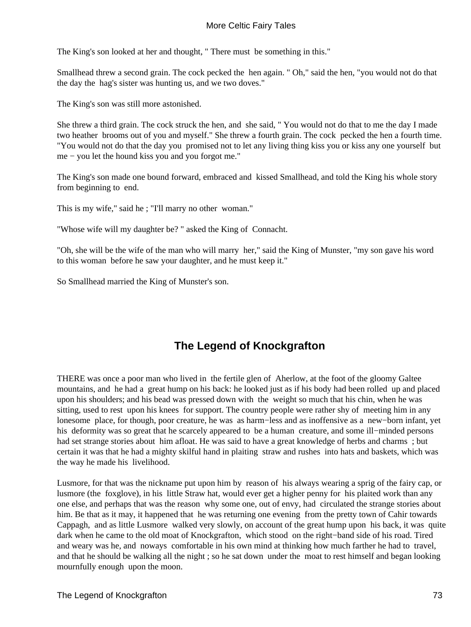The King's son looked at her and thought, " There must be something in this."

Smallhead threw a second grain. The cock pecked the hen again. " Oh," said the hen, "you would not do that the day the hag's sister was hunting us, and we two doves."

The King's son was still more astonished.

She threw a third grain. The cock struck the hen, and she said, " You would not do that to me the day I made two heather brooms out of you and myself." She threw a fourth grain. The cock pecked the hen a fourth time. "You would not do that the day you promised not to let any living thing kiss you or kiss any one yourself but me − you let the hound kiss you and you forgot me."

The King's son made one bound forward, embraced and kissed Smallhead, and told the King his whole story from beginning to end.

This is my wife," said he ; "I'll marry no other woman."

"Whose wife will my daughter be? " asked the King of Connacht.

"Oh, she will be the wife of the man who will marry her," said the King of Munster, "my son gave his word to this woman before he saw your daughter, and he must keep it."

So Smallhead married the King of Munster's son.

# **The Legend of Knockgrafton**

THERE was once a poor man who lived in the fertile glen of Aherlow, at the foot of the gloomy Galtee mountains, and he had a great hump on his back: he looked just as if his body had been rolled up and placed upon his shoulders; and his bead was pressed down with the weight so much that his chin, when he was sitting, used to rest upon his knees for support. The country people were rather shy of meeting him in any lonesome place, for though, poor creature, he was as harm−less and as inoffensive as a new−born infant, yet his deformity was so great that he scarcely appeared to be a human creature, and some ill−minded persons had set strange stories about him afloat. He was said to have a great knowledge of herbs and charms ; but certain it was that he had a mighty skilful hand in plaiting straw and rushes into hats and baskets, which was the way he made his livelihood.

Lusmore, for that was the nickname put upon him by reason of his always wearing a sprig of the fairy cap, or lusmore (the foxglove), in his little Straw hat, would ever get a higher penny for his plaited work than any one else, and perhaps that was the reason why some one, out of envy, had circulated the strange stories about him. Be that as it may, it happened that he was returning one evening from the pretty town of Cahir towards Cappagh, and as little Lusmore walked very slowly, on account of the great hump upon his back, it was quite dark when he came to the old moat of Knockgrafton, which stood on the right−band side of his road. Tired and weary was he, and noways comfortable in his own mind at thinking how much farther he had to travel, and that he should be walking all the night ; so he sat down under the moat to rest himself and began looking mournfully enough upon the moon.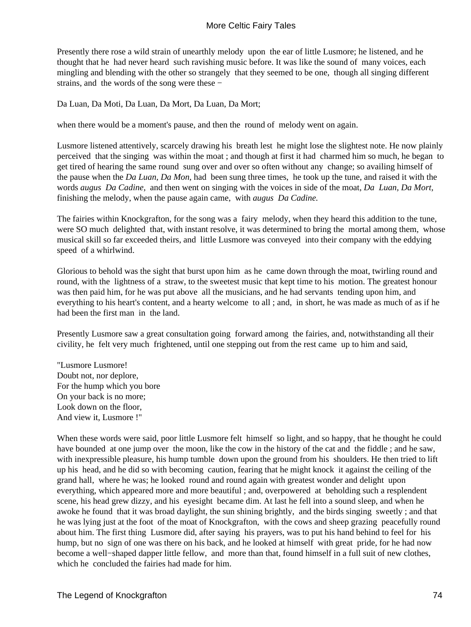Presently there rose a wild strain of unearthly melody upon the ear of little Lusmore; he listened, and he thought that he had never heard such ravishing music before. It was like the sound of many voices, each mingling and blending with the other so strangely that they seemed to be one, though all singing different strains, and the words of the song were these −

Da Luan, Da Moti, Da Luan, Da Mort, Da Luan, Da Mort;

when there would be a moment's pause, and then the round of melody went on again.

Lusmore listened attentively, scarcely drawing his breath lest he might lose the slightest note. He now plainly perceived that the singing was within the moat ; and though at first it had charmed him so much, he began to get tired of hearing the same round sung over and over so often without any change; so availing himself of the pause when the *Da Luan, Da Mon,* had been sung three times, he took up the tune, and raised it with the words *augus Da Cadine,* and then went on singing with the voices in side of the moat, *Da Luan, Da Mort,* finishing the melody, when the pause again came, with *augus Da Cadine.*

The fairies within Knockgrafton, for the song was a fairy melody, when they heard this addition to the tune, were SO much delighted that, with instant resolve, it was determined to bring the mortal among them, whose musical skill so far exceeded theirs, and little Lusmore was conveyed into their company with the eddying speed of a whirlwind.

Glorious to behold was the sight that burst upon him as he came down through the moat, twirling round and round, with the lightness of a straw, to the sweetest music that kept time to his motion. The greatest honour was then paid him, for he was put above all the musicians, and he had servants tending upon him, and everything to his heart's content, and a hearty welcome to all ; and, in short, he was made as much of as if he had been the first man in the land.

Presently Lusmore saw a great consultation going forward among the fairies, and, notwithstanding all their civility, he felt very much frightened, until one stepping out from the rest came up to him and said,

"Lusmore Lusmore! Doubt not, nor deplore, For the hump which you bore On your back is no more; Look down on the floor, And view it, Lusmore !"

When these words were said, poor little Lusmore felt himself so light, and so happy, that he thought he could have bounded at one jump over the moon, like the cow in the history of the cat and the fiddle ; and he saw, with inexpressible pleasure, his hump tumble down upon the ground from his shoulders. He then tried to lift up his head, and he did so with becoming caution, fearing that he might knock it against the ceiling of the grand hall, where he was; he looked round and round again with greatest wonder and delight upon everything, which appeared more and more beautiful ; and, overpowered at beholding such a resplendent scene, his head grew dizzy, and his eyesight became dim. At last he fell into a sound sleep, and when he awoke he found that it was broad daylight, the sun shining brightly, and the birds singing sweetly ; and that he was lying just at the foot of the moat of Knockgrafton, with the cows and sheep grazing peacefully round about him. The first thing Lusmore did, after saying his prayers, was to put his hand behind to feel for his hump, but no sign of one was there on his back, and he looked at himself with great pride, for he had now become a well−shaped dapper little fellow, and more than that, found himself in a full suit of new clothes, which he concluded the fairies had made for him.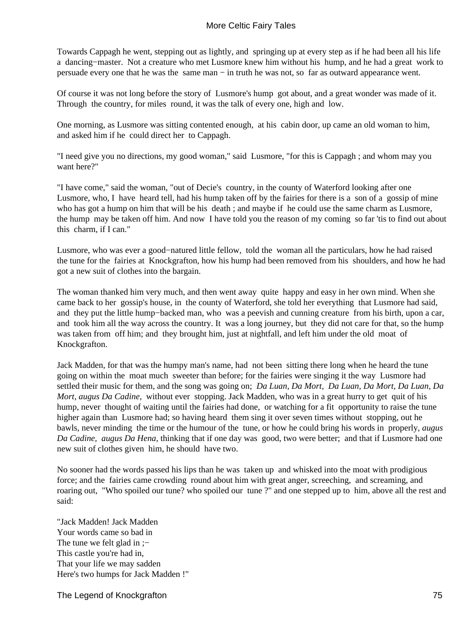Towards Cappagh he went, stepping out as lightly, and springing up at every step as if he had been all his life a dancing−master. Not a creature who met Lusmore knew him without his hump, and he had a great work to persuade every one that he was the same man − in truth he was not, so far as outward appearance went.

Of course it was not long before the story of Lusmore's hump got about, and a great wonder was made of it. Through the country, for miles round, it was the talk of every one, high and low.

One morning, as Lusmore was sitting contented enough, at his cabin door, up came an old woman to him, and asked him if he could direct her to Cappagh.

"I need give you no directions, my good woman," said Lusmore, "for this is Cappagh ; and whom may you want here?"

"I have come," said the woman, "out of Decie's country, in the county of Waterford looking after one Lusmore, who, I have heard tell, had his hump taken off by the fairies for there is a son of a gossip of mine who has got a hump on him that will be his death ; and maybe if he could use the same charm as Lusmore, the hump may be taken off him. And now I have told you the reason of my coming so far 'tis to find out about this charm, if I can."

Lusmore, who was ever a good−natured little fellow, told the woman all the particulars, how he had raised the tune for the fairies at Knockgrafton, how his hump had been removed from his shoulders, and how he had got a new suit of clothes into the bargain.

The woman thanked him very much, and then went away quite happy and easy in her own mind. When she came back to her gossip's house, in the county of Waterford, she told her everything that Lusmore had said, and they put the little hump−backed man, who was a peevish and cunning creature from his birth, upon a car, and took him all the way across the country. It was a long journey, but they did not care for that, so the hump was taken from off him; and they brought him, just at nightfall, and left him under the old moat of Knockgrafton.

Jack Madden, for that was the humpy man's name, had not been sitting there long when he heard the tune going on within the moat much sweeter than before; for the fairies were singing it the way Lusmore had settled their music for them, and the song was going on; *Da Luan, Da Mort, Da Luan, Da Mort, Da Luan, Da Mort, augus Da Cadine, without ever stopping. Jack Madden, who was in a great hurry to get quit of his* hump, never thought of waiting until the fairies had done, or watching for a fit opportunity to raise the tune higher again than Lusmore had; so having heard them sing it over seven times without stopping, out he bawls, never minding the time or the humour of the tune, or how he could bring his words in properly, *augus Da Cadine, augus Da Hena,* thinking that if one day was good, two were better; and that if Lusmore had one new suit of clothes given him, he should have two.

No sooner had the words passed his lips than he was taken up and whisked into the moat with prodigious force; and the fairies came crowding round about him with great anger, screeching, and screaming, and roaring out, "Who spoiled our tune? who spoiled our tune ?" and one stepped up to him, above all the rest and said:

"Jack Madden! Jack Madden Your words came so bad in The tune we felt glad in ;– This castle you're had in, That your life we may sadden Here's two humps for Jack Madden !"

The Legend of Knockgrafton 75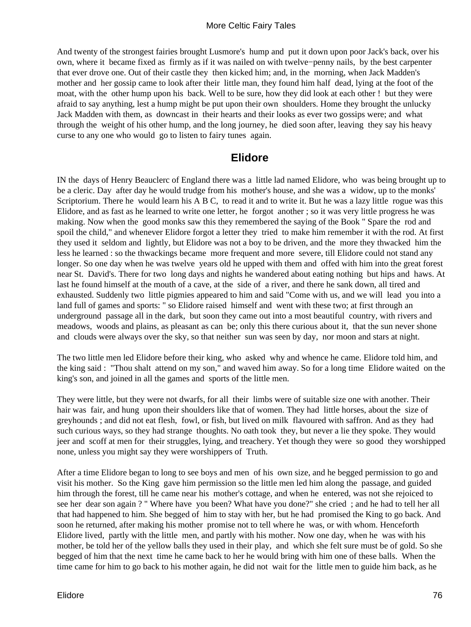And twenty of the strongest fairies brought Lusmore's hump and put it down upon poor Jack's back, over his own, where it became fixed as firmly as if it was nailed on with twelve−penny nails, by the best carpenter that ever drove one. Out of their castle they then kicked him; and, in the morning, when Jack Madden's mother and her gossip came to look after their little man, they found him half dead, lying at the foot of the moat, with the other hump upon his back. Well to be sure, how they did look at each other ! but they were afraid to say anything, lest a hump might be put upon their own shoulders. Home they brought the unlucky Jack Madden with them, as downcast in their hearts and their looks as ever two gossips were; and what through the weight of his other hump, and the long journey, he died soon after, leaving they say his heavy curse to any one who would go to listen to fairy tunes again.

# **Elidore**

IN the days of Henry Beauclerc of England there was a little lad named Elidore, who was being brought up to be a cleric. Day after day he would trudge from his mother's house, and she was a widow, up to the monks' Scriptorium. There he would learn his A B C, to read it and to write it. But he was a lazy little rogue was this Elidore, and as fast as he learned to write one letter, he forgot another ; so it was very little progress he was making. Now when the good monks saw this they remembered the saying of the Book " Spare the rod and spoil the child," and whenever Elidore forgot a letter they tried to make him remember it with the rod. At first they used it seldom and lightly, but Elidore was not a boy to be driven, and the more they thwacked him the less he learned : so the thwackings became more frequent and more severe, till Elidore could not stand any longer. So one day when he was twelve years old he upped with them and offed with him into the great forest near St. David's. There for two long days and nights he wandered about eating nothing but hips and haws. At last he found himself at the mouth of a cave, at the side of a river, and there he sank down, all tired and exhausted. Suddenly two little pigmies appeared to him and said "Come with us, and we will lead you into a land full of games and sports: " so Elidore raised himself and went with these two; at first through an underground passage all in the dark, but soon they came out into a most beautiful country, with rivers and meadows, woods and plains, as pleasant as can be; only this there curious about it, that the sun never shone and clouds were always over the sky, so that neither sun was seen by day, nor moon and stars at night.

The two little men led Elidore before their king, who asked why and whence he came. Elidore told him, and the king said : "Thou shalt attend on my son," and waved him away. So for a long time Elidore waited on the king's son, and joined in all the games and sports of the little men.

They were little, but they were not dwarfs, for all their limbs were of suitable size one with another. Their hair was fair, and hung upon their shoulders like that of women. They had little horses, about the size of greyhounds ; and did not eat flesh, fowl, or fish, but lived on milk flavoured with saffron. And as they had such curious ways, so they had strange thoughts. No oath took they, but never a lie they spoke. They would jeer and scoff at men for their struggles, lying, and treachery. Yet though they were so good they worshipped none, unless you might say they were worshippers of Truth.

After a time Elidore began to long to see boys and men of his own size, and he begged permission to go and visit his mother. So the King gave him permission so the little men led him along the passage, and guided him through the forest, till he came near his mother's cottage, and when he entered, was not she rejoiced to see her dear son again ? " Where have you been? What have you done?" she cried ; and he had to tell her all that had happened to him. She begged of him to stay with her, but he had promised the King to go back. And soon he returned, after making his mother promise not to tell where he was, or with whom. Henceforth Elidore lived, partly with the little men, and partly with his mother. Now one day, when he was with his mother, be told her of the yellow balls they used in their play, and which she felt sure must be of gold. So she begged of him that the next time he came back to her he would bring with him one of these balls. When the time came for him to go back to his mother again, he did not wait for the little men to guide him back, as he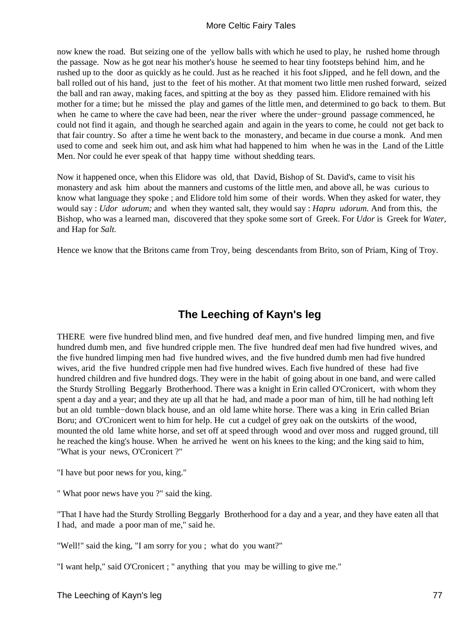now knew the road. But seizing one of the yellow balls with which he used to play, he rushed home through the passage. Now as he got near his mother's house he seemed to hear tiny footsteps behind him, and he rushed up to the door as quickly as he could. Just as he reached it his foot sJipped, and he fell down, and the ball rolled out of his hand, just to the feet of his mother. At that moment two little men rushed forward, seized the ball and ran away, making faces, and spitting at the boy as they passed him. Elidore remained with his mother for a time; but he missed the play and games of the little men, and determined to go back to them. But when he came to where the cave had been, near the river where the under−ground passage commenced, he could not find it again, and though he searched again and again in the years to come, he could not get back to that fair country. So after a time he went back to the monastery, and became in due course a monk. And men used to come and seek him out, and ask him what had happened to him when he was in the Land of the Little Men. Nor could he ever speak of that happy time without shedding tears.

Now it happened once, when this Elidore was old, that David, Bishop of St. David's, came to visit his monastery and ask him about the manners and customs of the little men, and above all, he was curious to know what language they spoke ; and Elidore told him some of their words. When they asked for water, they would say : *Udor udorum;* and when they wanted salt, they would say : *Hapru udorum.* And from this, the Bishop, who was a learned man, discovered that they spoke some sort of Greek. For *Udor* is Greek for *Water,* and Hap for *Salt.*

Hence we know that the Britons came from Troy, being descendants from Brito, son of Priam, King of Troy.

# **The Leeching of Kayn's leg**

THERE were five hundred blind men, and five hundred deaf men, and five hundred limping men, and five hundred dumb men, and five hundred cripple men. The five hundred deaf men had five hundred wives, and the five hundred limping men had five hundred wives, and the five hundred dumb men had five hundred wives, arid the five hundred cripple men had five hundred wives. Each five hundred of these had five hundred children and five hundred dogs. They were in the habit of going about in one band, and were called the Sturdy Strolling Beggarly Brotherhood. There was a knight in Erin called O'Cronicert, with whom they spent a day and a year; and they ate up all that he had, and made a poor man of him, till he had nothing left but an old tumble−down black house, and an old lame white horse. There was a king in Erin called Brian Boru; and O'Cronicert went to him for help. He cut a cudgel of grey oak on the outskirts of the wood, mounted the old lame white horse, and set off at speed through wood and over moss and rugged ground, till he reached the king's house. When he arrived he went on his knees to the king; and the king said to him, "What is your news, O'Cronicert ?"

"I have but poor news for you, king."

" What poor news have you ?" said the king.

"That I have had the Sturdy Strolling Beggarly Brotherhood for a day and a year, and they have eaten all that I had, and made a poor man of me," said he.

"Well!" said the king, "I am sorry for you ; what do you want?"

"I want help," said O'Cronicert ; " anything that you may be willing to give me."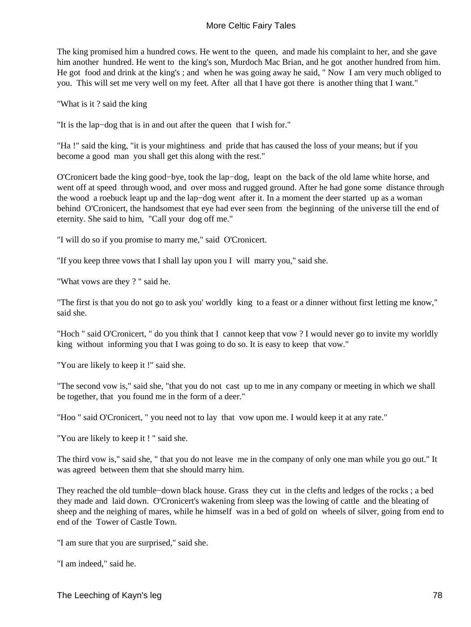The king promised him a hundred cows. He went to the queen, and made his complaint to her, and she gave him another hundred. He went to the king's son, Murdoch Mac Brian, and he got another hundred from him. He got food and drink at the king's ; and when he was going away he said, " Now I am very much obliged to you. This will set me very well on my feet. After all that I have got there is another thing that I want."

"What is it ? said the king

"It is the lap−dog that is in and out after the queen that I wish for."

"Ha !" said the king, "it is your mightiness and pride that has caused the loss of your means; but if you become a good man you shall get this along with the rest."

O'Cronicert bade the king good−bye, took the lap−dog, leapt on the back of the old lame white horse, and went off at speed through wood, and over moss and rugged ground. After he had gone some distance through the wood a roebuck leapt up and the lap−dog went after it. In a moment the deer started up as a woman behind O'Cronicert, the handsomest that eye had ever seen from the beginning of the universe till the end of eternity. She said to him, "Call your dog off me."

"I will do so if you promise to marry me," said O'Cronicert.

"If you keep three vows that I shall lay upon you I will marry you," said she.

"What vows are they ? " said he.

"The first is that you do not go to ask you' worldly king to a feast or a dinner without first letting me know," said she.

"Hoch " said O'Cronicert, " do you think that I cannot keep that vow ? I would never go to invite my worldly king without informing you that I was going to do so. It is easy to keep that vow."

"You are likely to keep it !" said she.

"The second vow is," said she, "that you do not cast up to me in any company or meeting in which we shall be together, that you found me in the form of a deer."

"Hoo " said O'Cronicert, " you need not to lay that vow upon me. I would keep it at any rate."

"You are likely to keep it ! " said she.

The third vow is," said she, " that you do not leave me in the company of only one man while you go out." It was agreed between them that she should marry him.

They reached the old tumble−down black house. Grass they cut in the clefts and ledges of the rocks ; a bed they made and laid down. O'Cronicert's wakening from sleep was the lowing of cattle and the bleating of sheep and the neighing of mares, while he himself was in a bed of gold on wheels of silver, going from end to end of the Tower of Castle Town.

"I am sure that you are surprised," said she.

"I am indeed," said he.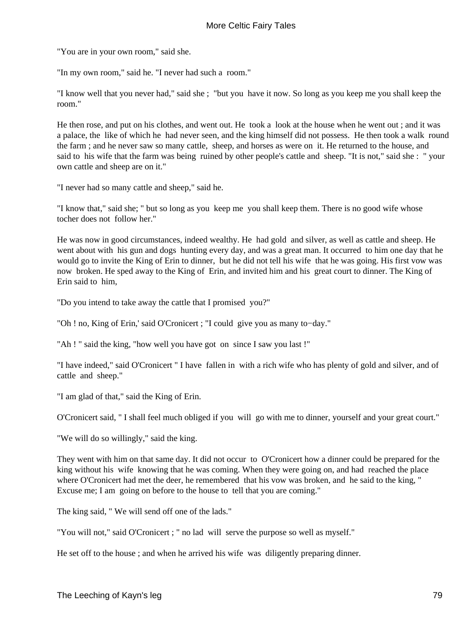"You are in your own room," said she.

"In my own room," said he. "I never had such a room."

"I know well that you never had," said she ; "but you have it now. So long as you keep me you shall keep the room."

He then rose, and put on his clothes, and went out. He took a look at the house when he went out ; and it was a palace, the like of which he had never seen, and the king himself did not possess. He then took a walk round the farm ; and he never saw so many cattle, sheep, and horses as were on it. He returned to the house, and said to his wife that the farm was being ruined by other people's cattle and sheep. "It is not," said she : " your own cattle and sheep are on it."

"I never had so many cattle and sheep," said he.

"I know that," said she; " but so long as you keep me you shall keep them. There is no good wife whose tocher does not follow her."

He was now in good circumstances, indeed wealthy. He had gold and silver, as well as cattle and sheep. He went about with his gun and dogs hunting every day, and was a great man. It occurred to him one day that he would go to invite the King of Erin to dinner, but he did not tell his wife that he was going. His first vow was now broken. He sped away to the King of Erin, and invited him and his great court to dinner. The King of Erin said to him,

"Do you intend to take away the cattle that I promised you?"

"Oh ! no, King of Erin,' said O'Cronicert ; "I could give you as many to−day."

"Ah ! " said the king, "how well you have got on since I saw you last !"

"I have indeed," said O'Cronicert " I have fallen in with a rich wife who has plenty of gold and silver, and of cattle and sheep."

"I am glad of that," said the King of Erin.

O'Cronicert said, " I shall feel much obliged if you will go with me to dinner, yourself and your great court."

"We will do so willingly," said the king.

They went with him on that same day. It did not occur to O'Cronicert how a dinner could be prepared for the king without his wife knowing that he was coming. When they were going on, and had reached the place where O'Cronicert had met the deer, he remembered that his vow was broken, and he said to the king, " Excuse me; I am going on before to the house to tell that you are coming."

The king said, " We will send off one of the lads."

"You will not," said O'Cronicert ; " no lad will serve the purpose so well as myself."

He set off to the house ; and when he arrived his wife was diligently preparing dinner.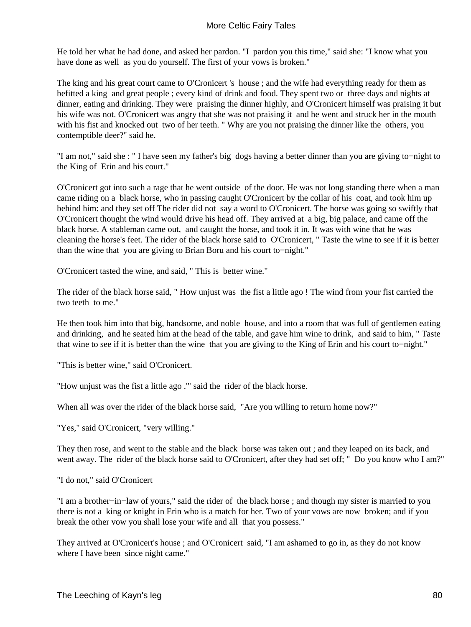He told her what he had done, and asked her pardon. "I pardon you this time," said she: "I know what you have done as well as you do yourself. The first of your vows is broken."

The king and his great court came to O'Cronicert 's house ; and the wife had everything ready for them as befitted a king and great people ; every kind of drink and food. They spent two or three days and nights at dinner, eating and drinking. They were praising the dinner highly, and O'Cronicert himself was praising it but his wife was not. O'Cronicert was angry that she was not praising it and he went and struck her in the mouth with his fist and knocked out two of her teeth. " Why are you not praising the dinner like the others, you contemptible deer?" said he.

"I am not," said she : " I have seen my father's big dogs having a better dinner than you are giving to−night to the King of Erin and his court."

O'Cronicert got into such a rage that he went outside of the door. He was not long standing there when a man came riding on a black horse, who in passing caught O'Cronicert by the collar of his coat, and took him up behind him: and they set off The rider did not say a word to O'Cronicert. The horse was going so swiftly that O'Cronicert thought the wind would drive his head off. They arrived at a big, big palace, and came off the black horse. A stableman came out, and caught the horse, and took it in. It was with wine that he was cleaning the horse's feet. The rider of the black horse said to O'Cronicert, " Taste the wine to see if it is better than the wine that you are giving to Brian Boru and his court to−night."

O'Cronicert tasted the wine, and said, " This is better wine."

The rider of the black horse said, " How unjust was the fist a little ago ! The wind from your fist carried the two teeth to me."

He then took him into that big, handsome, and noble house, and into a room that was full of gentlemen eating and drinking, and he seated him at the head of the table, and gave him wine to drink, and said to him, " Taste that wine to see if it is better than the wine that you are giving to the King of Erin and his court to−night."

"This is better wine," said O'Cronicert.

"How unjust was the fist a little ago .'" said the rider of the black horse.

When all was over the rider of the black horse said, "Are you willing to return home now?"

"Yes," said O'Cronicert, "very willing."

They then rose, and went to the stable and the black horse was taken out ; and they leaped on its back, and went away. The rider of the black horse said to O'Cronicert, after they had set off; "Do you know who I am?"

"I do not," said O'Cronicert

"I am a brother−in−law of yours," said the rider of the black horse ; and though my sister is married to you there is not a king or knight in Erin who is a match for her. Two of your vows are now broken; and if you break the other vow you shall lose your wife and all that you possess."

They arrived at O'Cronicert's house ; and O'Cronicert said, "I am ashamed to go in, as they do not know where I have been since night came."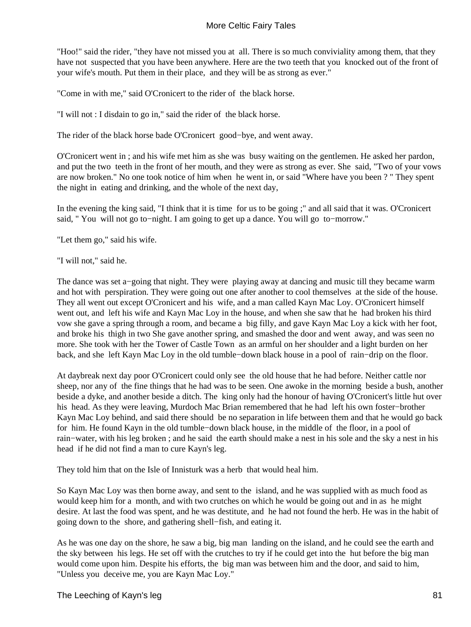"Hoo!" said the rider, "they have not missed you at all. There is so much conviviality among them, that they have not suspected that you have been anywhere. Here are the two teeth that you knocked out of the front of your wife's mouth. Put them in their place, and they will be as strong as ever."

"Come in with me," said O'Cronicert to the rider of the black horse.

"I will not : I disdain to go in," said the rider of the black horse.

The rider of the black horse bade O'Cronicert good−bye, and went away.

O'Cronicert went in ; and his wife met him as she was busy waiting on the gentlemen. He asked her pardon, and put the two teeth in the front of her mouth, and they were as strong as ever. She said, "Two of your vows are now broken." No one took notice of him when he went in, or said "Where have you been ? " They spent the night in eating and drinking, and the whole of the next day,

In the evening the king said, "I think that it is time for us to be going ;" and all said that it was. O'Cronicert said, " You will not go to−night. I am going to get up a dance. You will go to−morrow."

"Let them go," said his wife.

#### "I will not," said he.

The dance was set a−going that night. They were playing away at dancing and music till they became warm and hot with perspiration. They were going out one after another to cool themselves at the side of the house. They all went out except O'Cronicert and his wife, and a man called Kayn Mac Loy. O'Cronicert himself went out, and left his wife and Kayn Mac Loy in the house, and when she saw that he had broken his third vow she gave a spring through a room, and became a big filly, and gave Kayn Mac Loy a kick with her foot, and broke his thigh in two She gave another spring, and smashed the door and went away, and was seen no more. She took with her the Tower of Castle Town as an armful on her shoulder and a light burden on her back, and she left Kayn Mac Loy in the old tumble−down black house in a pool of rain−drip on the floor.

At daybreak next day poor O'Cronicert could only see the old house that he had before. Neither cattle nor sheep, nor any of the fine things that he had was to be seen. One awoke in the morning beside a bush, another beside a dyke, and another beside a ditch. The king only had the honour of having O'Cronicert's little hut over his head. As they were leaving, Murdoch Mac Brian remembered that he had left his own foster−brother Kayn Mac Loy behind, and said there should be no separation in life between them and that he would go back for him. He found Kayn in the old tumble−down black house, in the middle of the floor, in a pool of rain−water, with his leg broken ; and he said the earth should make a nest in his sole and the sky a nest in his head if he did not find a man to cure Kayn's leg.

They told him that on the Isle of Innisturk was a herb that would heal him.

So Kayn Mac Loy was then borne away, and sent to the island, and he was supplied with as much food as would keep him for a month, and with two crutches on which he would be going out and in as he might desire. At last the food was spent, and he was destitute, and he had not found the herb. He was in the habit of going down to the shore, and gathering shell−fish, and eating it.

As he was one day on the shore, he saw a big, big man landing on the island, and he could see the earth and the sky between his legs. He set off with the crutches to try if he could get into the hut before the big man would come upon him. Despite his efforts, the big man was between him and the door, and said to him, "Unless you deceive me, you are Kayn Mac Loy."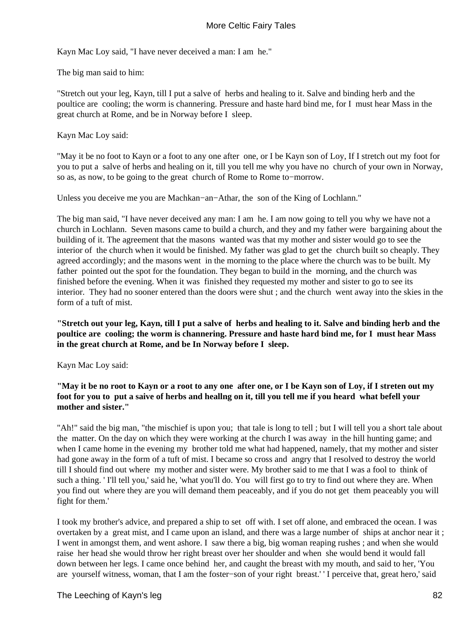Kayn Mac Loy said, "I have never deceived a man: I am he."

The big man said to him:

"Stretch out your leg, Kayn, till I put a salve of herbs and healing to it. Salve and binding herb and the poultice are cooling; the worm is channering. Pressure and haste hard bind me, for I must hear Mass in the great church at Rome, and be in Norway before I sleep.

Kayn Mac Loy said:

"May it be no foot to Kayn or a foot to any one after one, or I be Kayn son of Loy, If I stretch out my foot for you to put a salve of herbs and healing on it, till you tell me why you have no church of your own in Norway, so as, as now, to be going to the great church of Rome to Rome to−morrow.

Unless you deceive me you are Machkan−an−Athar, the son of the King of Lochlann."

The big man said, "I have never deceived any man: I am he. I am now going to tell you why we have not a church in Lochlann. Seven masons came to build a church, and they and my father were bargaining about the building of it. The agreement that the masons wanted was that my mother and sister would go to see the interior of the church when it would be finished. My father was glad to get the church built so cheaply. They agreed accordingly; and the masons went in the morning to the place where the church was to be built. My father pointed out the spot for the foundation. They began to build in the morning, and the church was finished before the evening. When it was finished they requested my mother and sister to go to see its interior. They had no sooner entered than the doors were shut ; and the church went away into the skies in the form of a tuft of mist.

**"Stretch out your leg, Kayn, till I put a salve of herbs and healing to it. Salve and binding herb and the poultice are cooling; the worm is channering. Pressure and haste hard bind me, for I must hear Mass in the great church at Rome, and be In Norway before I sleep.**

Kayn Mac Loy said:

# **"May it be no root to Kayn or a root to any one after one, or I be Kayn son of Loy, if I streten out my foot for you to put a saive of herbs and heallng on it, till you tell me if you heard what befell your mother and sister."**

"Ah!" said the big man, "the mischief is upon you; that tale is long to tell ; but I will tell you a short tale about the matter. On the day on which they were working at the church I was away in the hill hunting game; and when I came home in the evening my brother told me what had happened, namely, that my mother and sister had gone away in the form of a tuft of mist. I became so cross and angry that I resolved to destroy the world till I should find out where my mother and sister were. My brother said to me that I was a fool to think of such a thing. ' I'll tell you,' said he, 'what you'll do. You will first go to try to find out where they are. When you find out where they are you will demand them peaceably, and if you do not get them peaceably you will fight for them.'

I took my brother's advice, and prepared a ship to set off with. I set off alone, and embraced the ocean. I was overtaken by a great mist, and I came upon an island, and there was a large number of ships at anchor near it ; I went in amongst them, and went ashore. I saw there a big, big woman reaping rushes ; and when she would raise her head she would throw her right breast over her shoulder and when she would bend it would fall down between her legs. I came once behind her, and caught the breast with my mouth, and said to her, 'You are yourself witness, woman, that I am the foster−son of your right breast.' ' I perceive that, great hero,' said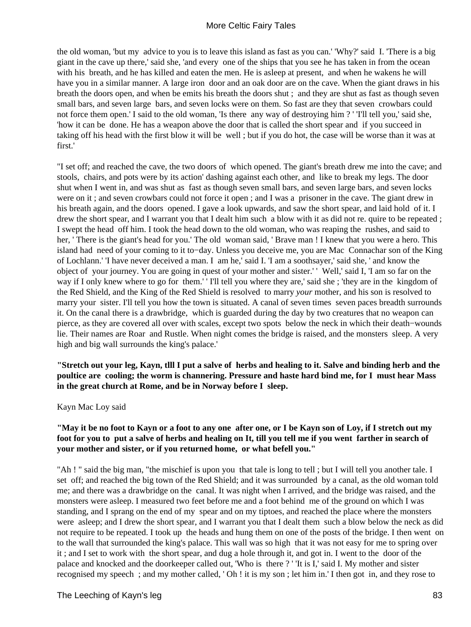the old woman, 'but my advice to you is to leave this island as fast as you can.' 'Why?' said I. 'There is a big giant in the cave up there,' said she, 'and every one of the ships that you see he has taken in from the ocean with his breath, and he has killed and eaten the men. He is asleep at present, and when he wakens he will have you in a similar manner. A large iron door and an oak door are on the cave. When the giant draws in his breath the doors open, and when be emits his breath the doors shut ; and they are shut as fast as though seven small bars, and seven large bars, and seven locks were on them. So fast are they that seven crowbars could not force them open.' I said to the old woman, 'Is there any way of destroying him ? ' 'I'll tell you,' said she, 'how it can be done. He has a weapon above the door that is called the short spear and if you succeed in taking off his head with the first blow it will be well ; but if you do hot, the case will be worse than it was at first<sup>'</sup>

"I set off; and reached the cave, the two doors of which opened. The giant's breath drew me into the cave; and stools, chairs, and pots were by its action' dashing against each other, and like to break my legs. The door shut when I went in, and was shut as fast as though seven small bars, and seven large bars, and seven locks were on it ; and seven crowbars could not force it open ; and I was a prisoner in the cave. The giant drew in his breath again, and the doors opened. I gave a look upwards, and saw the short spear, and laid hold of it. I drew the short spear, and I warrant you that I dealt him such a blow with it as did not re. quire to be repeated ; I swept the head off him. I took the head down to the old woman, who was reaping the rushes, and said to her, ' There is the giant's head for you.' The old woman said, ' Brave man ! I knew that you were a hero. This island had need of your coming to it to−day. Unless you deceive me, you are Mac Connachar son of the King of Lochlann.' 'I have never deceived a man. I am he,' said I. 'I am a soothsayer,' said she, ' and know the object of your journey. You are going in quest of your mother and sister.' ' Well,' said I, 'I am so far on the way if I only knew where to go for them.' ' I'll tell you where they are,' said she ; 'they are in the kingdom of the Red Shield, and the King of the Red Shield is resolved to marry *your* mother, and his son is resolved to marry your sister. I'll tell you how the town is situated. A canal of seven times seven paces breadth surrounds it. On the canal there is a drawbridge, which is guarded during the day by two creatures that no weapon can pierce, as they are covered all over with scales, except two spots below the neck in which their death−wounds lie. Their names are Roar and Rustle. When night comes the bridge is raised, and the monsters sleep. A very high and big wall surrounds the king's palace.'

## **"Stretch out your leg, Kayn, tlll I put a salve of herbs and healing to it. Salve and binding herb and the poultice are cooling; the worm is channering. Pressure and haste hard bind me, for I must hear Mass in the great church at Rome, and be in Norway before I sleep.**

#### Kayn Mac Loy said

## **"May it be no foot to Kayn or a foot to any one after one, or I be Kayn son of Loy, if I stretch out my foot for you to put a salve of herbs and healing on It, till you tell me if you went farther in search of your mother and sister, or if you returned home, or what befell you."**

"Ah ! " said the big man, "the mischief is upon you that tale is long to tell ; but I will tell you another tale. I set off; and reached the big town of the Red Shield; and it was surrounded by a canal, as the old woman told me; and there was a drawbridge on the canal. It was night when I arrived, and the bridge was raised, and the monsters were asleep. I measured two feet before me and a foot behind me of the ground on which I was standing, and I sprang on the end of my spear and on my tiptoes, and reached the place where the monsters were asleep; and I drew the short spear, and I warrant you that I dealt them such a blow below the neck as did not require to be repeated. I took up the heads and hung them on one of the posts of the bridge. I then went on to the wall that surrounded the king's palace. This wall was so high that it was not easy for me to spring over it ; and I set to work with the short spear, and dug a hole through it, and got in. I went to the door of the palace and knocked and the doorkeeper called out, 'Who is there ? ' 'It is I,' said I. My mother and sister recognised my speech ; and my mother called, ' Oh ! it is my son ; let him in.' I then got in, and they rose to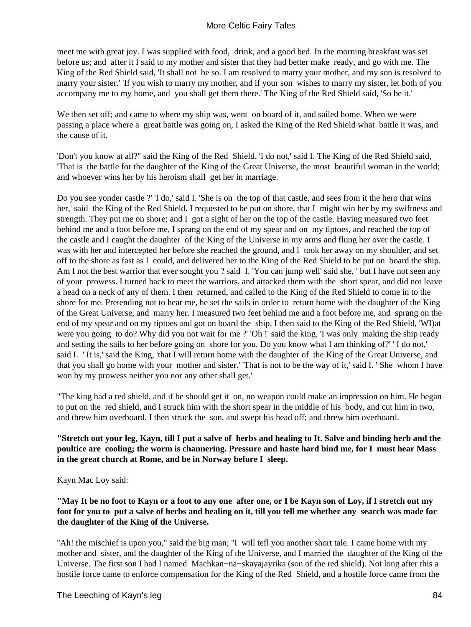meet me with great joy. I was supplied with food, drink, and a good bed. In the morning breakfast was set before us; and after it I said to my mother and sister that they had better make ready, and go with me. The King of the Red Shield said, 'It shall not be so. I am resolved to marry your mother, and my son is resolved to marry your sister.' 'If you wish to marry my mother, and if your son wishes to marry my sister, let both of you accompany me to my home, and you shall get them there.' The King of the Red Shield said, 'So be it.'

We then set off; and came to where my ship was, went on board of it, and sailed home. When we were passing a place where a great battle was going on, I asked the King of the Red Shield what battle it was, and the cause of it.

'Don't you know at all?" said the King of the Red Shield. 'I do not,' said I. The King of the Red Shield said, 'That is the battle for the daughter of the King of the Great Universe, the most beautiful woman in the world; and whoever wins her by his heroism shall get her in marriage.

Do you see yonder castle ?' 'I do,' said I. 'She is on the top of that castle, and sees from it the hero that wins her,' said the King of the Red Shield. I requested to be put on shore, that I might win her by my swiftness and strength. They put me on shore; and I got a sight of her on the top of the castle. Having measured two feet behind me and a foot before me, I sprang on the end of my spear and on my tiptoes, and reached the top of the castle and I caught the daughter of the King of the Universe in my arms and flung her over the castle. I was with her and intercepted her before she reached the ground, and I took her away on my shoulder, and set off to the shore as fast as I could, and delivered her to the King of the Red Shield to be put on board the ship. Am I not the best warrior that ever sought you ? said I. 'You can jump well' said she, ' but I have not seen any of your prowess. I turned back to meet the warriors, and attacked them with the short spear, and did not leave a head on a neck of any of them. I then returned, and called to the King of the Red Shield to come in to the shore for me. Pretending not to hear me, he set the sails in order to return home with the daughter of the King of the Great Universe, and marry her. I measured two feet behind me and a foot before me, and sprang on the end of my spear and on my tiptoes and got on board the ship. I then said to the King of the Red Shield, 'WI)at were you going to do? Why did you not wait for me ?' 'Oh !' said the king, 'I was only making the ship ready and setting the sails to her before going on shore for you. Do you know what I am thinking of?' ' I do not,' said I. ' It is,' said the King, 'that I will return home with the daughter of the King of the Great Universe, and that you shall go home with your mother and sister.' 'That is not to be the way of it,' said I. ' She whom I have won by my prowess neither you nor any other shall get.'

"The king had a red shield, and if be should get it on, no weapon could make an impression on him. He began to put on the red shield, and I struck him with the short spear in the middle of his body, and cut him in two, and threw him overboard. I then struck the son, and swept his head off; and threw him overboard.

## **"Stretch out your leg, Kayn, till I put a salve of herbs and healing to It. Salve and binding herb and the poultice are cooling; the worm is channering. Pressure and haste hard bind me, for I must hear Mass in the great church at Rome, and be in Norway before I sleep.**

Kayn Mac Loy said:

## **"May It be no foot to Kayn or a foot to any one after one, or I be Kayn son of Loy, if I stretch out my foot for you to put a salve of herbs and healing on it, till you tell me whether any search was made for the daughter of the King of the Universe.**

"Ah! the mischief is upon you," said the big man; "I will tefl you another short tale. I came home with my mother and sister, and the daughter of the King of the Universe, and I married the daughter of the King of the Universe. The first son I had I named Machkan−na−skayajayrika (son of the red shield). Not long after this a hostile force came to enforce compensation for the King of the Red Shield, and a hostile force came from the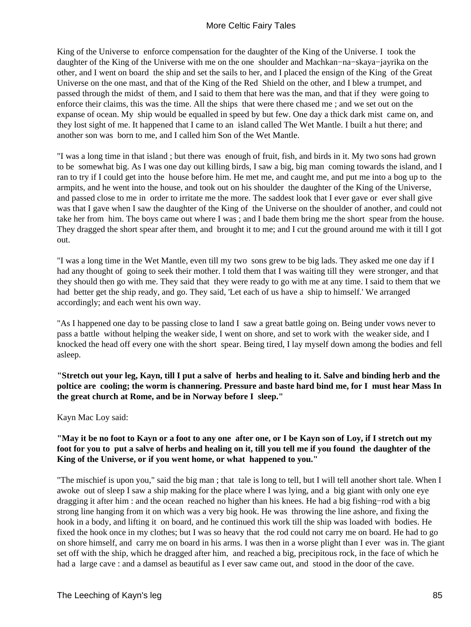King of the Universe to enforce compensation for the daughter of the King of the Universe. I took the daughter of the King of the Universe with me on the one shoulder and Machkan−na−skaya−jayrika on the other, and I went on board the ship and set the sails to her, and I placed the ensign of the King of the Great Universe on the one mast, and that of the King of the Red Shield on the other, and I blew a trumpet, and passed through the midst of them, and I said to them that here was the man, and that if they were going to enforce their claims, this was the time. All the ships that were there chased me ; and we set out on the expanse of ocean. My ship would be equalled in speed by but few. One day a thick dark mist came on, and they lost sight of me. It happened that I came to an island called The Wet Mantle. I built a hut there; and another son was born to me, and I called him Son of the Wet Mantle.

"I was a long time in that island ; but there was enough of fruit, fish, and birds in it. My two sons had grown to be somewhat big. As I was one day out killing birds, I saw a big, big man coming towards the island, and I ran to try if I could get into the house before him. He met me, and caught me, and put me into a bog up to the armpits, and he went into the house, and took out on his shoulder the daughter of the King of the Universe, and passed close to me in order to irritate me the more. The saddest look that I ever gave or ever shall give was that I gave when I saw the daughter of the King of the Universe on the shoulder of another, and could not take her from him. The boys came out where I was ; and I bade them bring me the short spear from the house. They dragged the short spear after them, and brought it to me; and I cut the ground around me with it till I got out.

"I was a long time in the Wet Mantle, even till my two sons grew to be big lads. They asked me one day if I had any thought of going to seek their mother. I told them that I was waiting till they were stronger, and that they should then go with me. They said that they were ready to go with me at any time. I said to them that we had better get the ship ready, and go. They said, 'Let each of us have a ship to himself.' We arranged accordingly; and each went his own way.

"As I happened one day to be passing close to land I saw a great battle going on. Being under vows never to pass a battle without helping the weaker side, I went on shore, and set to work with the weaker side, and I knocked the head off every one with the short spear. Being tired, I lay myself down among the bodies and fell asleep.

**"Stretch out your leg, Kayn, till I put a salve of herbs and healing to it. Salve and binding herb and the poltice are cooling; the worm is channering. Pressure and baste hard bind me, for I must hear Mass In the great church at Rome, and be in Norway before I sleep."**

Kayn Mac Loy said:

## **"May it be no foot to Kayn or a foot to any one after one, or I be Kayn son of Loy, if I stretch out my foot for you to put a salve of herbs and healing on it, till you tell me if you found the daughter of the King of the Universe, or if you went home, or what happened to you."**

"The mischief is upon you," said the big man ; that tale is long to tell, but I will tell another short tale. When I awoke out of sleep I saw a ship making for the place where I was lying, and a big giant with only one eye dragging it after him : and the ocean reached no higher than his knees. He had a big fishing−rod with a big strong line hanging from it on which was a very big hook. He was throwing the line ashore, and fixing the hook in a body, and lifting it on board, and he continued this work till the ship was loaded with bodies. He fixed the hook once in my clothes; but I was so heavy that the rod could not carry me on board. He had to go on shore himself, and carry me on board in his arms. I was then in a worse plight than I ever was in. The giant set off with the ship, which he dragged after him, and reached a big, precipitous rock, in the face of which he had a large cave : and a damsel as beautiful as I ever saw came out, and stood in the door of the cave.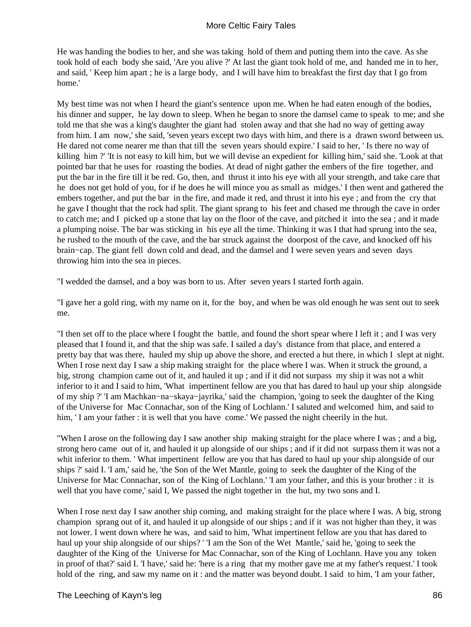He was handing the bodies to her, and she was taking hold of them and putting them into the cave. As she took hold of each body she said, 'Are you alive ?' At last the giant took hold of me, and handed me in to her, and said, ' Keep him apart ; he is a large body, and I will have him to breakfast the first day that I go from home.'

My best time was not when I heard the giant's sentence upon me. When he had eaten enough of the bodies, his dinner and supper, he lay down to sleep. When he began to snore the damsel came to speak to me; and she told me that she was a king's daughter the giant had stolen away and that she had no way of getting away from him. I am now,' she said, 'seven years except two days with him, and there is a drawn sword between us. He dared not come nearer me than that till the seven years should expire.' I said to her, ' Is there no way of killing him ?' 'It is not easy to kill him, but we will devise an expedient for killing him,' said she. 'Look at that pointed bar that he uses for roasting the bodies. At dead of night gather the embers of the fire together, and put the bar in the fire till it be red. Go, then, and thrust it into his eye with all your strength, and take care that he does not get hold of you, for if he does he will mince you as small as midges.' I then went and gathered the embers together, and put the bar in the fire, and made it red, and thrust it into his eye; and from the cry that he gave I thought that the rock had split. The giant sprang to his feet and chased me through the cave in order to catch me; and I picked up a stone that lay on the floor of the cave, and pitched it into the sea ; and it made a plumping noise. The bar was sticking in his eye all the time. Thinking it was I that had sprung into the sea, he rushed to the mouth of the cave, and the bar struck against the doorpost of the cave, and knocked off his brain−cap. The giant fell down cold and dead, and the damsel and I were seven years and seven days throwing him into the sea in pieces.

"I wedded the damsel, and a boy was born to us. After seven years I started forth again.

"I gave her a gold ring, with my name on it, for the boy, and when be was old enough he was sent out to seek me.

"I then set off to the place where I fought the battle, and found the short spear where I left it ; and I was very pleased that I found it, and that the ship was safe. I sailed a day's distance from that place, and entered a pretty bay that was there, hauled my ship up above the shore, and erected a hut there, in which I slept at night. When I rose next day I saw a ship making straight for the place where I was. When it struck the ground, a big, strong champion came out of it, and hauled it up ; and if it did not surpass my ship it was not a whit inferior to it and I said to him, 'What impertinent fellow are you that has dared to haul up your ship alongside of my ship ?' 'I am Machkan−na−skaya−jayrika,' said the champion, 'going to seek the daughter of the King of the Universe for Mac Connachar, son of the King of Lochlann.' I saluted and welcomed him, and said to him, 'I am your father : it is well that you have come.' We passed the night cheerily in the hut.

"When I arose on the following day I saw another ship making straight for the place where I was ; and a big, strong hero came out of it, and hauled it up alongside of our ships ; and if it did not surpass them it was not a whit inferior to them. ' What impertinent fellow are you that has dared to haul up your ship alongside of our ships ?' said I. 'I am,' said he, 'the Son of the Wet Mantle, going to seek the daughter of the King of the Universe for Mac Connachar, son of the King of Lochlann.' 'I am your father, and this is your brother : it is well that you have come,' said I, We passed the night together in the hut, my two sons and I.

When I rose next day I saw another ship coming, and making straight for the place where I was. A big, strong champion sprang out of it, and hauled it up alongside of our ships ; and if it was not higher than they, it was not lower. I went down where he was, and said to him, 'What impertinent fellow are you that has dared to haul up your ship alongside of our ships? ' 'I am the Son of the Wet Mantle,' said he, 'going to seek the daughter of the King of the Universe for Mac Connachar, son of the King of Lochlann. Have you any token in proof of that?' said I. 'I have,' said he: 'here is a ring that my mother gave me at my father's request.' I took hold of the ring, and saw my name on it: and the matter was beyond doubt. I said to him, 'I am your father,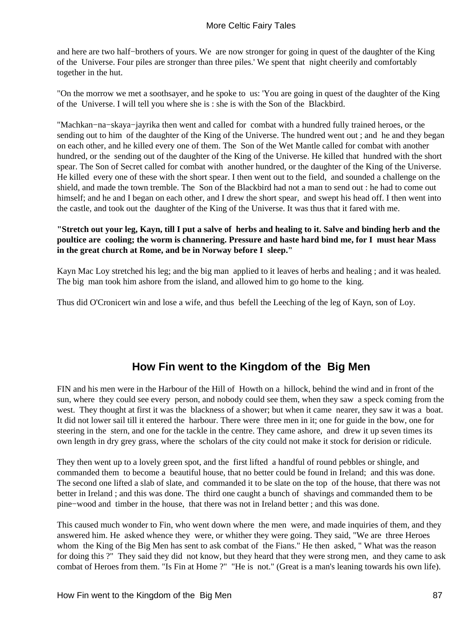and here are two half−brothers of yours. We are now stronger for going in quest of the daughter of the King of the Universe. Four piles are stronger than three piles.' We spent that night cheerily and comfortably together in the hut.

"On the morrow we met a soothsayer, and he spoke to us: 'You are going in quest of the daughter of the King of the Universe. I will tell you where she is : she is with the Son of the Blackbird.

"Machkan−na−skaya−jayrika then went and called for combat with a hundred fully trained heroes, or the sending out to him of the daughter of the King of the Universe. The hundred went out ; and he and they began on each other, and he killed every one of them. The Son of the Wet Mantle called for combat with another hundred, or the sending out of the daughter of the King of the Universe. He killed that hundred with the short spear. The Son of Secret called for combat with another hundred, or the daughter of the King of the Universe. He killed every one of these with the short spear. I then went out to the field, and sounded a challenge on the shield, and made the town tremble. The Son of the Blackbird had not a man to send out : he had to come out himself; and he and I began on each other, and I drew the short spear, and swept his head off. I then went into the castle, and took out the daughter of the King of the Universe. It was thus that it fared with me.

## **"Stretch out your leg, Kayn, till I put a salve of herbs and healing to it. Salve and binding herb and the poultice are cooling; the worm is channering. Pressure and haste hard bind me, for I must hear Mass in the great church at Rome, and be in Norway before I sleep."**

Kayn Mac Loy stretched his leg; and the big man applied to it leaves of herbs and healing ; and it was healed. The big man took him ashore from the island, and allowed him to go home to the king.

Thus did O'Cronicert win and lose a wife, and thus befell the Leeching of the leg of Kayn, son of Loy.

# **How Fin went to the Kingdom of the Big Men**

FIN and his men were in the Harbour of the Hill of Howth on a hillock, behind the wind and in front of the sun, where they could see every person, and nobody could see them, when they saw a speck coming from the west. They thought at first it was the blackness of a shower; but when it came nearer, they saw it was a boat. It did not lower sail till it entered the harbour. There were three men in it; one for guide in the bow, one for steering in the stern, and one for the tackle in the centre. They came ashore, and drew it up seven times its own length in dry grey grass, where the scholars of the city could not make it stock for derision or ridicule.

They then went up to a lovely green spot, and the first lifted a handful of round pebbles or shingle, and commanded them to become a beautiful house, that no better could be found in Ireland; and this was done. The second one lifted a slab of slate, and commanded it to be slate on the top of the house, that there was not better in Ireland ; and this was done. The third one caught a bunch of shavings and commanded them to be pine−wood and timber in the house, that there was not in Ireland better ; and this was done.

This caused much wonder to Fin, who went down where the men were, and made inquiries of them, and they answered him. He asked whence they were, or whither they were going. They said, "We are three Heroes whom the King of the Big Men has sent to ask combat of the Fians." He then asked, " What was the reason for doing this ?" They said they did not know, but they heard that they were strong men, and they came to ask combat of Heroes from them. "Is Fin at Home ?" "He is not." (Great is a man's leaning towards his own life).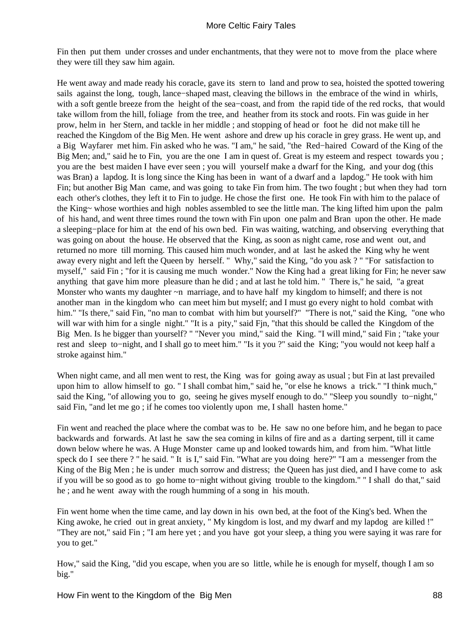Fin then put them under crosses and under enchantments, that they were not to move from the place where they were till they saw him again.

He went away and made ready his coracle, gave its stern to land and prow to sea, hoisted the spotted towering sails against the long, tough, lance−shaped mast, cleaving the billows in the embrace of the wind in whirls, with a soft gentle breeze from the height of the sea−coast, and from the rapid tide of the red rocks, that would take willom from the hill, foliage from the tree, and heather from its stock and roots. Fin was guide in her prow, helm in her Stern, and tackle in her middle ; and stopping of head or foot he did not make till he reached the Kingdom of the Big Men. He went ashore and drew up his coracle in grey grass. He went up, and a Big Wayfarer met him. Fin asked who he was. "I am," he said, "the Red−haired Coward of the King of the Big Men; and," said he to Fin, you are the one I am in quest of. Great is my esteem and respect towards you ; you are the best maiden I have ever seen ; you will yourself make a dwarf for the King, and your dog (this was Bran) a lapdog. It is long since the King has been in want of a dwarf and a lapdog." He took with him Fin; but another Big Man came, and was going to take Fin from him. The two fought ; but when they had torn each other's clothes, they left it to Fin to judge. He chose the first one. He took Fin with him to the palace of the King~ whose worthies and high nobles assembled to see the little man. The king lifted him upon the palm of his hand, and went three times round the town with Fin upon one palm and Bran upon the other. He made a sleeping−place for him at the end of his own bed. Fin was waiting, watching, and observing everything that was going on about the house. He observed that the King, as soon as night came, rose and went out, and returned no more till morning. This caused him much wonder, and at last he asked the King why he went away every night and left the Queen by herself. " Why," said the King, "do you ask ? " "For satisfaction to myself," said Fin ; "for it is causing me much wonder." Now the King had a great liking for Fin; he never saw anything that gave him more pleasure than he did ; and at last he told him. " There is," he said, "a great Monster who wants my daughter ~n marriage, and to have half my kingdom to himself; and there is not another man in the kingdom who can meet him but myself; and I must go every night to hold combat with him." "Is there," said Fin, "no man to combat with him but yourself?" "There is not," said the King, "one who will war with him for a single night." "It is a pity," said Fin, "that this should be called the Kingdom of the Big Men. Is he bigger than yourself? " "Never you mind," said the King. "I will mind," said Fin ; "take your rest and sleep to−night, and I shall go to meet him." "Is it you ?" said the King; "you would not keep half a stroke against him."

When night came, and all men went to rest, the King was for going away as usual ; but Fin at last prevailed upon him to allow himself to go. " I shall combat him," said he, "or else he knows a trick." "I think much," said the King, "of allowing you to go, seeing he gives myself enough to do." "Sleep you soundly to−night," said Fin, "and let me go ; if he comes too violently upon me, I shall hasten home."

Fin went and reached the place where the combat was to be. He saw no one before him, and he began to pace backwards and forwards. At last he saw the sea coming in kilns of fire and as a darting serpent, till it came down below where he was. A Huge Monster came up and looked towards him, and from him. "What little speck do I see there ? " he said. " It is I," said Fin. "What are you doing here?" "I am a messenger from the King of the Big Men ; he is under much sorrow and distress; the Queen has just died, and I have come to ask if you will be so good as to go home to−night without giving trouble to the kingdom." " I shall do that," said he ; and he went away with the rough humming of a song in his mouth.

Fin went home when the time came, and lay down in his own bed, at the foot of the King's bed. When the King awoke, he cried out in great anxiety, " My kingdom is lost, and my dwarf and my lapdog are killed !" "They are not," said Fin ; "I am here yet ; and you have got your sleep, a thing you were saying it was rare for you to get."

How," said the King, "did you escape, when you are so little, while he is enough for myself, though I am so big."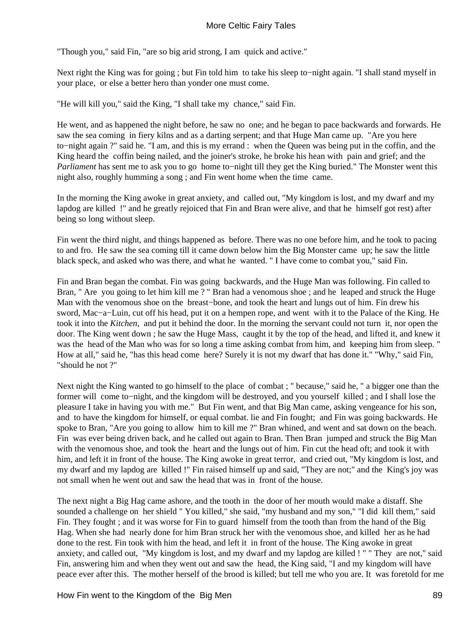"Though you," said Fin, "are so big arid strong, I am quick and active."

Next right the King was for going ; but Fin told him to take his sleep to−night again. "I shall stand myself in your place, or else a better hero than yonder one must come.

"He will kill you," said the King, "I shall take my chance," said Fin.

He went, and as happened the night before, he saw no one; and he began to pace backwards and forwards. He saw the sea coming in fiery kilns and as a darting serpent; and that Huge Man came up. "Are you here to−night again ?" said he. "I am, and this is my errand : when the Queen was being put in the coffin, and the King heard the coffin being nailed, and the joiner's stroke, he broke his hean with pain and grief; and the *Parliament* has sent me to ask you to go home to−night till they get the King buried." The Monster went this night also, roughly humming a song ; and Fin went home when the time came.

In the morning the King awoke in great anxiety, and called out, "My kingdom is lost, and my dwarf and my lapdog are killed !" and he greatly rejoiced that Fin and Bran were alive, and that he himself got rest) after being so long without sleep.

Fin went the third night, and things happened as before. There was no one before him, and he took to pacing to and fro. He saw the sea coming till it came down below him the Big Monster came up; he saw the little black speck, and asked who was there, and what he wanted. " I have come to combat you," said Fin.

Fin and Bran began the combat. Fin was going backwards, and the Huge Man was following. Fin called to Bran, " Are you going to let him kill me ? " Bran had a venomous shoe ; and he leaped and struck the Huge Man with the venomous shoe on the breast−bone, and took the heart and lungs out of him. Fin drew his sword, Mac−a−Luin, cut off his head, put it on a hempen rope, and went with it to the Palace of the King. He took it into the *Kitchen,* and put it behind the door. In the morning the servant could not turn it, nor open the door. The King went down ; he saw the Huge Mass, caught it by the top of the head, and lifted it, and knew it was the head of the Man who was for so long a time asking combat from him, and keeping him from sleep. " How at all," said he, "has this head come here? Surely it is not my dwarf that has done it." "Why," said Fin, "should he not ?"

Next night the King wanted to go himself to the place of combat ; " because," said he, " a bigger one than the former will come to−night, and the kingdom will be destroyed, and you yourself killed ; and I shall lose the pleasure I take in having you with me." But Fin went, and that Big Man came, asking vengeance for his son, and to have the kingdom for himself, or equal combat. lie and Fin fought; and Fin was going backwards. He spoke to Bran, "Are you going to allow him to kill me ?" Bran whined, and went and sat down on the beach. Fin was ever being driven back, and he called out again to Bran. Then Bran jumped and struck the Big Man with the venomous shoe, and took the heart and the lungs out of him. Fin cut the head oft; and took it with him, and left it in front of the house. The King awoke in great terror, and cried out, "My kingdom is lost, and my dwarf and my lapdog are killed !" Fin raised himself up and said, "They are not;" and the King's joy was not small when he went out and saw the head that was in front of the house.

The next night a Big Hag came ashore, and the tooth in the door of her mouth would make a distaff. She sounded a challenge on her shield " You killed," she said, "my husband and my son," "I did kill them," said Fin. They fought ; and it was worse for Fin to guard himself from the tooth than from the hand of the Big Hag. When she had nearly done for him Bran struck her with the venomous shoe, and killed her as he had done to the rest. Fin took with him the head, and left it in front of the house. The King awoke in great anxiety, and called out, "My kingdom is lost, and my dwarf and my lapdog are killed ! " " They are not," said Fin, answering him and when they went out and saw the head, the King said, "I and my kingdom will have peace ever after this. The mother herself of the brood is killed; but tell me who you are. It was foretold for me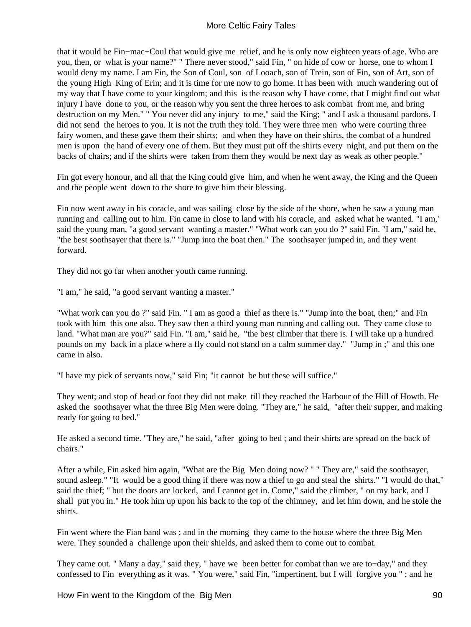that it would be Fin−mac−Coul that would give me relief, and he is only now eighteen years of age. Who are you, then, or what is your name?" " There never stood," said Fin, " on hide of cow or horse, one to whom I would deny my name. I am Fin, the Son of Coul, son of Looach, son of Trein, son of Fin, son of Art, son of the young High King of Erin; and it is time for me now to go home. It has been with much wandering out of my way that I have come to your kingdom; and this is the reason why I have come, that I might find out what injury I have done to you, or the reason why you sent the three heroes to ask combat from me, and bring destruction on my Men." " You never did any injury to me," said the King; " and I ask a thousand pardons. I did not send the heroes to you. It is not the truth they told. They were three men who were courting three fairy women, and these gave them their shirts; and when they have on their shirts, the combat of a hundred men is upon the hand of every one of them. But they must put off the shirts every night, and put them on the backs of chairs; and if the shirts were taken from them they would be next day as weak as other people."

Fin got every honour, and all that the King could give him, and when he went away, the King and the Queen and the people went down to the shore to give him their blessing.

Fin now went away in his coracle, and was sailing close by the side of the shore, when he saw a young man running and calling out to him. Fin came in close to land with his coracle, and asked what he wanted. "I am,' said the young man, "a good servant wanting a master." "What work can you do ?" said Fin. "I am," said he, "the best soothsayer that there is." "Jump into the boat then." The soothsayer jumped in, and they went forward.

They did not go far when another youth came running.

"I am," he said, "a good servant wanting a master."

"What work can you do ?" said Fin. " I am as good a thief as there is." "Jump into the boat, then;" and Fin took with him this one also. They saw then a third young man running and calling out. They came close to land. "What man are you?" said Fin. "I am," said he, "the best climber that there is. I will take up a hundred pounds on my back in a place where a fly could not stand on a calm summer day." "Jump in ;" and this one came in also.

"I have my pick of servants now," said Fin; "it cannot be but these will suffice."

They went; and stop of head or foot they did not make till they reached the Harbour of the Hill of Howth. He asked the soothsayer what the three Big Men were doing. "They are," he said, "after their supper, and making ready for going to bed."

He asked a second time. "They are," he said, "after going to bed ; and their shirts are spread on the back of chairs."

After a while, Fin asked him again, "What are the Big Men doing now? " " They are," said the soothsayer, sound asleep." "It would be a good thing if there was now a thief to go and steal the shirts." "I would do that," said the thief; " but the doors are locked, and I cannot get in. Come," said the climber, " on my back, and I shall put you in." He took him up upon his back to the top of the chimney, and let him down, and he stole the shirts.

Fin went where the Fian band was ; and in the morning they came to the house where the three Big Men were. They sounded a challenge upon their shields, and asked them to come out to combat.

They came out. " Many a day," said they, " have we been better for combat than we are to−day," and they confessed to Fin everything as it was. " You were," said Fin, "impertinent, but I will forgive you " ; and he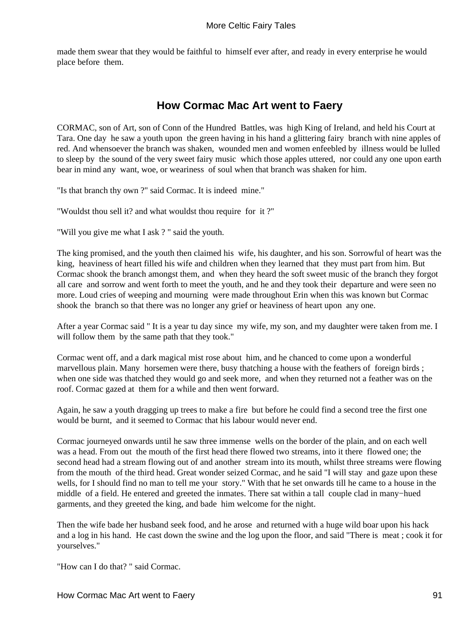made them swear that they would be faithful to himself ever after, and ready in every enterprise he would place before them.

# **How Cormac Mac Art went to Faery**

CORMAC, son of Art, son of Conn of the Hundred Battles, was high King of Ireland, and held his Court at Tara. One day he saw a youth upon the green having in his hand a glittering fairy branch with nine apples of red. And whensoever the branch was shaken, wounded men and women enfeebled by illness would be lulled to sleep by the sound of the very sweet fairy music which those apples uttered, nor could any one upon earth bear in mind any want, woe, or weariness of soul when that branch was shaken for him.

"Is that branch thy own ?" said Cormac. It is indeed mine."

"Wouldst thou sell it? and what wouldst thou require for it ?"

"Will you give me what I ask ? " said the youth.

The king promised, and the youth then claimed his wife, his daughter, and his son. Sorrowful of heart was the king, heaviness of heart filled his wife and children when they learned that they must part from him. But Cormac shook the branch amongst them, and when they heard the soft sweet music of the branch they forgot all care and sorrow and went forth to meet the youth, and he and they took their departure and were seen no more. Loud cries of weeping and mourning were made throughout Erin when this was known but Cormac shook the branch so that there was no longer any grief or heaviness of heart upon any one.

After a year Cormac said " It is a year tu day since my wife, my son, and my daughter were taken from me. I will follow them by the same path that they took."

Cormac went off, and a dark magical mist rose about him, and he chanced to come upon a wonderful marvellous plain. Many horsemen were there, busy thatching a house with the feathers of foreign birds ; when one side was thatched they would go and seek more, and when they returned not a feather was on the roof. Cormac gazed at them for a while and then went forward.

Again, he saw a youth dragging up trees to make a fire but before he could find a second tree the first one would be burnt, and it seemed to Cormac that his labour would never end.

Cormac journeyed onwards until he saw three immense wells on the border of the plain, and on each well was a head. From out the mouth of the first head there flowed two streams, into it there flowed one; the second head had a stream flowing out of and another stream into its mouth, whilst three streams were flowing from the mouth of the third head. Great wonder seized Cormac, and he said "I will stay and gaze upon these wells, for I should find no man to tell me your story." With that he set onwards till he came to a house in the middle of a field. He entered and greeted the inmates. There sat within a tall couple clad in many−hued garments, and they greeted the king, and bade him welcome for the night.

Then the wife bade her husband seek food, and he arose and returned with a huge wild boar upon his hack and a log in his hand. He cast down the swine and the log upon the floor, and said "There is meat ; cook it for yourselves."

"How can I do that? " said Cormac.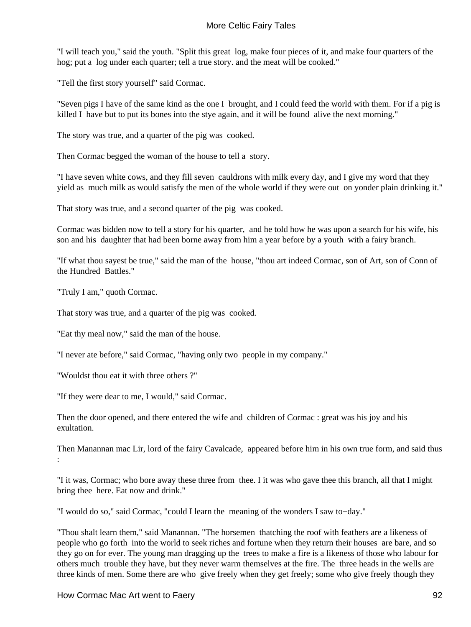"I will teach you," said the youth. "Split this great log, make four pieces of it, and make four quarters of the hog; put a log under each quarter; tell a true story. and the meat will be cooked."

"Tell the first story yourself" said Cormac.

"Seven pigs I have of the same kind as the one I brought, and I could feed the world with them. For if a pig is killed I have but to put its bones into the stye again, and it will be found alive the next morning."

The story was true, and a quarter of the pig was cooked.

Then Cormac begged the woman of the house to tell a story.

"I have seven white cows, and they fill seven cauldrons with milk every day, and I give my word that they yield as much milk as would satisfy the men of the whole world if they were out on yonder plain drinking it."

That story was true, and a second quarter of the pig was cooked.

Cormac was bidden now to tell a story for his quarter, and he told how he was upon a search for his wife, his son and his daughter that had been borne away from him a year before by a youth with a fairy branch.

"If what thou sayest be true," said the man of the house, "thou art indeed Cormac, son of Art, son of Conn of the Hundred Battles."

"Truly I am," quoth Cormac.

That story was true, and a quarter of the pig was cooked.

"Eat thy meal now," said the man of the house.

"I never ate before," said Cormac, "having only two people in my company."

"Wouldst thou eat it with three others ?"

"If they were dear to me, I would," said Cormac.

Then the door opened, and there entered the wife and children of Cormac : great was his joy and his exultation.

Then Manannan mac Lir, lord of the fairy Cavalcade, appeared before him in his own true form, and said thus :

"I it was, Cormac; who bore away these three from thee. I it was who gave thee this branch, all that I might bring thee here. Eat now and drink."

"I would do so," said Cormac, "could I learn the meaning of the wonders I saw to−day."

"Thou shalt learn them," said Manannan. "The horsemen thatching the roof with feathers are a likeness of people who go forth into the world to seek riches and fortune when they return their houses are bare, and so they go on for ever. The young man dragging up the trees to make a fire is a likeness of those who labour for others much trouble they have, but they never warm themselves at the fire. The three heads in the wells are three kinds of men. Some there are who give freely when they get freely; some who give freely though they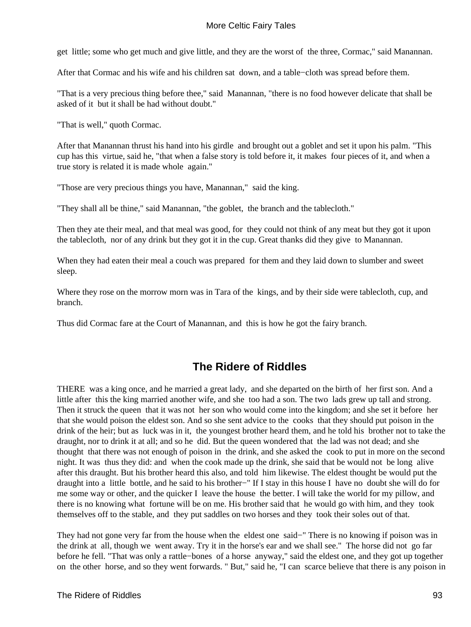get little; some who get much and give little, and they are the worst of the three, Cormac," said Manannan.

After that Cormac and his wife and his children sat down, and a table−cloth was spread before them.

"That is a very precious thing before thee," said Manannan, "there is no food however delicate that shall be asked of it but it shall be had without doubt."

"That is well," quoth Cormac.

After that Manannan thrust his hand into his girdle and brought out a goblet and set it upon his palm. "This cup has this virtue, said he, "that when a false story is told before it, it makes four pieces of it, and when a true story is related it is made whole again."

"Those are very precious things you have, Manannan," said the king.

"They shall all be thine," said Manannan, "the goblet, the branch and the tablecloth."

Then they ate their meal, and that meal was good, for they could not think of any meat but they got it upon the tablecloth, nor of any drink but they got it in the cup. Great thanks did they give to Manannan.

When they had eaten their meal a couch was prepared for them and they laid down to slumber and sweet sleep.

Where they rose on the morrow morn was in Tara of the kings, and by their side were tablecloth, cup, and branch.

Thus did Cormac fare at the Court of Manannan, and this is how he got the fairy branch.

# **The Ridere of Riddles**

THERE was a king once, and he married a great lady, and she departed on the birth of her first son. And a little after this the king married another wife, and she too had a son. The two lads grew up tall and strong. Then it struck the queen that it was not her son who would come into the kingdom; and she set it before her that she would poison the eldest son. And so she sent advice to the cooks that they should put poison in the drink of the heir; but as luck was in it, the youngest brother heard them, and he told his brother not to take the draught, nor to drink it at all; and so he did. But the queen wondered that the lad was not dead; and she thought that there was not enough of poison in the drink, and she asked the cook to put in more on the second night. It was thus they did: and when the cook made up the drink, she said that be would not be long alive after this draught. But his brother heard this also, and told him likewise. The eldest thought be would put the draught into a little bottle, and he said to his brother−" If I stay in this house I have no doubt she will do for me some way or other, and the quicker I leave the house the better. I will take the world for my pillow, and there is no knowing what fortune will be on me. His brother said that he would go with him, and they took themselves off to the stable, and they put saddles on two horses and they took their soles out of that.

They had not gone very far from the house when the eldest one said−" There is no knowing if poison was in the drink at all, though we went away. Try it in the horse's ear and we shall see." The horse did not go far before he fell. "That was only a rattle−bones of a horse anyway," said the eldest one, and they got up together on the other horse, and so they went forwards. " But," said he, "I can scarce believe that there is any poison in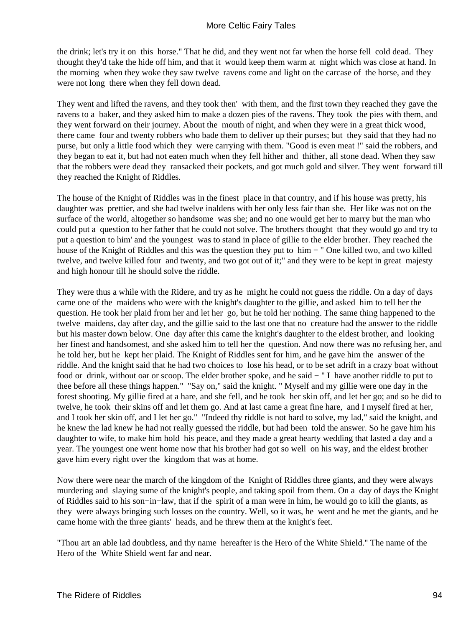the drink; let's try it on this horse." That he did, and they went not far when the horse fell cold dead. They thought they'd take the hide off him, and that it would keep them warm at night which was close at hand. In the morning when they woke they saw twelve ravens come and light on the carcase of the horse, and they were not long there when they fell down dead.

They went and lifted the ravens, and they took then' with them, and the first town they reached they gave the ravens to a baker, and they asked him to make a dozen pies of the ravens. They took the pies with them, and they went forward on their journey. About the mouth of night, and when they were in a great thick wood, there came four and twenty robbers who bade them to deliver up their purses; but they said that they had no purse, but only a little food which they were carrying with them. "Good is even meat !" said the robbers, and they began to eat it, but had not eaten much when they fell hither and thither, all stone dead. When they saw that the robbers were dead they ransacked their pockets, and got much gold and silver. They went forward till they reached the Knight of Riddles.

The house of the Knight of Riddles was in the finest place in that country, and if his house was pretty, his daughter was prettier, and she had twelve inaldens with her only less fair than she. Her like was not on the surface of the world, altogether so handsome was she; and no one would get her to marry but the man who could put a question to her father that he could not solve. The brothers thought that they would go and try to put a question to him' and the youngest was to stand in place of gillie to the elder brother. They reached the house of the Knight of Riddles and this was the question they put to him − " One killed two, and two killed twelve, and twelve killed four and twenty, and two got out of it;" and they were to be kept in great majesty and high honour till he should solve the riddle.

They were thus a while with the Ridere, and try as he might he could not guess the riddle. On a day of days came one of the maidens who were with the knight's daughter to the gillie, and asked him to tell her the question. He took her plaid from her and let her go, but he told her nothing. The same thing happened to the twelve maidens, day after day, and the gillie said to the last one that no creature had the answer to the riddle but his master down below. One day after this came the knight's daughter to the eldest brother, and looking her finest and handsomest, and she asked him to tell her the question. And now there was no refusing her, and he told her, but he kept her plaid. The Knight of Riddles sent for him, and he gave him the answer of the riddle. And the knight said that he had two choices to lose his head, or to be set adrift in a crazy boat without food or drink, without oar or scoop. The elder brother spoke, and he said − " I have another riddle to put to thee before all these things happen." "Say on," said the knight. " Myself and my gillie were one day in the forest shooting. My gillie fired at a hare, and she fell, and he took her skin off*,* and let her go; and so he did to twelve, he took their skins off and let them go. And at last came a great fine hare, and I myself fired at her, and I took her skin off, and I let her go." "Indeed thy riddle is not hard to solve, my lad," said the knight, and he knew the lad knew he had not really guessed the riddle, but had been told the answer. So he gave him his daughter to wife, to make him hold his peace, and they made a great hearty wedding that lasted a day and a year. The youngest one went home now that his brother had got so well on his way, and the eldest brother gave him every right over the kingdom that was at home.

Now there were near the march of the kingdom of the Knight of Riddles three giants, and they were always murdering and slaying sume of the knight's people, and taking spoil from them. On a day of days the Knight of Riddles said to his son−in−law, that if the spirit of a man were in him, he would go to kill the giants, as they were always bringing such losses on the country. Well, so it was, he went and he met the giants, and he came home with the three giants' heads, and he threw them at the knight's feet.

"Thou art an able lad doubtless, and thy name hereafter is the Hero of the White Shield." The name of the Hero of the White Shield went far and near.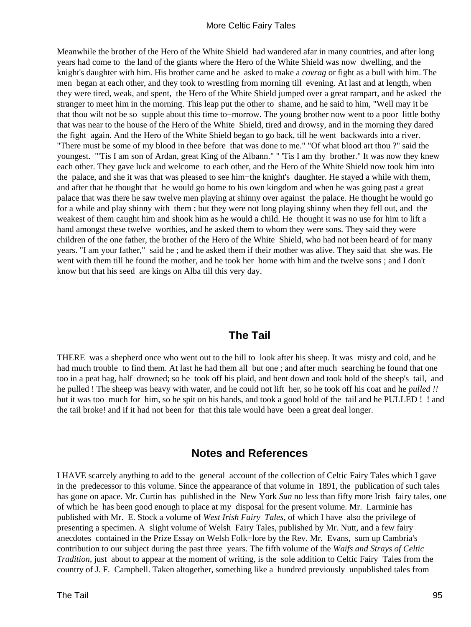Meanwhile the brother of the Hero of the White Shield had wandered afar in many countries, and after long years had come to the land of the giants where the Hero of the White Shield was now dwelling, and the knight's daughter with him. His brother came and he asked to make a *covrag* or fight as a bull with him. The men began at each other, and they took to wrestling from morning till evening. At last and at length, when they were tired, weak, and spent, the Hero of the White Shield jumped over a great rampart, and he asked the stranger to meet him in the morning. This leap put the other to shame, and he said to him, "Well may it be that thou wilt not be so supple about this time to−morrow. The young brother now went to a poor little bothy that was near to the house of the Hero of the White Shield, tired and drowsy, and in the morning they dared the fight again. And the Hero of the White Shield began to go back, till he went backwards into a river. "There must be some of my blood in thee before that was done to me." "Of what blood art thou ?" said the youngest. "'Tis I am son of Ardan, great King of the Albann." " 'Tis I am thy brother." It was now they knew each other. They gave luck and welcome to each other, and the Hero of the White Shield now took him into the palace, and she it was that was pleased to see him−the knight's daughter. He stayed a while with them, and after that he thought that he would go home to his own kingdom and when he was going past a great palace that was there he saw twelve men playing at shinny over against the palace. He thought he would go for a while and play shinny with them ; but they were not long playing shinny when they fell out, and the weakest of them caught him and shook him as he would a child. He thought it was no use for him to lift a hand amongst these twelve worthies, and he asked them to whom they were sons. They said they were children of the one father, the brother of the Hero of the White Shield, who had not been heard of for many years. "I am your father," said he ; and he asked them if their mother was alive. They said that she was. He went with them till he found the mother, and he took her home with him and the twelve sons ; and I don't know but that his seed are kings on Alba till this very day.

# **The Tail**

THERE was a shepherd once who went out to the hill to look after his sheep. It was misty and cold, and he had much trouble to find them. At last he had them all but one ; and after much searching he found that one too in a peat hag, half drowned; so he took off his plaid, and bent down and took hold of the sheep's tail, and he pulled ! The sheep was heavy with water, and he could not lift her, so he took off his coat and he *pulled !!* but it was too much for him, so he spit on his hands, and took a good hold of the tail and he PULLED ! ! and the tail broke! and if it had not been for that this tale would have been a great deal longer.

# **Notes and References**

I HAVE scarcely anything to add to the general account of the collection of Celtic Fairy Tales which I gave in the predecessor to this volume. Since the appearance of that volume in 1891, the publication of such tales has gone on apace. Mr. Curtin has published in the New York *Sun* no less than fifty more Irish fairy tales, one of which he has been good enough to place at my disposal for the present volume. Mr. Larminie has published with Mr. E. Stock a volume of *West Irish Fairy Tales,* of which I have also the privilege of presenting a specimen. A slight volume of Welsh Fairy Tales, published by Mr. Nutt, and a few fairy anecdotes contained in the Prize Essay on Welsh Folk−lore by the Rev. Mr. Evans, sum up Cambria's contribution to our subject during the past three years. The fifth volume of the *Waifs and Strays of Celtic Tradition*, just about to appear at the moment of writing, is the sole addition to Celtic Fairy Tales from the country of J. F. Campbell. Taken altogether, something like a hundred previously unpublished tales from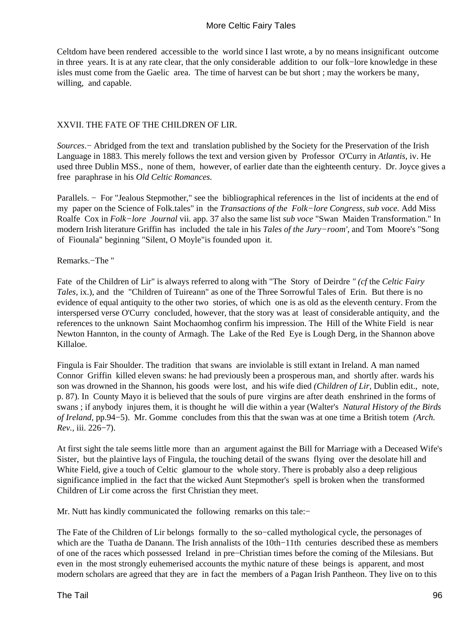Celtdom have been rendered accessible to the world since I last wrote, a by no means insignificant outcome in three years. It is at any rate clear, that the only considerable addition to our folk−lore knowledge in these isles must come from the Gaelic area. The time of harvest can be but short ; may the workers be many, willing, and capable.

## XXVII. THE FATE OF THE CHILDREN OF LIR.

*Sources*.− Abridged from the text and translation published by the Society for the Preservation of the Irish Language in 1883. This merely follows the text and version given by Professor O'Curry in *Atlantis,* iv. He used three Dublin MSS., none of them, however, of earlier date than the eighteenth century. Dr. Joyce gives a free paraphrase in his *Old Celtic Romances.*

Parallels. − For "Jealous Stepmother," see the bibliographical references in the list of incidents at the end of my paper on the Science of Folk.tales" in the *Transactions of the Folk−lore Congress, sub voce.* Add Miss Roalfe Cox in *Folk−lore Journal* vii. app. 37 also the same list *sub voce* "Swan Maiden Transformation." In modern Irish literature Griffin has included the tale in his *Tales of the Jury−room',* and Tom Moore's "Song of Fiounala" beginning "Silent, O Moyle"is founded upon it.

#### Remarks.−The "

Fate of the Children of Lir" is always referred to along with "The Story of Deirdre *" (cf* the *Celtic Fairy Tales, ix.), and the "Children of Tuireann" as one of the Three Sorrowful Tales of Erin. But there is no* evidence of equal antiquity to the other two stories, of which one is as old as the eleventh century. From the interspersed verse O'Curry concluded, however, that the story was at least of considerable antiquity, and the references to the unknown Saint Mochaomhog confirm his impression. The Hill of the White Field is near Newton Hannton, in the county of Armagh. The Lake of the Red Eye is Lough Derg, in the Shannon above Killaloe.

Fingula is Fair Shoulder. The tradition that swans are inviolable is still extant in Ireland. A man named Connor Griffin killed eleven swans: he had previously been a prosperous man, and shortly after. wards his son was drowned in the Shannon, his goods were lost, and his wife died *(Children of Lir,* Dublin edit., note, p. 87). In County Mayo it is believed that the souls of pure virgins are after death enshrined in the forms of swans ; if anybody injures them, it is thought he will die within a year (Walter's *Natural History of the Birds of Ireland,* pp.94−5). Mr. Gomme concludes from this that the swan was at one time a British totem *(Arch. Rev.,* iii. 226−7).

At first sight the tale seems little more than an argument against the Bill for Marriage with a Deceased Wife's Sister, but the plaintive lays of Fingula, the touching detail of the swans flying over the desolate hill and White Field, give a touch of Celtic glamour to the whole story. There is probably also a deep religious significance implied in the fact that the wicked Aunt Stepmother's spell is broken when the transformed Children of Lir come across the first Christian they meet.

Mr. Nutt has kindly communicated the following remarks on this tale:−

The Fate of the Children of Lir belongs formally to the so−called mythological cycle, the personages of which are the Tuatha de Danann. The Irish annalists of the 10th−11th centuries described these as members of one of the races which possessed Ireland in pre−Christian times before the coming of the Milesians. But even in the most strongly euhemerised accounts the mythic nature of these beings is apparent, and most modern scholars are agreed that they are in fact the members of a Pagan Irish Pantheon. They live on to this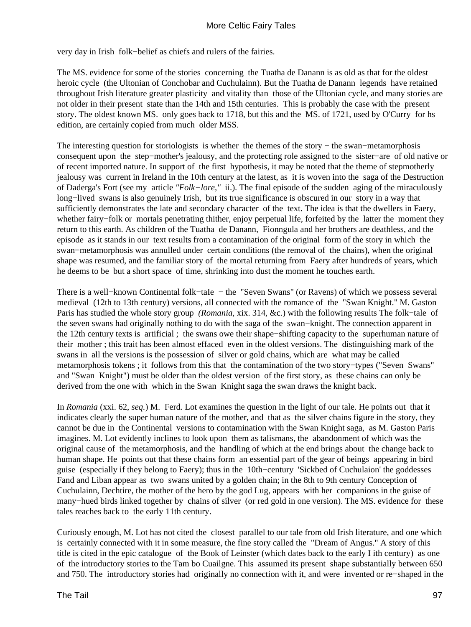very day in Irish folk−belief as chiefs and rulers of the fairies.

The MS. evidence for some of the stories concerning the Tuatha de Danann is as old as that for the oldest heroic cycle (the Ultonian of Conchobar and Cuchulainn). But the Tuatha de Danann legends have retained throughout Irish literature greater plasticity and vitality than those of the Ultonian cycle, and many stories are not older in their present state than the 14th and 15th centuries. This is probably the case with the present story. The oldest known MS. only goes back to 1718, but this and the MS. of 1721, used by O'Curry for hs edition, are certainly copied from much older MSS.

The interesting question for storiologists is whether the themes of the story – the swan–metamorphosis consequent upon the step−mother's jealousy, and the protecting role assigned to the sister−are of old native or of recent imported nature. In support of the first hypothesis, it may be noted that the theme of stepmotherly jealousy was current in Ireland in the 10th century at the latest, as it is woven into the saga of the Destruction of Daderga's Fort (see my article *"Folk−lore,"* ii.). The final episode of the sudden aging of the miraculously long−lived swans is also genuinely Irish, but its true significance is obscured in our story in a way that sufficiently demonstrates the late and secondary character of the text. The idea is that the dwellers in Faery, whether fairy−folk or mortals penetrating thither, enjoy perpetual life, forfeited by the latter the moment they return to this earth. As children of the Tuatha de Danann, Fionngula and her brothers are deathless, and the episode as it stands in our text results from a contamination of the original form of the story in which the swan−metamorphosis was annulled under certain conditions (the removal of the chains), when the original shape was resumed, and the familiar story of the mortal returning from Faery after hundreds of years, which he deems to be but a short space of time, shrinking into dust the moment he touches earth.

There is a well−known Continental folk−taIe − the "Seven Swans" (or Ravens) of which we possess several medieval (12th to 13th century) versions, all connected with the romance of the "Swan Knight." M. Gaston Paris has studied the whole story group *(Romania,* xix. 314, &c.) with the following results The folk−tale of the seven swans had originally nothing to do with the saga of the swan−knight. The connection apparent in the 12th century texts is artificial ; the swans owe their shape−shifting capacity to the superhuman nature of their mother ; this trait has been almost effaced even in the oldest versions. The distinguishing mark of the swans in all the versions is the possession of silver or gold chains, which are what may be called metamorphosis tokens ; it follows from this that the contamination of the two story−types ("Seven Swans" and "Swan Knight") must be older than the oldest version of the first story, as these chains can only be derived from the one with which in the Swan Knight saga the swan draws the knight back.

In *Romania* (xxi. 62, *seq.*) M. Ferd. Lot examines the question in the light of our tale. He points out that it indicates clearly the super human nature of the mother, and that as the silver chains figure in the story, they cannot be due in the Continental versions to contamination with the Swan Knight saga, as M. Gaston Paris imagines. M. Lot evidently inclines to look upon them as talismans, the abandonment of which was the original cause of the metamorphosis, and the handling of which at the end brings about the change back to human shape. He points out that these chains form an essential part of the gear of beings appearing in bird guise (especially if they belong to Faery); thus in the 10th−century 'Sickbed of Cuchulaion' the goddesses Fand and Liban appear as two swans united by a golden chain; in the 8th to 9th century Conception of Cuchulainn, Dechtire, the mother of the hero by the god Lug, appears with her companions in the guise of many−hued birds linked together by chains of silver (or red gold in one version). The MS. evidence for these tales reaches back to the early 11th century.

Curiously enough, M. Lot has not cited the closest parallel to our tale from old Irish literature, and one which is certainly connected with it in some measure, the fine story called the "Dream of Angus." A story of this title is cited in the epic catalogue of the Book of Leinster (which dates back to the early I ith century) as one of the introductory stories to the Tam bo Cuailgne. This assumed its present shape substantially between 650 and 750. The introductory stories had originally no connection with it, and were invented or re−shaped in the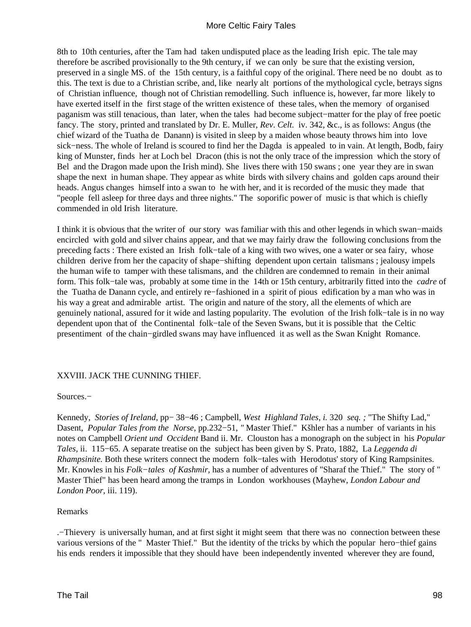8th to 10th centuries, after the Tam had taken undisputed place as the leading Irish epic. The tale may therefore be ascribed provisionally to the 9th century, if we can only be sure that the existing version, preserved in a single MS. of the 15th century, is a faithful copy of the original. There need be no doubt as to this. The text is due to a Christian scribe, and, like nearly alt portions of the mythological cycle, betrays signs of Christian influence, though not of Christian remodelling. Such influence is, however, far more likely to have exerted itself in the first stage of the written existence of these tales, when the memory of organised paganism was still tenacious, than later, when the tales had become subject−matter for the play of free poetic fancy. The story, printed and translated by Dr. E. Muller, *Rev*. *Celt.* iv. 342, &c., is as follows: Angus (the chief wizard of the Tuatha de Danann) is visited in sleep by a maiden whose beauty throws him into love sick−ness. The whole of Ireland is scoured to find her the Dagda is appealed to in vain. At length, Bodb, fairy king of Munster, finds her at Loch bel Dracon (this is not the only trace of the impression which the story of Bel and the Dragon made upon the Irish mind). She lives there with 150 swans ; one year they are in swan shape the next in human shape. They appear as white birds with silvery chains and golden caps around their heads. Angus changes himself into a swan to he with her, and it is recorded of the music they made that "people fell asleep for three days and three nights." The soporific power of music is that which is chiefly commended in old Irish literature.

I think it is obvious that the writer of our story was familiar with this and other legends in which swan−maids encircled with gold and silver chains appear, and that we may fairly draw the following conclusions from the preceding facts : There existed an Irish folk−tale of a king with two wives, one a water or sea fairy, whose children derive from her the capacity of shape−shifting dependent upon certain talismans ; jealousy impels the human wife to tamper with these talismans, and the children are condemned to remain in their animal form. This folk−tale was, probably at some time in the 14th or 15th century, arbitrarily fitted into the *cadre* of the Tuatha de Danann cycle, and entirely re−fashioned in a spirit of pious edification by a man who was in his way a great and admirable artist. The origin and nature of the story, all the elements of which are genuinely national, assured for it wide and lasting popularity. The evolution of the Irish folk−tale is in no way dependent upon that of the Continental folk−tale of the Seven Swans, but it is possible that the Celtic presentiment of the chain−girdled swans may have influenced it as well as the Swan Knight Romance.

#### XXVIII. JACK THE CUNNING THIEF.

#### Sources.−

Kennedy, *Stories of Ireland,* pp− 38−46 ; Campbell, *West Highland Tales, i.* 320 *seq. ;* "The Shifty Lad," Dasent, *Popular Tales from the Norse,* pp.232−51, *"* Master Thief." Kšhler has a number of variants in his notes on Campbell *Orient und Occident* Band ii. Mr. Clouston has a monograph on the subject in his *Popular Tales,* ii. 115−65. A separate treatise on the subject has been given by S. Prato, 1882, La *Leggenda di Rhampsinite.* Both these writers connect the modern folk–tales with Herodotus' story of King Rampsinites. Mr. Knowles in his *Folk−tales of Kashmir,* has a number of adventures of "Sharaf the Thief." The story of " Master Thief" has been heard among the tramps in London workhouses (Mayhew, *London Labour and London Poor,* iii. 119).

#### Remarks

.−Thievery is universally human, and at first sight it might seem that there was no connection between these various versions of the " Master Thief." But the identity of the tricks by which the popular hero−thief gains his ends renders it impossible that they should have been independently invented wherever they are found,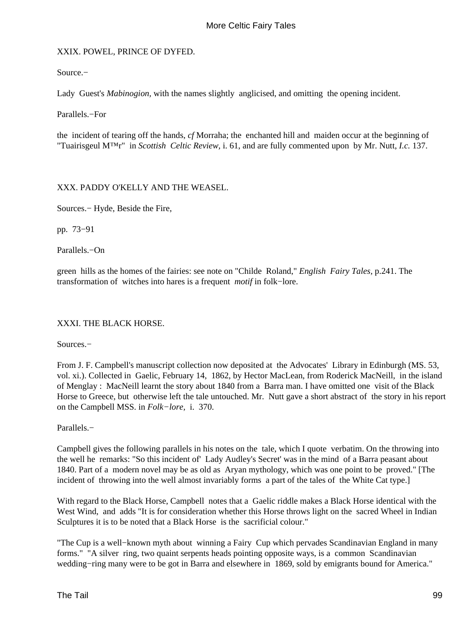## XXIX. POWEL, PRINCE OF DYFED.

Source.−

Lady Guest's *Mabinogion*, with the names slightly anglicised, and omitting the opening incident.

Parallels.−For

the incident of tearing off the hands, *cf* Morraha; the enchanted hill and maiden occur at the beginning of "Tuairisgeul M™r" in *Scottish Celtic Review,* i. 61, and are fully commented upon by Mr. Nutt, *I.c.* 137.

XXX. PADDY O'KELLY AND THE WEASEL.

Sources.− Hyde, Beside the Fire,

pp. 73−91

Parallels.−On

green hills as the homes of the fairies: see note on "Childe Roland," *English Fairy Tales,* p.241. The transformation of witches into hares is a frequent *motif* in folk−lore.

#### XXXI. THE BLACK HORSE.

Sources.−

From J. F. Campbell's manuscript collection now deposited at the Advocates' Library in Edinburgh (MS. 53, vol. xi.). Collected in Gaelic, February 14, 1862, by Hector MacLean, from Roderick MacNeill, in the island of Menglay : MacNeill learnt the story about 1840 from a Barra man. I have omitted one visit of the Black Horse to Greece, but otherwise left the tale untouched. Mr. Nutt gave a short abstract of the story in his report on the Campbell MSS. in *Folk−lore,* i. 370.

Parallels.−

Campbell gives the following parallels in his notes on the tale, which I quote verbatim. On the throwing into the well he remarks: "So this incident of' Lady Audley's Secret' was in the mind of a Barra peasant about 1840. Part of a modern novel may be as old as Aryan mythology, which was one point to be proved." [The incident of throwing into the well almost invariably forms a part of the tales of the White Cat type.]

With regard to the Black Horse, Campbell notes that a Gaelic riddle makes a Black Horse identical with the West Wind, and adds "It is for consideration whether this Horse throws light on the sacred Wheel in Indian Sculptures it is to be noted that a Black Horse is the sacrificial colour."

"The Cup is a well−known myth about winning a Fairy Cup which pervades Scandinavian England in many forms." "A silver ring, two quaint serpents heads pointing opposite ways, is a common Scandinavian wedding−ring many were to be got in Barra and elsewhere in 1869, sold by emigrants bound for America."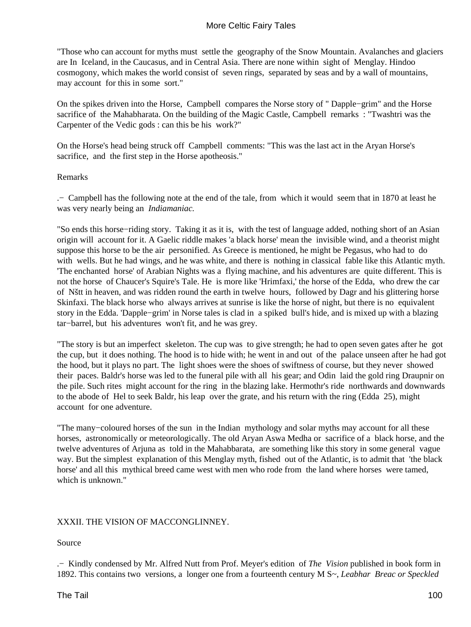"Those who can account for myths must settle the geography of the Snow Mountain. Avalanches and glaciers are In Iceland, in the Caucasus, and in Central Asia. There are none within sight of Menglay. Hindoo cosmogony, which makes the world consist of seven rings, separated by seas and by a wall of mountains, may account for this in some sort."

On the spikes driven into the Horse, Campbell compares the Norse story of " Dapple−grim" and the Horse sacrifice of the Mahabharata. On the building of the Magic Castle, Campbell remarks : "Twashtri was the Carpenter of the Vedic gods : can this be his work?"

On the Horse's head being struck off Campbell comments: "This was the last act in the Aryan Horse's sacrifice, and the first step in the Horse apotheosis."

## Remarks

.− Campbell has the following note at the end of the tale, from which it would seem that in 1870 at least he was very nearly being an *Indiamaniac.*

"So ends this horse−riding story. Taking it as it is, with the test of language added, nothing short of an Asian origin will account for it. A Gaelic riddle makes 'a black horse' mean the invisible wind, and a theorist might suppose this horse to be the air personified. As Greece is mentioned, he might be Pegasus, who had to do with wells. But he had wings, and he was white, and there is nothing in classical fable like this Atlantic myth. 'The enchanted horse' of Arabian Nights was a flying machine, and his adventures are quite different. This is not the horse of Chaucer's Squire's Tale. He is more like 'Hrimfaxi,' the horse of the Edda, who drew the car of Nštt in heaven, and was ridden round the earth in twelve hours, followed by Dagr and his glittering horse Skinfaxi. The black horse who always arrives at sunrise is like the horse of night, but there is no equivalent story in the Edda. 'Dapple−grim' in Norse tales is clad in a spiked bull's hide, and is mixed up with a blazing tar−barrel, but his adventures won't fit, and he was grey.

"The story is but an imperfect skeleton. The cup was to give strength; he had to open seven gates after he got the cup, but it does nothing. The hood is to hide with; he went in and out of the palace unseen after he had got the hood, but it plays no part. The light shoes were the shoes of swiftness of course, but they never showed their paces. Baldr's horse was led to the funeral pile with all his gear; and Odin laid the gold ring Draupnir on the pile. Such rites might account for the ring in the blazing lake. Hermothr's ride northwards and downwards to the abode of Hel to seek Baldr, his leap over the grate, and his return with the ring (Edda 25), might account for one adventure.

"The many−coloured horses of the sun in the Indian mythology and solar myths may account for all these horses, astronomically or meteorologically. The old Aryan Aswa Medha or sacrifice of a black horse, and the twelve adventures of Arjuna as told in the Mahabbarata, are something like this story in some general vague way. But the simplest explanation of this Menglay myth, fished out of the Atlantic, is to admit that 'the black horse' and all this mythical breed came west with men who rode from the land where horses were tamed, which is unknown."

## XXXII. THE VISION OF MACCONGLINNEY.

Source

.− Kindly condensed by Mr. Alfred Nutt from Prof. Meyer's edition of *The Vision* published in book form in 1892. This contains two versions, a longer one from a fourteenth century M S~, *Leabhar Breac or Speckled*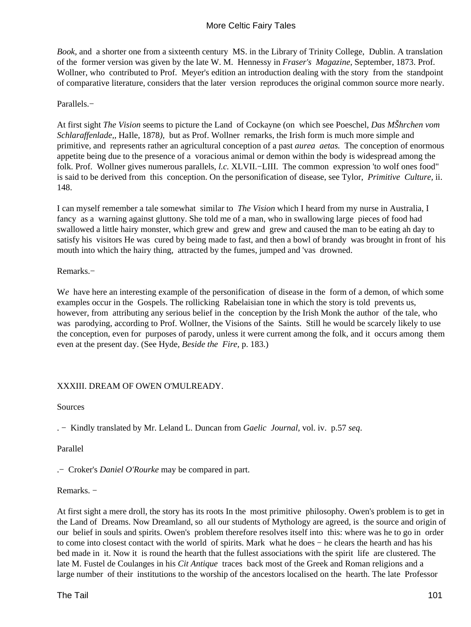*Book,* and a shorter one from a sixteenth century MS. in the Library of Trinity College, Dublin. A translation of the former version was given by the late W. M. Hennessy in *Fraser's Magazine,* September, 1873. Prof. Wollner, who contributed to Prof. Meyer's edition an introduction dealing with the story from the standpoint of comparative literature, considers that the later version reproduces the original common source more nearly.

## Parallels.−

At first sight *The Vision* seems to picture the Land of Cockayne (on which see Poeschel, *Das MŠhrchen vom Schlaraffenlade,,* HaIle, 1878*),* but as Prof. Wollner remarks, the Irish form is much more simple and primitive, and represents rather an agricultural conception of a past *aurea aetas.* The conception of enormous appetite being due to the presence of a voracious animal or demon within the body is widespread among the folk. Prof. Wollner gives numerous parallels, *l.c.* XLVII.−LIII. The common expression 'to wolf ones food" is said to be derived from this conception. On the personification of disease, see Tylor, *Primitive Culture,* ii. 148.

I can myself remember a tale somewhat similar to *The Vision* which I heard from my nurse in Australia, I fancy as a warning against gluttony. She told me of a man, who in swallowing large pieces of food had swallowed a little hairy monster, which grew and grew and grew and caused the man to be eating ah day to satisfy his visitors He was cured by being made to fast, and then a bowl of brandy was brought in front of his mouth into which the hairy thing, attracted by the fumes, jumped and 'vas drowned.

Remarks.−

W*e* have here an interesting example of the personification of disease in the form of a demon, of which some examples occur in the Gospels. The rollicking Rabelaisian tone in which the story is told prevents us, however, from attributing any serious belief in the conception by the Irish Monk the author of the tale, who was parodying, according to Prof. Wollner, the Visions of the Saints. Still he would be scarcely likely to use the conception, even for purposes of parody, unless it were current among the folk, and it occurs among them even at the present day. (See Hyde, *Beside the Fire,* p. 183.)

## XXXIII. DREAM OF OWEN O'MULREADY.

Sources

. − Kindly translated by Mr. Leland L. Duncan from *Gaelic Journal,* vol. iv. p.57 *seq*.

Parallel

.− Croker's *Daniel O'Rourke* may be compared in part.

Remarks. −

At first sight a mere droll, the story has its roots In the most primitive philosophy. Owen's problem is to get in the Land of Dreams. Now Dreamland, so all our students of Mythology are agreed, is the source and origin of our belief in souls and spirits. Owen's problem therefore resolves itself into this: where was he to go in order to come into closest contact with the world of spirits. Mark what he does − he clears the hearth and has his bed made in it. Now it is round the hearth that the fullest associations with the spirit life are clustered. The late M. Fustel de Coulanges in his *Cit Antique* traces back most of the Greek and Roman religions and a large number of their institutions to the worship of the ancestors localised on the hearth. The late Professor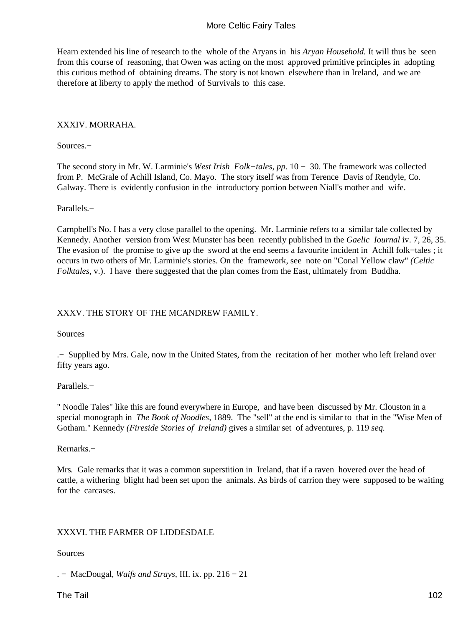Hearn extended his line of research to the whole of the Aryans in his *Aryan Household.* It will thus be seen from this course of reasoning, that Owen was acting on the most approved primitive principles in adopting this curious method of obtaining dreams. The story is not known elsewhere than in Ireland, and we are therefore at liberty to apply the method of Survivals to this case.

## XXXIV. MORRAHA.

Sources.−

The second story in Mr. W. Larminie's *West Irish Folk−tales, pp.* 10 − 30. The framework was collected from P. McGrale of Achill Island, Co. Mayo. The story itself was from Terence Davis of Rendyle, Co. Galway. There is evidently confusion in the introductory portion between Niall's mother and wife.

#### Parallels.−

Carnpbell's No. I has a very close parallel to the opening. Mr. Larminie refers to a similar tale collected by Kennedy. Another version from West Munster has been recently published in the *Gaelic Iournal* iv. 7, 26, 35. The evasion of the promise to give up the sword at the end seems a favourite incident in Achill folk−tales ; it occurs in two others of Mr. Larminie's stories. On the framework, see note on "Conal Yellow claw" *(Celtic Folktales,* v.). I have there suggested that the plan comes from the East, ultimately from Buddha.

## XXXV. THE STORY OF THE MCANDREW FAMILY.

Sources

.− Supplied by Mrs. Gale, now in the United States, from the recitation of her mother who left Ireland over fifty years ago.

## Parallels.−

" Noodle Tales" like this are found everywhere in Europe, and have been discussed by Mr. Clouston in a special monograph in *The Book of Noodles,* 1889. The "sell" at the end is similar to that in the "Wise Men of Gotham." Kennedy *(Fireside Stories of Ireland)* gives a similar set of adventures, p. 119 *seq.* 

Rernarks.−

Mrs*.* Gale remarks that it was a common superstition in Ireland, that if a raven hovered over the head of cattle, a withering blight had been set upon the animals. As birds of carrion they were supposed to be waiting for the carcases.

## XXXVI. THE FARMER OF LIDDESDALE

Sources

. − MacDougal, *Waifs and Strays,* III. ix. pp. 216 − 21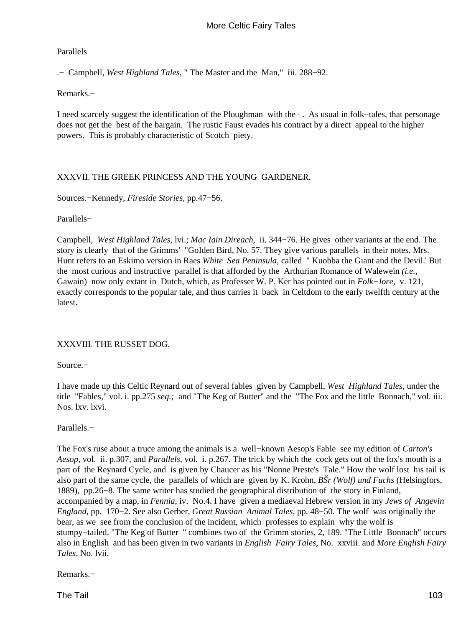## Parallels

.− Campbell, *West Highland Tales,* " The Master and the Man," iii. 288−92.

Remarks.−

I need scarcely suggest the identification of the Ploughman with the · . As usual in folk−tales, that personage does not get the best of the bargain. The rustic Faust evades his contract by a direct appeal to the higher powers. This is probably characteristic of Scotch piety.

# XXXVII. THE GREEK PRINCESS AND THE YOUNG GARDENER.

Sources.−Kennedy, *Fireside Stories,* pp.47−56.

Parallels−

Campbell*, West Highland Tales,* lvi.; *Mac Iain Direach,* ii. 344−76. He gives other variants at the end. The story is clearly that of the Grimms' "GoIden Bird, No. 57. They give various parallels in their notes. Mrs. Hunt refers to an Eskimo version in Raes *White Sea Peninsula,* called " Kuobba the Giant and the Devil.' But the most curious and instructive parallel is that afforded by the Arthurian Romance of Walewein *(i.e.,* Gawain) now only extant in Dutch, which, as Professer W. P. Ker has pointed out in *Folk−lore,* v. 121, exactly corresponds to the popular tale, and thus carries it back in Celtdom to the early twelfth century at the latest.

## XXXVIII. THE RUSSET DOG.

Source.−

I have made up this Celtic Reynard out of several fables given by Campbell, *West Highland Tales,* under the title "Fables," vol. i. pp.275 *seq.;* and "The Keg of Butter" and the "The Fox and the little Bonnach," vol. iii. Nos. lxv. lxvi.

## Parallels.−

The Fox's ruse about a truce among the animals is a well−known Aesop's Fable see my edition of *Carton's Aesop,* vol. ii. p.307, and *Parallels,* vol. i. p.267. The trick by which the cock gets out of the fox's mouth is a part of the Reynard Cycle, and is given by Chaucer as his "Nonne Preste's Tale." How the wolf lost his tail is also part of the same cycle, the parallels of which are given by K. Krohn, *BŠr (Wolf) und Fuchs* (Helsingfors, 1889), pp.26−8. The same writer has studied the geographical distribution of the story in Finland, accompanied by a map, in *Fennia,* iv. No.4. I have given a mediaeval Hebrew version in my *Jews of Angevin England,* pp. 170−2. See also Gerber, *Great Russian Animal Tales,* pp. 48−50. The wolf was originally the bear, as we see from the conclusion of the incident, which professes to explain why the wolf is stumpy−tailed. "The Keg of Butter " combines two of the Grimm stories, 2, 189. "The Little Bonnach" occurs also in English and has been given in two variants in *English Fairy Tales,* No. xxviii. and *More English Fairy Tales,* No. lvii.

Remarks.−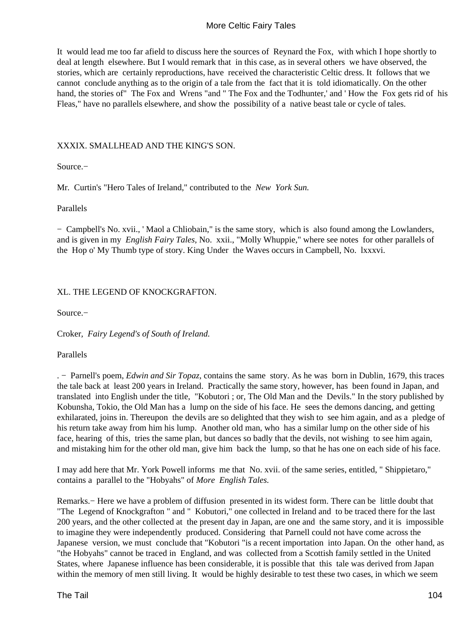It would lead me too far afield to discuss here the sources of Reynard the Fox, with which I hope shortly to deal at length elsewhere. But I would remark that in this case, as in several others we have observed, the stories, which are certainly reproductions, have received the characteristic Celtic dress. It follows that we cannot conclude anything as to the origin of a tale from the fact that it is told idiomatically. On the other hand, the stories of" The Fox and Wrens "and " The Fox and the Todhunter,' and ' How the Fox gets rid of his Fleas," have no parallels elsewhere, and show the possibility of a native beast tale or cycle of tales.

## XXXIX. SMALLHEAD AND THE KING'S SON.

Source.−

Mr*.* Curtin's "Hero Tales of Ireland," contributed to the *New York Sun.* 

Parallels

− Campbell's No. xvii., ' Maol a Chliobain," is the same story, which is also found among the Lowlanders, and is given in my *English Fairy Tales,* No. xxii., "Molly Whuppie," where see notes for other parallels of the Hop o' My Thumb type of story. King Under the Waves occurs in Campbell, No. lxxxvi.

## XL. THE LEGEND OF KNOCKGRAFTON.

Source.−

Croker*, Fairy Legend's of South of Ireland.* 

Parallels

. − Parnell's poem, *Edwin and Sir Topaz,* contains the same story. As he was born in Dublin, 1679, this traces the tale back at least 200 years in Ireland. Practically the same story, however, has been found in Japan, and translated into English under the title, "Kobutori ; or, The Old Man and the Devils." In the story published by Kobunsha, Tokio, the Old Man has a lump on the side of his face. He sees the demons dancing, and getting exhilarated, joins in. Thereupon the devils are so delighted that they wish to see him again, and as a pledge of his return take away from him his lump. Another old man, who has a similar lump on the other side of his face, hearing of this, tries the same plan, but dances so badly that the devils, not wishing to see him again, and mistaking him for the other old man, give him back the lump, so that he has one on each side of his face.

I may add here that Mr. York Powell informs me that No. xvii. of the same series, entitled, " Shippietaro," contains a parallel to the "Hobyahs" of *More English Tales.*

Remarks.− Here we have a problem of diffusion presented in its widest form. There can be little doubt that "The Legend of Knockgrafton " and " Kobutori," one collected in Ireland and to be traced there for the last 200 years, and the other collected at the present day in Japan, are one and the same story, and it is impossible to imagine they were independently produced. Considering that Parnell could not have come across the Japanese version, we must conclude that "Kobutori "is a recent importation into Japan. On the other hand, as "the Hobyahs" cannot be traced in England, and was collected from a Scottish family settled in the United States, where Japanese influence has been considerable, it is possible that this tale was derived from Japan within the memory of men still living. It would be highly desirable to test these two cases, in which we seem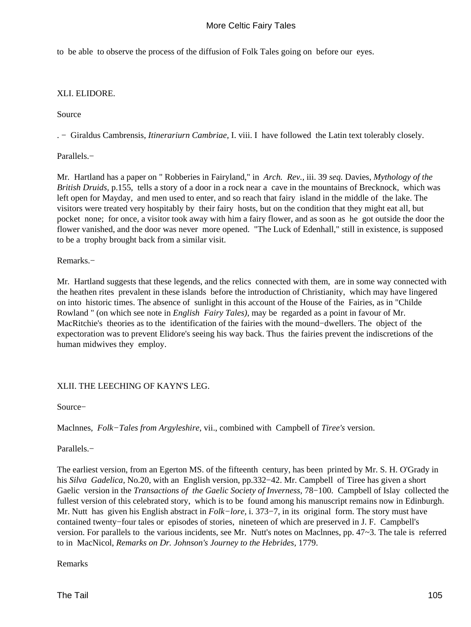to be able to observe the process of the diffusion of Folk Tales going on before our eyes.

## XLI. ELIDORE.

Source

. − Giraldus Cambrensis, *Itinerariurn Cambriae,* I. viii. I have followed the Latin text tolerably closely.

Parallels.−

Mr*.* Hartland has a paper on " Robberies in Fairyland," in *Arch. Rev.,* iii. 39 *seq.* Davies, *Mythology of the British Druids,* p.155, tells a story of a door in a rock near a cave in the mountains of Brecknock, which was left open for Mayday, and men used to enter, and so reach that fairy island in the middle of the lake. The visitors were treated very hospitably by their fairy hosts, but on the condition that they might eat all, but pocket none; for once, a visitor took away with him a fairy flower, and as soon as he got outside the door the flower vanished, and the door was never more opened. "The Luck of Edenhall," still in existence, is supposed to be a trophy brought back from a similar visit.

#### Remarks.−

Mr*.* Hartland suggests that these legends, and the relics connected with them, are in some way connected with the heathen rites prevalent in these islands before the introduction of Christianity, which may have lingered on into historic times. The absence of sunlight in this account of the House of the Fairies, as in "Childe Rowland " (on which see note in *English Fairy Tales),* may be regarded as a point in favour of Mr. MacRitchie's theories as to the identification of the fairies with the mound−dwellers. The object of the expectoration was to prevent Elidore's seeing his way back. Thus the fairies prevent the indiscretions of the human midwives they employ.

## XLII. THE LEECHING OF KAYN'S LEG.

Source−

Maclnnes*, Folk−Tales from Argyleshire,* vii., combined with Campbell of *Tiree's* version.

Parallels.−

The earliest version, from an Egerton MS. of the fifteenth century, has been printed by Mr. S. H. O'Grady in his *Silva Gadelica,* No.20, with an English version, pp.332−42. Mr. Campbell of Tiree has given a short Gaelic version in the *Transactions of the Gaelic Society of Inverness,* 78−100. Campbell of Islay collected the fullest version of this celebrated story, which is to be found among his manuscript remains now in Edinburgh. Mr. Nutt has given his English abstract in *Folk−lore,* i. 373−7, in its original form. The story must have contained twenty−four tales or episodes of stories, nineteen of which are preserved in J. F. Campbell's version. For parallels to the various incidents, see Mr. Nutt's notes on Maclnnes, pp. 47~3. The tale is referred to in MacNicol, *Remarks on Dr. Johnson's Journey to the Hebrides,* 1779.

Remarks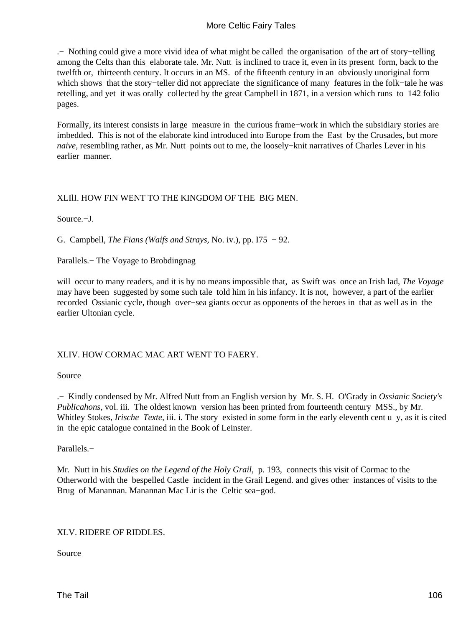.− Nothing could give a more vivid idea of what might be called the organisation of the art of story−telling among the Celts than this elaborate tale. Mr. Nutt is inclined to trace it, even in its present form, back to the twelfth or, thirteenth century. It occurs in an MS. of the fifteenth century in an obviously unoriginal form which shows that the story−teller did not appreciate the significance of many features in the folk−tale he was retelling, and yet it was orally collected by the great Campbell in 1871, in a version which runs to 142 folio pages.

Formally, its interest consists in large measure in the curious frame−work in which the subsidiary stories are imbedded. This is not of the elaborate kind introduced into Europe from the East by the Crusades, but more *naive*, resembling rather, as Mr. Nutt points out to me, the loosely–knit narratives of Charles Lever in his earlier manner.

## XLIlI. HOW FIN WENT TO THE KINGDOM OF THE BIG MEN.

Source.−J.

G. Campbell, *The Fians (Waifs and Strays,* No. iv.), pp. I75 − 92.

Parallels.− The Voyage to Brobdingnag

will occur to many readers, and it is by no means impossible that, as Swift was once an Irish lad, *The Voyage* may have been suggested by some such tale told him in his infancy. It is not, however, a part of the earlier recorded Ossianic cycle, though over−sea giants occur as opponents of the heroes in that as well as in the earlier Ultonian cycle.

## XLIV. HOW CORMAC MAC ART WENT TO FAERY.

Source

.− Kindly condensed by Mr. Alfred Nutt from an English version by Mr. S. H. O'Grady in *Ossianic Society's Publicahons,* vol. iii. The oldest known version has been printed from fourteenth century MSS., by Mr. Whitley Stokes, *Irische Texte*, iii. i. The story existed in some form in the early eleventh cent u y, as it is cited in the epic catalogue contained in the Book of Leinster.

Parallels.−

Mr*.* Nutt in his *Studies on the Legend of the Holy Grail,* p. 193, connects this visit of Cormac to the Otherworld with the bespelled Castle incident in the Grail Legend. and gives other instances of visits to the Brug of Manannan. Manannan Mac Lir is the Celtic sea−god.

## XLV. RIDERE OF RIDDLES.

Source